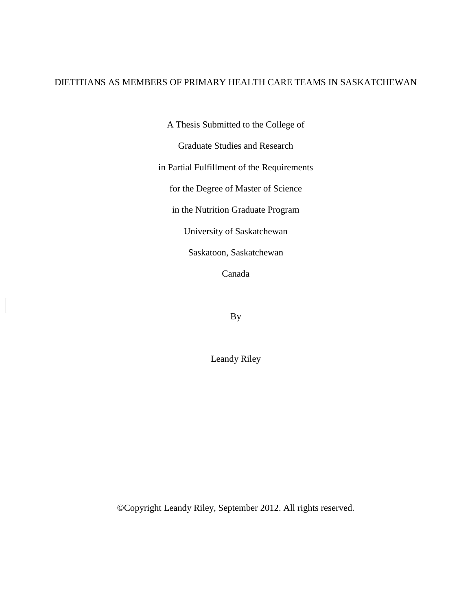# DIETITIANS AS MEMBERS OF PRIMARY HEALTH CARE TEAMS IN SASKATCHEWAN

A Thesis Submitted to the College of

Graduate Studies and Research

in Partial Fulfillment of the Requirements

for the Degree of Master of Science

in the Nutrition Graduate Program

University of Saskatchewan

Saskatoon, Saskatchewan

Canada

By

Leandy Riley

©Copyright Leandy Riley, September 2012. All rights reserved.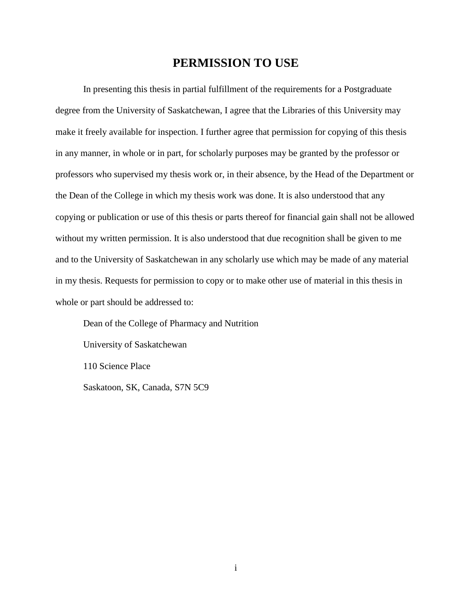# **PERMISSION TO USE**

<span id="page-1-0"></span>In presenting this thesis in partial fulfillment of the requirements for a Postgraduate degree from the University of Saskatchewan, I agree that the Libraries of this University may make it freely available for inspection. I further agree that permission for copying of this thesis in any manner, in whole or in part, for scholarly purposes may be granted by the professor or professors who supervised my thesis work or, in their absence, by the Head of the Department or the Dean of the College in which my thesis work was done. It is also understood that any copying or publication or use of this thesis or parts thereof for financial gain shall not be allowed without my written permission. It is also understood that due recognition shall be given to me and to the University of Saskatchewan in any scholarly use which may be made of any material in my thesis. Requests for permission to copy or to make other use of material in this thesis in whole or part should be addressed to:

Dean of the College of Pharmacy and Nutrition

University of Saskatchewan

110 Science Place

Saskatoon, SK, Canada, S7N 5C9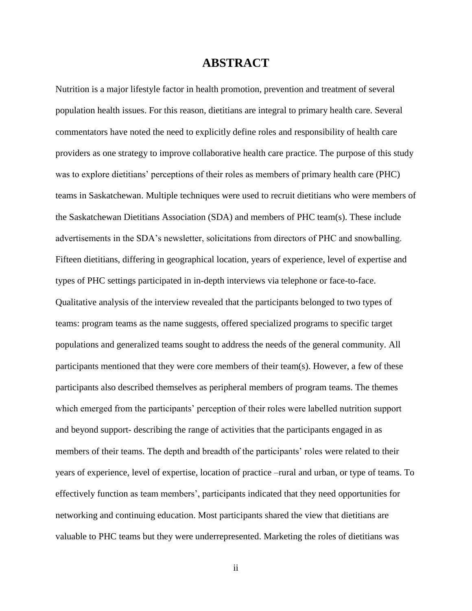# **ABSTRACT**

<span id="page-2-0"></span>Nutrition is a major lifestyle factor in health promotion, prevention and treatment of several population health issues. For this reason, dietitians are integral to primary health care. Several commentators have noted the need to explicitly define roles and responsibility of health care providers as one strategy to improve collaborative health care practice. The purpose of this study was to explore dietitians' perceptions of their roles as members of primary health care (PHC) teams in Saskatchewan. Multiple techniques were used to recruit dietitians who were members of the Saskatchewan Dietitians Association (SDA) and members of PHC team(s). These include advertisements in the SDA's newsletter, solicitations from directors of PHC and snowballing. Fifteen dietitians, differing in geographical location, years of experience, level of expertise and types of PHC settings participated in in-depth interviews via telephone or face-to-face. Qualitative analysis of the interview revealed that the participants belonged to two types of teams: program teams as the name suggests, offered specialized programs to specific target populations and generalized teams sought to address the needs of the general community. All participants mentioned that they were core members of their team(s). However, a few of these participants also described themselves as peripheral members of program teams. The themes which emerged from the participants' perception of their roles were labelled nutrition support and beyond support- describing the range of activities that the participants engaged in as members of their teams. The depth and breadth of the participants' roles were related to their years of experience, level of expertise, location of practice –rural and urban, or type of teams. To effectively function as team members', participants indicated that they need opportunities for networking and continuing education. Most participants shared the view that dietitians are valuable to PHC teams but they were underrepresented. Marketing the roles of dietitians was

ii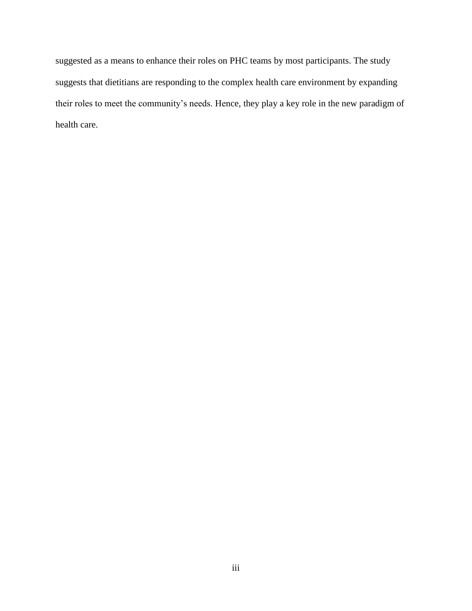suggested as a means to enhance their roles on PHC teams by most participants. The study suggests that dietitians are responding to the complex health care environment by expanding their roles to meet the community's needs. Hence, they play a key role in the new paradigm of health care.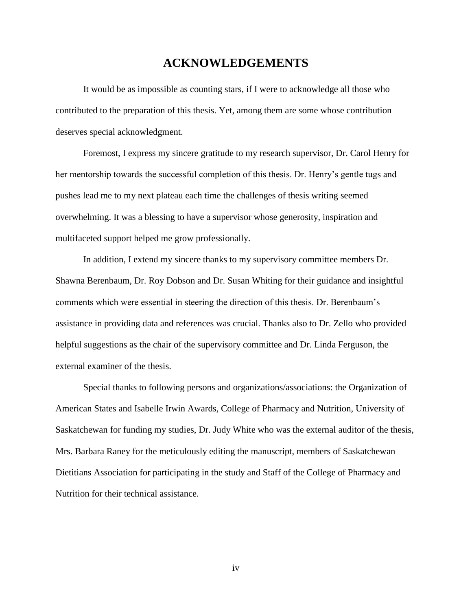# **ACKNOWLEDGEMENTS**

<span id="page-4-0"></span>It would be as impossible as counting stars, if I were to acknowledge all those who contributed to the preparation of this thesis. Yet, among them are some whose contribution deserves special acknowledgment.

Foremost, I express my sincere gratitude to my research supervisor, Dr. Carol Henry for her mentorship towards the successful completion of this thesis. Dr. Henry's gentle tugs and pushes lead me to my next plateau each time the challenges of thesis writing seemed overwhelming. It was a blessing to have a supervisor whose generosity, inspiration and multifaceted support helped me grow professionally.

In addition, I extend my sincere thanks to my supervisory committee members Dr. Shawna Berenbaum, Dr. Roy Dobson and Dr. Susan Whiting for their guidance and insightful comments which were essential in steering the direction of this thesis. Dr. Berenbaum's assistance in providing data and references was crucial. Thanks also to Dr. Zello who provided helpful suggestions as the chair of the supervisory committee and Dr. Linda Ferguson, the external examiner of the thesis.

Special thanks to following persons and organizations/associations: the Organization of American States and Isabelle Irwin Awards, College of Pharmacy and Nutrition, University of Saskatchewan for funding my studies, Dr. Judy White who was the external auditor of the thesis, Mrs. Barbara Raney for the meticulously editing the manuscript, members of Saskatchewan Dietitians Association for participating in the study and Staff of the College of Pharmacy and Nutrition for their technical assistance.

iv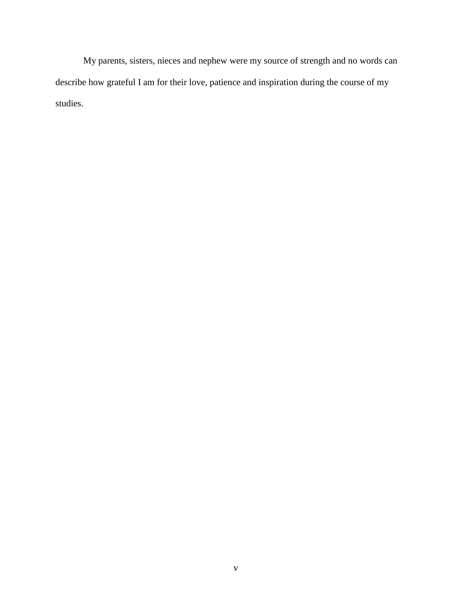My parents, sisters, nieces and nephew were my source of strength and no words can describe how grateful I am for their love, patience and inspiration during the course of my studies.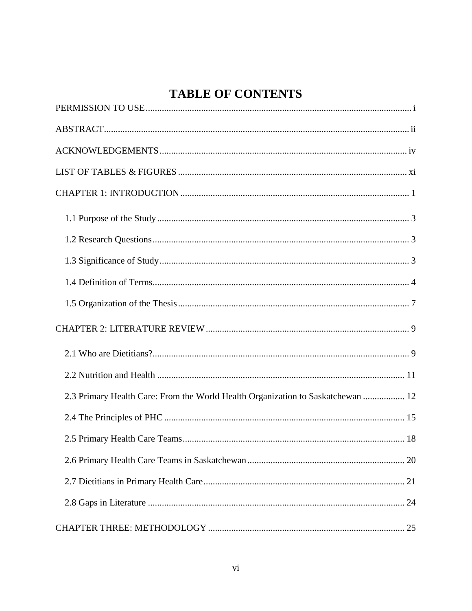# **TABLE OF CONTENTS**

| 2.3 Primary Health Care: From the World Health Organization to Saskatchewan  12 |  |  |
|---------------------------------------------------------------------------------|--|--|
|                                                                                 |  |  |
|                                                                                 |  |  |
|                                                                                 |  |  |
|                                                                                 |  |  |
|                                                                                 |  |  |
|                                                                                 |  |  |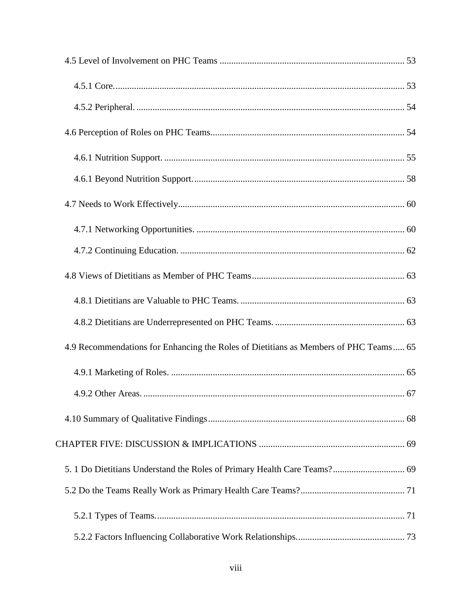| 4.9 Recommendations for Enhancing the Roles of Dietitians as Members of PHC Teams 65 |  |
|--------------------------------------------------------------------------------------|--|
|                                                                                      |  |
|                                                                                      |  |
|                                                                                      |  |
|                                                                                      |  |
|                                                                                      |  |
|                                                                                      |  |
|                                                                                      |  |
|                                                                                      |  |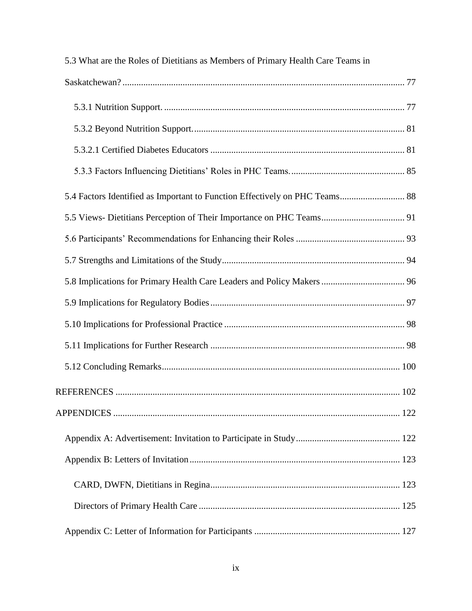| 5.3 What are the Roles of Dietitians as Members of Primary Health Care Teams in |  |  |  |
|---------------------------------------------------------------------------------|--|--|--|
|                                                                                 |  |  |  |
|                                                                                 |  |  |  |
|                                                                                 |  |  |  |
|                                                                                 |  |  |  |
|                                                                                 |  |  |  |
| 5.4 Factors Identified as Important to Function Effectively on PHC Teams 88     |  |  |  |
| 5.5 Views- Dietitians Perception of Their Importance on PHC Teams 91            |  |  |  |
|                                                                                 |  |  |  |
|                                                                                 |  |  |  |
|                                                                                 |  |  |  |
|                                                                                 |  |  |  |
|                                                                                 |  |  |  |
|                                                                                 |  |  |  |
|                                                                                 |  |  |  |
|                                                                                 |  |  |  |
|                                                                                 |  |  |  |
|                                                                                 |  |  |  |
|                                                                                 |  |  |  |
|                                                                                 |  |  |  |
|                                                                                 |  |  |  |
|                                                                                 |  |  |  |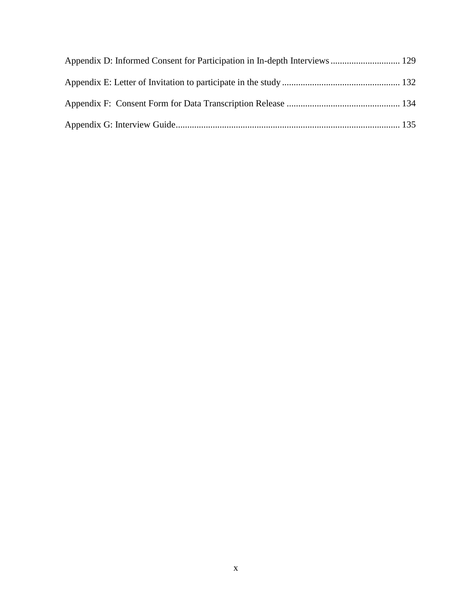| Appendix D: Informed Consent for Participation in In-depth Interviews 129 |  |
|---------------------------------------------------------------------------|--|
|                                                                           |  |
|                                                                           |  |
|                                                                           |  |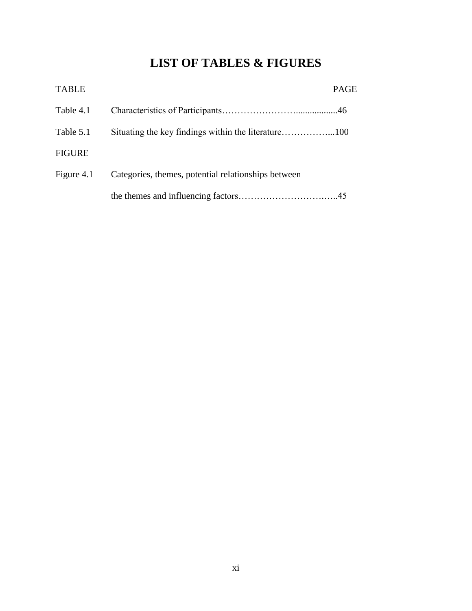# **LIST OF TABLES & FIGURES**

<span id="page-11-0"></span>

| <b>TABLE</b>  |                                                     | <b>PAGE</b> |
|---------------|-----------------------------------------------------|-------------|
| Table 4.1     |                                                     |             |
| Table 5.1     |                                                     |             |
| <b>FIGURE</b> |                                                     |             |
| Figure 4.1    | Categories, themes, potential relationships between |             |
|               |                                                     |             |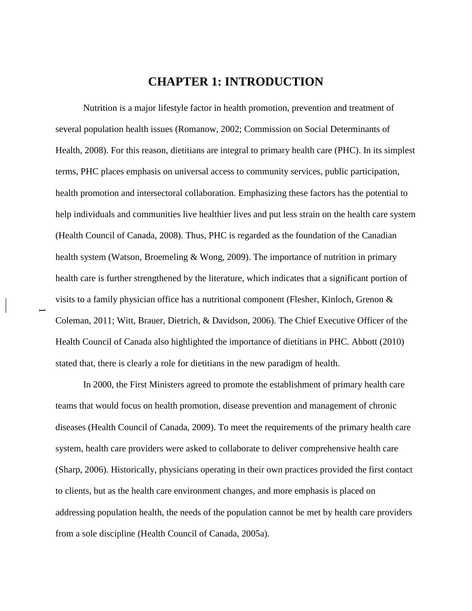# **CHAPTER 1: INTRODUCTION**

<span id="page-12-0"></span>Nutrition is a major lifestyle factor in health promotion, prevention and treatment of several population health issues (Romanow, 2002; Commission on Social Determinants of Health, 2008). For this reason, dietitians are integral to primary health care (PHC). In its simplest terms, PHC places emphasis on universal access to community services, public participation, health promotion and intersectoral collaboration. Emphasizing these factors has the potential to help individuals and communities live healthier lives and put less strain on the health care system (Health Council of Canada, 2008). Thus, PHC is regarded as the foundation of the Canadian health system (Watson, Broemeling & Wong, 2009). The importance of nutrition in primary health care is further strengthened by the literature, which indicates that a significant portion of visits to a family physician office has a nutritional component (Flesher, Kinloch, Grenon & Coleman, 2011; Witt, Brauer, Dietrich, & Davidson, 2006). The Chief Executive Officer of the Health Council of Canada also highlighted the importance of dietitians in PHC. Abbott (2010) stated that, there is clearly a role for dietitians in the new paradigm of health.

 $\overline{\phantom{0}}$ 

In 2000, the First Ministers agreed to promote the establishment of primary health care teams that would focus on health promotion, disease prevention and management of chronic diseases (Health Council of Canada, 2009). To meet the requirements of the primary health care system, health care providers were asked to collaborate to deliver comprehensive health care (Sharp, 2006). Historically, physicians operating in their own practices provided the first contact to clients, but as the health care environment changes, and more emphasis is placed on addressing population health, the needs of the population cannot be met by health care providers from a sole discipline (Health Council of Canada, 2005a).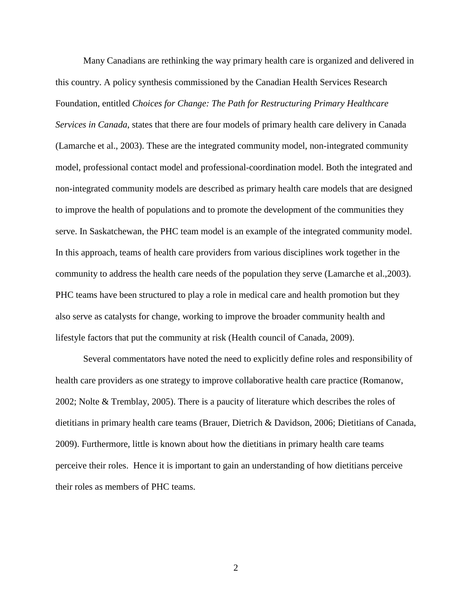Many Canadians are rethinking the way primary health care is organized and delivered in this country. A policy synthesis commissioned by the Canadian Health Services Research Foundation, entitled *Choices for Change: The Path for Restructuring Primary Healthcare Services in Canada*, states that there are four models of primary health care delivery in Canada (Lamarche et al., 2003). These are the integrated community model, non-integrated community model, professional contact model and professional-coordination model. Both the integrated and non-integrated community models are described as primary health care models that are designed to improve the health of populations and to promote the development of the communities they serve. In Saskatchewan, the PHC team model is an example of the integrated community model. In this approach, teams of health care providers from various disciplines work together in the community to address the health care needs of the population they serve (Lamarche et al.,2003). PHC teams have been structured to play a role in medical care and health promotion but they also serve as catalysts for change, working to improve the broader community health and lifestyle factors that put the community at risk (Health council of Canada, 2009).

Several commentators have noted the need to explicitly define roles and responsibility of health care providers as one strategy to improve collaborative health care practice (Romanow, 2002; Nolte & Tremblay, 2005). There is a paucity of literature which describes the roles of dietitians in primary health care teams (Brauer, Dietrich & Davidson, 2006; Dietitians of Canada, 2009). Furthermore, little is known about how the dietitians in primary health care teams perceive their roles. Hence it is important to gain an understanding of how dietitians perceive their roles as members of PHC teams.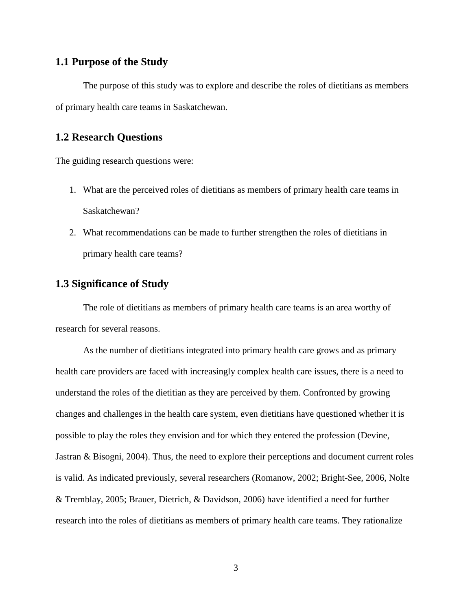# <span id="page-14-0"></span>**1.1 Purpose of the Study**

The purpose of this study was to explore and describe the roles of dietitians as members of primary health care teams in Saskatchewan.

## <span id="page-14-1"></span>**1.2 Research Questions**

The guiding research questions were:

- 1. What are the perceived roles of dietitians as members of primary health care teams in Saskatchewan?
- 2. What recommendations can be made to further strengthen the roles of dietitians in primary health care teams?

# <span id="page-14-2"></span>**1.3 Significance of Study**

The role of dietitians as members of primary health care teams is an area worthy of research for several reasons.

As the number of dietitians integrated into primary health care grows and as primary health care providers are faced with increasingly complex health care issues, there is a need to understand the roles of the dietitian as they are perceived by them. Confronted by growing changes and challenges in the health care system, even dietitians have questioned whether it is possible to play the roles they envision and for which they entered the profession (Devine, Jastran & Bisogni, 2004). Thus, the need to explore their perceptions and document current roles is valid. As indicated previously, several researchers (Romanow, 2002; Bright-See, 2006, Nolte & Tremblay, 2005; Brauer, Dietrich, & Davidson, 2006) have identified a need for further research into the roles of dietitians as members of primary health care teams. They rationalize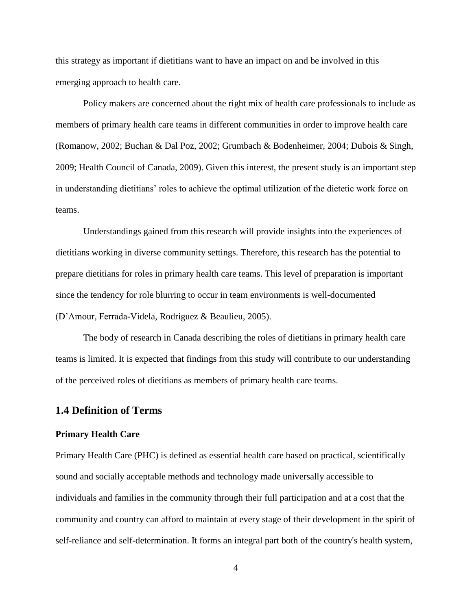this strategy as important if dietitians want to have an impact on and be involved in this emerging approach to health care.

Policy makers are concerned about the right mix of health care professionals to include as members of primary health care teams in different communities in order to improve health care (Romanow, 2002; Buchan & Dal Poz, 2002; Grumbach & Bodenheimer, 2004; Dubois & Singh, 2009; Health Council of Canada, 2009). Given this interest, the present study is an important step in understanding dietitians' roles to achieve the optimal utilization of the dietetic work force on teams.

Understandings gained from this research will provide insights into the experiences of dietitians working in diverse community settings. Therefore, this research has the potential to prepare dietitians for roles in primary health care teams. This level of preparation is important since the tendency for role blurring to occur in team environments is well-documented (D'Amour, Ferrada-Videla, Rodriguez & Beaulieu, 2005).

The body of research in Canada describing the roles of dietitians in primary health care teams is limited. It is expected that findings from this study will contribute to our understanding of the perceived roles of dietitians as members of primary health care teams.

### <span id="page-15-0"></span>**1.4 Definition of Terms**

#### **Primary Health Care**

Primary Health Care (PHC) is defined as essential health care based on practical, scientifically sound and socially acceptable methods and technology made universally accessible to individuals and families in the community through their full participation and at a cost that the community and country can afford to maintain at every stage of their development in the spirit of self-reliance and self-determination. It forms an integral part both of the country's health system,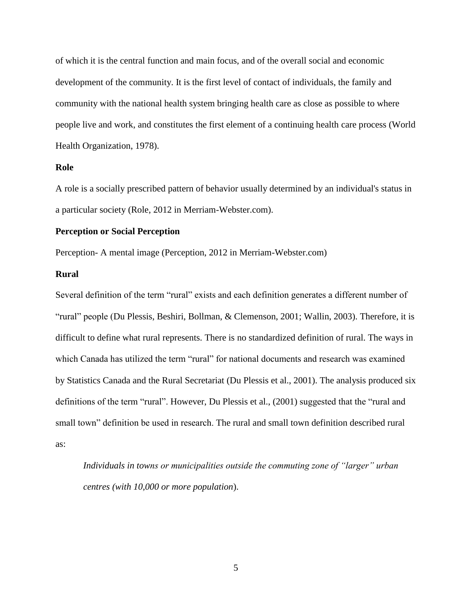of which it is the central function and main focus, and of the overall social and economic development of the community. It is the first level of contact of individuals, the family and community with the national health system bringing health care as close as possible to where people live and work, and constitutes the first element of a continuing health care process (World Health Organization, 1978).

#### **Role**

A role is a socially prescribed pattern of behavior usually determined by an individual's status in a particular society (Role, 2012 in Merriam-Webster.com).

#### **Perception or Social Perception**

Perception- A mental image (Perception, 2012 in Merriam-Webster.com)

#### **Rural**

Several definition of the term "rural" exists and each definition generates a different number of "rural" people (Du Plessis, Beshiri, Bollman, & Clemenson, 2001; Wallin, 2003). Therefore, it is difficult to define what rural represents. There is no standardized definition of rural. The ways in which Canada has utilized the term "rural" for national documents and research was examined by Statistics Canada and the Rural Secretariat (Du Plessis et al., 2001). The analysis produced six definitions of the term "rural". However, Du Plessis et al., (2001) suggested that the "rural and small town" definition be used in research. The rural and small town definition described rural as:

*Individuals in towns or municipalities outside the commuting zone of "larger" urban centres (with 10,000 or more population*).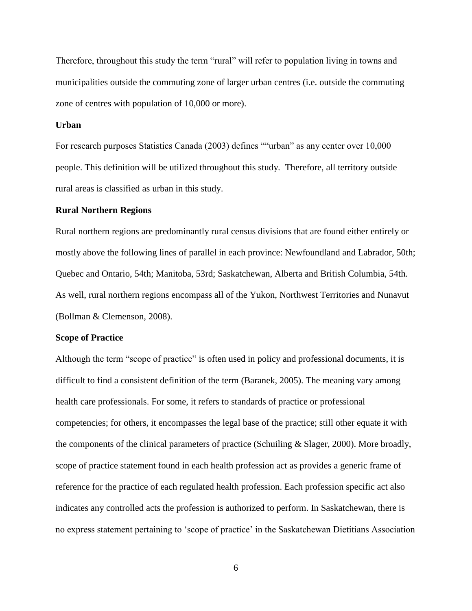Therefore, throughout this study the term "rural" will refer to population living in towns and municipalities outside the commuting zone of larger urban centres (i.e. outside the commuting zone of centres with population of 10,000 or more).

#### **Urban**

For research purposes Statistics Canada (2003) defines ""urban" as any center over 10,000 people. This definition will be utilized throughout this study. Therefore, all territory outside rural areas is classified as urban in this study.

#### **Rural Northern Regions**

Rural northern regions are predominantly rural census divisions that are found either entirely or mostly above the following lines of parallel in each province: Newfoundland and Labrador, 50th; Quebec and Ontario, 54th; Manitoba, 53rd; Saskatchewan, Alberta and British Columbia, 54th. As well, rural northern regions encompass all of the Yukon, Northwest Territories and Nunavut (Bollman & Clemenson, 2008).

#### **Scope of Practice**

Although the term "scope of practice" is often used in policy and professional documents, it is difficult to find a consistent definition of the term (Baranek, 2005). The meaning vary among health care professionals. For some, it refers to standards of practice or professional competencies; for others, it encompasses the legal base of the practice; still other equate it with the components of the clinical parameters of practice (Schuiling  $\&$  Slager, 2000). More broadly, scope of practice statement found in each health profession act as provides a generic frame of reference for the practice of each regulated health profession. Each profession specific act also indicates any controlled acts the profession is authorized to perform. In Saskatchewan, there is no express statement pertaining to 'scope of practice' in the Saskatchewan Dietitians Association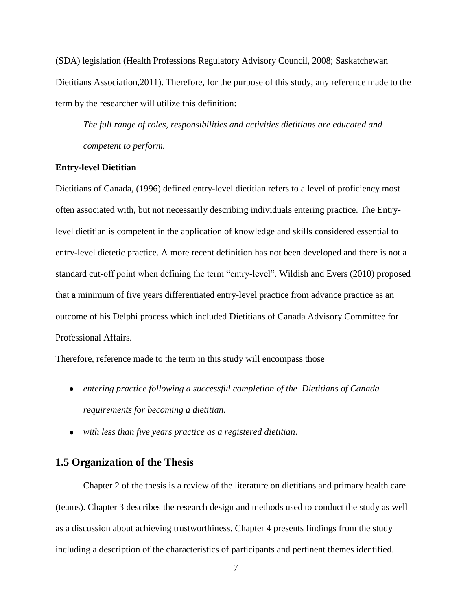(SDA) legislation (Health Professions Regulatory Advisory Council, 2008; Saskatchewan Dietitians Association,2011). Therefore, for the purpose of this study, any reference made to the term by the researcher will utilize this definition:

*The full range of roles, responsibilities and activities dietitians are educated and competent to perform.*

#### **Entry-level Dietitian**

Dietitians of Canada, (1996) defined entry-level dietitian refers to a level of proficiency most often associated with, but not necessarily describing individuals entering practice. The Entrylevel dietitian is competent in the application of knowledge and skills considered essential to entry-level dietetic practice. A more recent definition has not been developed and there is not a standard cut-off point when defining the term "entry-level". Wildish and Evers (2010) proposed that a minimum of five years differentiated entry-level practice from advance practice as an outcome of his Delphi process which included Dietitians of Canada Advisory Committee for Professional Affairs.

Therefore, reference made to the term in this study will encompass those

- *entering practice following a successful completion of the Dietitians of Canada requirements for becoming a dietitian.*
- *with less than five years practice as a registered dietitian*.

## <span id="page-18-0"></span>**1.5 Organization of the Thesis**

Chapter 2 of the thesis is a review of the literature on dietitians and primary health care (teams). Chapter 3 describes the research design and methods used to conduct the study as well as a discussion about achieving trustworthiness. Chapter 4 presents findings from the study including a description of the characteristics of participants and pertinent themes identified.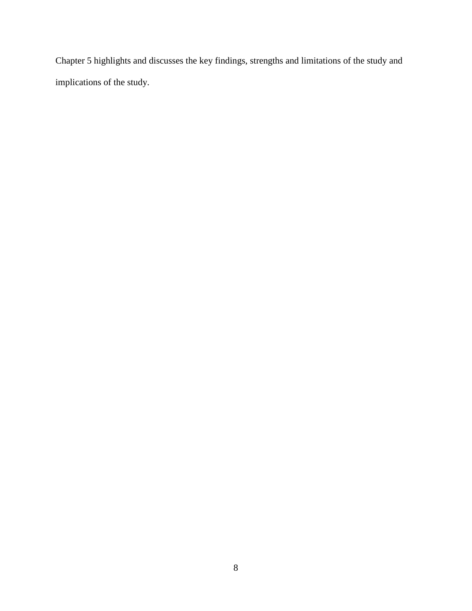Chapter 5 highlights and discusses the key findings, strengths and limitations of the study and implications of the study.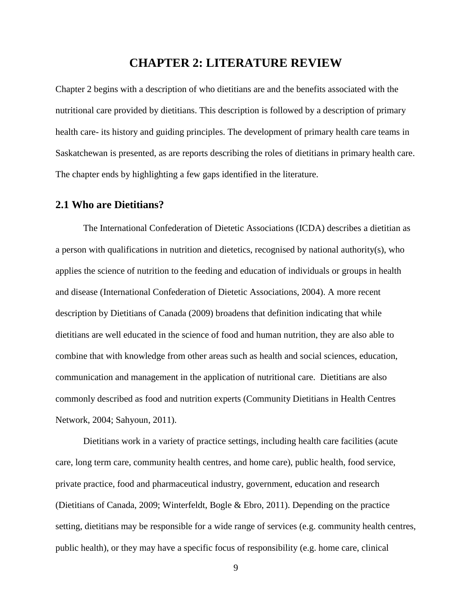# **CHAPTER 2: LITERATURE REVIEW**

<span id="page-20-0"></span>Chapter 2 begins with a description of who dietitians are and the benefits associated with the nutritional care provided by dietitians. This description is followed by a description of primary health care- its history and guiding principles. The development of primary health care teams in Saskatchewan is presented, as are reports describing the roles of dietitians in primary health care. The chapter ends by highlighting a few gaps identified in the literature.

## <span id="page-20-1"></span>**2.1 Who are Dietitians?**

The International Confederation of Dietetic Associations (ICDA) describes a dietitian as a person with qualifications in nutrition and dietetics, recognised by national authority(s), who applies the science of nutrition to the feeding and education of individuals or groups in health and disease (International Confederation of Dietetic Associations, 2004). A more recent description by Dietitians of Canada (2009) broadens that definition indicating that while dietitians are well educated in the science of food and human nutrition, they are also able to combine that with knowledge from other areas such as health and social sciences, education, communication and management in the application of nutritional care. Dietitians are also commonly described as food and nutrition experts (Community Dietitians in Health Centres Network, 2004; Sahyoun, 2011).

Dietitians work in a variety of practice settings, including health care facilities (acute care, long term care, community health centres, and home care), public health, food service, private practice, food and pharmaceutical industry, government, education and research (Dietitians of Canada, 2009; Winterfeldt, Bogle & Ebro, 2011). Depending on the practice setting, dietitians may be responsible for a wide range of services (e.g. community health centres, public health), or they may have a specific focus of responsibility (e.g. home care, clinical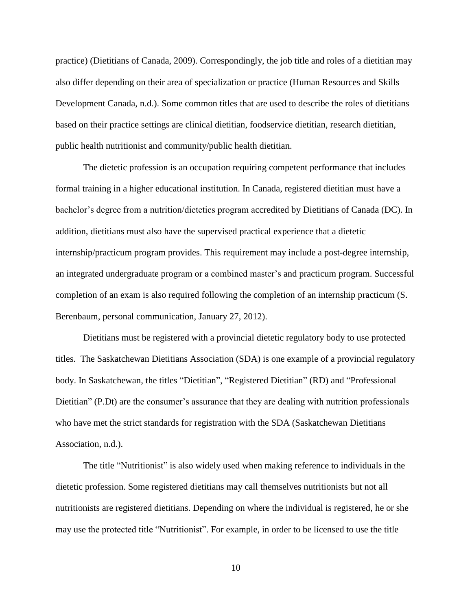practice) (Dietitians of Canada, 2009). Correspondingly, the job title and roles of a dietitian may also differ depending on their area of specialization or practice (Human Resources and Skills Development Canada, n.d.). Some common titles that are used to describe the roles of dietitians based on their practice settings are clinical dietitian, foodservice dietitian, research dietitian, public health nutritionist and community/public health dietitian.

The dietetic profession is an occupation requiring competent performance that includes formal training in a higher educational institution. In Canada, registered dietitian must have a bachelor's degree from a nutrition/dietetics program accredited by Dietitians of Canada (DC). In addition, dietitians must also have the supervised practical experience that a dietetic internship/practicum program provides. This requirement may include a post-degree internship, an integrated undergraduate program or a combined master's and practicum program. Successful completion of an exam is also required following the completion of an internship practicum (S. Berenbaum, personal communication, January 27, 2012).

Dietitians must be registered with a provincial dietetic regulatory body to use protected titles. The Saskatchewan Dietitians Association (SDA) is one example of a provincial regulatory body. In Saskatchewan, the titles "Dietitian", "Registered Dietitian" (RD) and "Professional Dietitian" (P.Dt) are the consumer's assurance that they are dealing with nutrition professionals who have met the strict standards for registration with the SDA (Saskatchewan Dietitians Association, n.d.).

The title "Nutritionist" is also widely used when making reference to individuals in the dietetic profession. Some registered dietitians may call themselves nutritionists but not all nutritionists are registered dietitians. Depending on where the individual is registered, he or she may use the protected title "Nutritionist". For example, in order to be licensed to use the title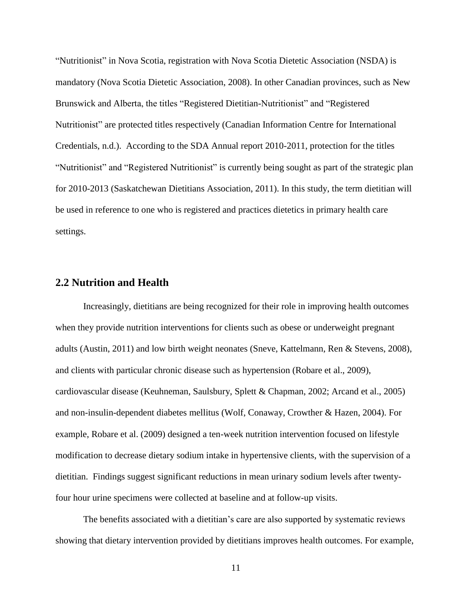"Nutritionist" in Nova Scotia, registration with Nova Scotia Dietetic Association (NSDA) is mandatory (Nova Scotia Dietetic Association, 2008). In other Canadian provinces, such as New Brunswick and Alberta, the titles "Registered Dietitian-Nutritionist" and "Registered Nutritionist" are protected titles respectively (Canadian Information Centre for International Credentials, n.d.). According to the SDA Annual report 2010-2011, protection for the titles "Nutritionist" and "Registered Nutritionist" is currently being sought as part of the strategic plan for 2010-2013 (Saskatchewan Dietitians Association, 2011). In this study, the term dietitian will be used in reference to one who is registered and practices dietetics in primary health care settings.

# <span id="page-22-0"></span>**2.2 Nutrition and Health**

Increasingly, dietitians are being recognized for their role in improving health outcomes when they provide nutrition interventions for clients such as obese or underweight pregnant adults (Austin, 2011) and low birth weight neonates (Sneve, Kattelmann, Ren & Stevens, 2008), and clients with particular chronic disease such as hypertension (Robare et al., 2009), cardiovascular disease (Keuhneman, Saulsbury, Splett & Chapman, 2002; Arcand et al., 2005) and non-insulin-dependent diabetes mellitus (Wolf, Conaway, Crowther & Hazen, 2004). For example, Robare et al. (2009) designed a ten-week nutrition intervention focused on lifestyle modification to decrease dietary sodium intake in hypertensive clients, with the supervision of a dietitian. Findings suggest significant reductions in mean urinary sodium levels after twentyfour hour urine specimens were collected at baseline and at follow-up visits.

The benefits associated with a dietitian's care are also supported by systematic reviews showing that dietary intervention provided by dietitians improves health outcomes. For example,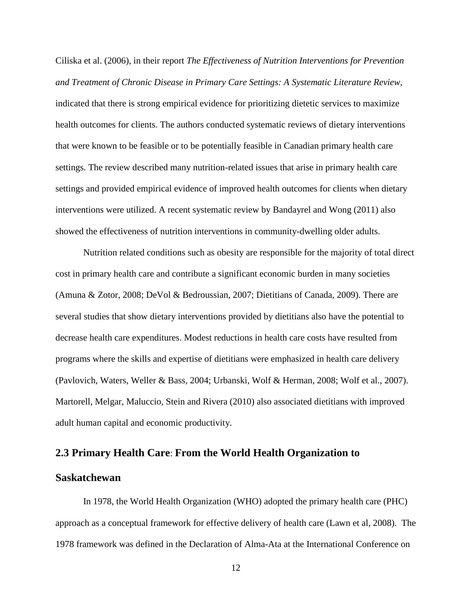Ciliska et al. (2006), in their report *The Effectiveness of Nutrition Interventions for Prevention and Treatment of Chronic Disease in Primary Care Settings: A Systematic Literature Review*, indicated that there is strong empirical evidence for prioritizing dietetic services to maximize health outcomes for clients. The authors conducted systematic reviews of dietary interventions that were known to be feasible or to be potentially feasible in Canadian primary health care settings. The review described many nutrition-related issues that arise in primary health care settings and provided empirical evidence of improved health outcomes for clients when dietary interventions were utilized. A recent systematic review by Bandayrel and Wong (2011) also showed the effectiveness of nutrition interventions in community-dwelling older adults.

Nutrition related conditions such as obesity are responsible for the majority of total direct cost in primary health care and contribute a significant economic burden in many societies (Amuna & Zotor, 2008; DeVol & Bedroussian, 2007; Dietitians of Canada, 2009). There are several studies that show dietary interventions provided by dietitians also have the potential to decrease health care expenditures. Modest reductions in health care costs have resulted from programs where the skills and expertise of dietitians were emphasized in health care delivery (Pavlovich, Waters, Weller & Bass, 2004; Urbanski, Wolf & Herman, 2008; Wolf et al., 2007). Martorell, Melgar, Maluccio, Stein and Rivera (2010) also associated dietitians with improved adult human capital and economic productivity.

## <span id="page-23-0"></span>**2.3 Primary Health Care**: **From the World Health Organization to**

# **Saskatchewan**

In 1978, the World Health Organization (WHO) adopted the primary health care (PHC) approach as a conceptual framework for effective delivery of health care (Lawn et al, 2008). The 1978 framework was defined in the Declaration of Alma-Ata at the International Conference on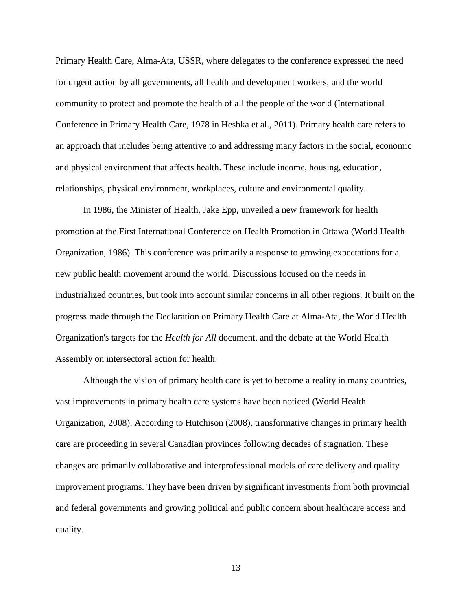Primary Health Care, Alma-Ata, USSR, where delegates to the conference expressed the need for urgent action by all governments, all health and development workers, and the world community to protect and promote the health of all the people of the world (International Conference in Primary Health Care, 1978 in Heshka et al., 2011). Primary health care refers to an approach that includes being attentive to and addressing many factors in the social, economic and physical environment that affects health. These include income, housing, education, relationships, physical environment, workplaces, culture and environmental quality.

In 1986, the Minister of Health, Jake Epp, unveiled a new framework for health promotion at the First International Conference on Health Promotion in Ottawa (World Health Organization, 1986). This conference was primarily a response to growing expectations for a new public health movement around the world. Discussions focused on the needs in industrialized countries, but took into account similar concerns in all other regions. It built on the progress made through the Declaration on Primary Health Care at Alma-Ata, the World Health Organization's targets for the *Health for All* document, and the debate at the World Health Assembly on intersectoral action for health.

Although the vision of primary health care is yet to become a reality in many countries, vast improvements in primary health care systems have been noticed (World Health Organization, 2008). According to Hutchison (2008), transformative changes in primary health care are proceeding in several Canadian provinces following decades of stagnation. These changes are primarily collaborative and interprofessional models of care delivery and quality improvement programs. They have been driven by significant investments from both provincial and federal governments and growing political and public concern about healthcare access and quality.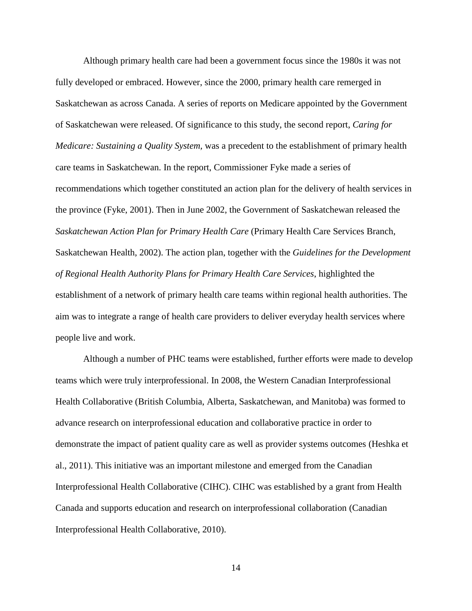Although primary health care had been a government focus since the 1980s it was not fully developed or embraced. However, since the 2000, primary health care remerged in Saskatchewan as across Canada. A series of reports on Medicare appointed by the Government of Saskatchewan were released. Of significance to this study, the second report, *Caring for Medicare: Sustaining a Quality System,* was a precedent to the establishment of primary health care teams in Saskatchewan. In the report, Commissioner Fyke made a series of recommendations which together constituted an action plan for the delivery of health services in the province (Fyke, 2001). Then in June 2002, the Government of Saskatchewan released the *Saskatchewan Action Plan for Primary Health Care* (Primary Health Care Services Branch, Saskatchewan Health, 2002). The action plan, together with the *Guidelines for the Development of Regional Health Authority Plans for Primary Health Care Services*, highlighted the establishment of a network of primary health care teams within regional health authorities. The aim was to integrate a range of health care providers to deliver everyday health services where people live and work.

Although a number of PHC teams were established, further efforts were made to develop teams which were truly interprofessional. In 2008, the Western Canadian Interprofessional Health Collaborative (British Columbia, Alberta, Saskatchewan, and Manitoba) was formed to advance research on interprofessional education and collaborative practice in order to demonstrate the impact of patient quality care as well as provider systems outcomes (Heshka et al., 2011). This initiative was an important milestone and emerged from the Canadian Interprofessional Health Collaborative (CIHC). CIHC was established by a grant from Health Canada and supports education and research on interprofessional collaboration (Canadian Interprofessional Health Collaborative, 2010).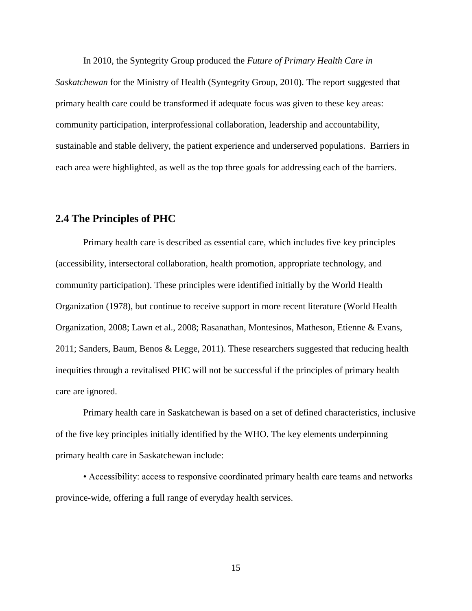In 2010, the Syntegrity Group produced the *Future of Primary Health Care in* 

*Saskatchewan* for the Ministry of Health (Syntegrity Group, 2010). The report suggested that primary health care could be transformed if adequate focus was given to these key areas: community participation, interprofessional collaboration, leadership and accountability, sustainable and stable delivery, the patient experience and underserved populations. Barriers in each area were highlighted, as well as the top three goals for addressing each of the barriers.

# <span id="page-26-0"></span>**2.4 The Principles of PHC**

Primary health care is described as essential care, which includes five key principles (accessibility, intersectoral collaboration, health promotion, appropriate technology, and community participation). These principles were identified initially by the World Health Organization (1978), but continue to receive support in more recent literature (World Health Organization, 2008; Lawn et al., 2008; Rasanathan, Montesinos, Matheson, Etienne & Evans, 2011; Sanders, Baum, Benos & Legge, 2011). These researchers suggested that reducing health inequities through a revitalised PHC will not be successful if the principles of primary health care are ignored.

Primary health care in Saskatchewan is based on a set of defined characteristics, inclusive of the five key principles initially identified by the WHO. The key elements underpinning primary health care in Saskatchewan include:

• Accessibility: access to responsive coordinated primary health care teams and networks province-wide, offering a full range of everyday health services.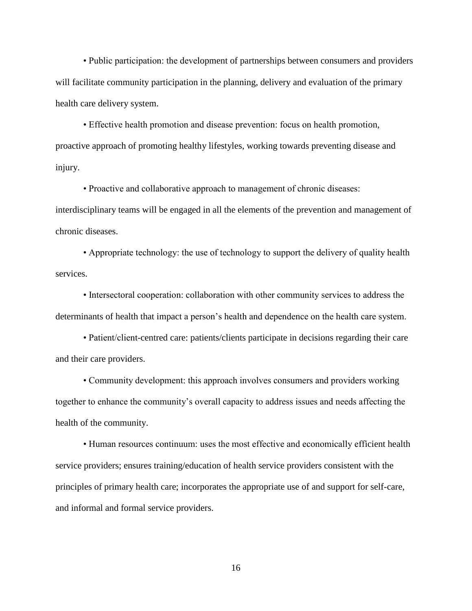• Public participation: the development of partnerships between consumers and providers will facilitate community participation in the planning, delivery and evaluation of the primary health care delivery system.

• Effective health promotion and disease prevention: focus on health promotion, proactive approach of promoting healthy lifestyles, working towards preventing disease and injury.

• Proactive and collaborative approach to management of chronic diseases: interdisciplinary teams will be engaged in all the elements of the prevention and management of chronic diseases.

• Appropriate technology: the use of technology to support the delivery of quality health services.

• Intersectoral cooperation: collaboration with other community services to address the determinants of health that impact a person's health and dependence on the health care system.

• Patient/client-centred care: patients/clients participate in decisions regarding their care and their care providers.

• Community development: this approach involves consumers and providers working together to enhance the community's overall capacity to address issues and needs affecting the health of the community.

• Human resources continuum: uses the most effective and economically efficient health service providers; ensures training/education of health service providers consistent with the principles of primary health care; incorporates the appropriate use of and support for self-care, and informal and formal service providers.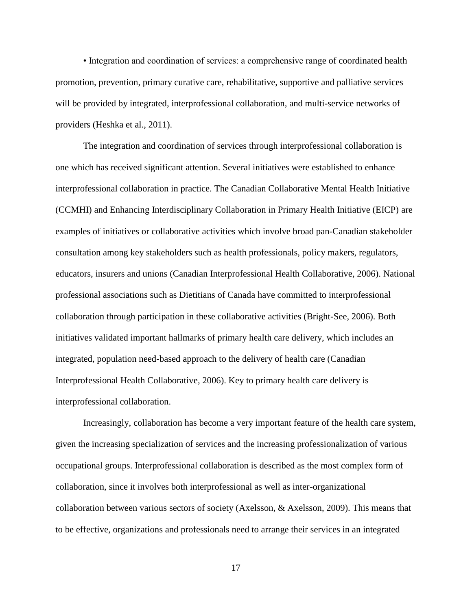• Integration and coordination of services: a comprehensive range of coordinated health promotion, prevention, primary curative care, rehabilitative, supportive and palliative services will be provided by integrated, interprofessional collaboration, and multi-service networks of providers (Heshka et al., 2011).

The integration and coordination of services through interprofessional collaboration is one which has received significant attention. Several initiatives were established to enhance interprofessional collaboration in practice. The Canadian Collaborative Mental Health Initiative (CCMHI) and Enhancing Interdisciplinary Collaboration in Primary Health Initiative (EICP) are examples of initiatives or collaborative activities which involve broad pan-Canadian stakeholder consultation among key stakeholders such as health professionals, policy makers, regulators, educators, insurers and unions (Canadian Interprofessional Health Collaborative, 2006). National professional associations such as Dietitians of Canada have committed to interprofessional collaboration through participation in these collaborative activities (Bright-See, 2006). Both initiatives validated important hallmarks of primary health care delivery, which includes an integrated, population need-based approach to the delivery of health care (Canadian Interprofessional Health Collaborative, 2006). Key to primary health care delivery is interprofessional collaboration.

Increasingly, collaboration has become a very important feature of the health care system, given the increasing specialization of services and the increasing professionalization of various occupational groups. Interprofessional collaboration is described as the most complex form of collaboration, since it involves both interprofessional as well as inter-organizational collaboration between various sectors of society (Axelsson, & Axelsson, 2009). This means that to be effective, organizations and professionals need to arrange their services in an integrated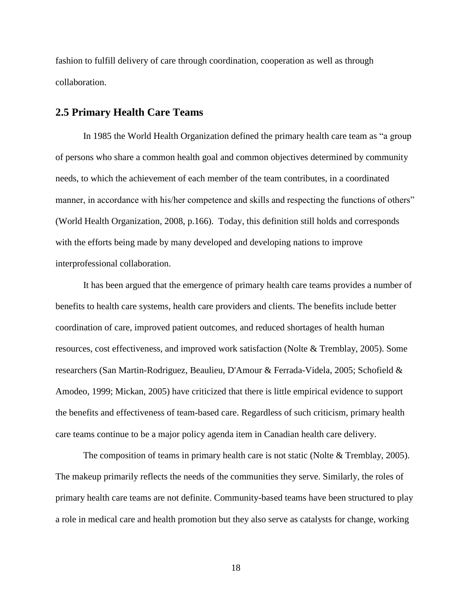fashion to fulfill delivery of care through coordination, cooperation as well as through collaboration.

## <span id="page-29-0"></span>**2.5 Primary Health Care Teams**

In 1985 the World Health Organization defined the primary health care team as "a group of persons who share a common health goal and common objectives determined by community needs, to which the achievement of each member of the team contributes, in a coordinated manner, in accordance with his/her competence and skills and respecting the functions of others" (World Health Organization, 2008, p.166). Today, this definition still holds and corresponds with the efforts being made by many developed and developing nations to improve interprofessional collaboration.

It has been argued that the emergence of primary health care teams provides a number of benefits to health care systems, health care providers and clients. The benefits include better coordination of care, improved patient outcomes, and reduced shortages of health human resources, cost effectiveness, and improved work satisfaction (Nolte & Tremblay, 2005). Some researchers (San Martin-Rodriguez, Beaulieu, D'Amour & Ferrada-Videla, 2005; Schofield & Amodeo, 1999; Mickan, 2005) have criticized that there is little empirical evidence to support the benefits and effectiveness of team-based care. Regardless of such criticism, primary health care teams continue to be a major policy agenda item in Canadian health care delivery.

The composition of teams in primary health care is not static (Nolte & Tremblay, 2005). The makeup primarily reflects the needs of the communities they serve. Similarly, the roles of primary health care teams are not definite. Community-based teams have been structured to play a role in medical care and health promotion but they also serve as catalysts for change, working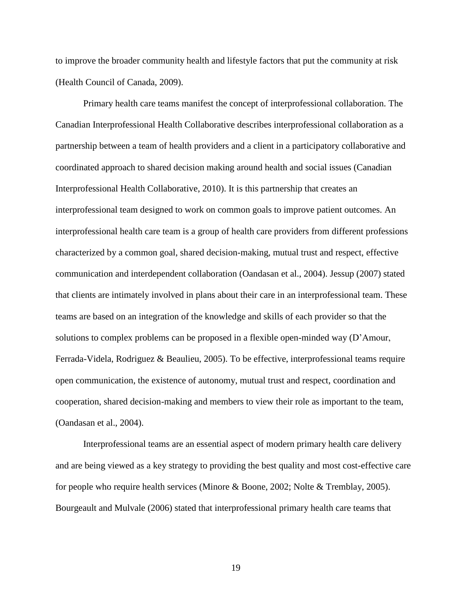to improve the broader community health and lifestyle factors that put the community at risk (Health Council of Canada, 2009).

Primary health care teams manifest the concept of interprofessional collaboration. The Canadian Interprofessional Health Collaborative describes interprofessional collaboration as a partnership between a team of health providers and a client in a participatory collaborative and coordinated approach to shared decision making around health and social issues (Canadian Interprofessional Health Collaborative, 2010). It is this partnership that creates an interprofessional team designed to work on common goals to improve patient outcomes. An interprofessional health care team is a group of health care providers from different professions characterized by a common goal, shared decision-making, mutual trust and respect, effective communication and interdependent collaboration (Oandasan et al., 2004). Jessup (2007) stated that clients are intimately involved in plans about their care in an interprofessional team. These teams are based on an integration of the knowledge and skills of each provider so that the solutions to complex problems can be proposed in a flexible open-minded way (D'Amour, Ferrada-Videla, Rodriguez & Beaulieu, 2005). To be effective, interprofessional teams require open communication, the existence of autonomy, mutual trust and respect, coordination and cooperation, shared decision-making and members to view their role as important to the team, (Oandasan et al., 2004).

Interprofessional teams are an essential aspect of modern primary health care delivery and are being viewed as a key strategy to providing the best quality and most cost-effective care for people who require health services (Minore & Boone, 2002; Nolte & Tremblay, 2005). Bourgeault and Mulvale (2006) stated that interprofessional primary health care teams that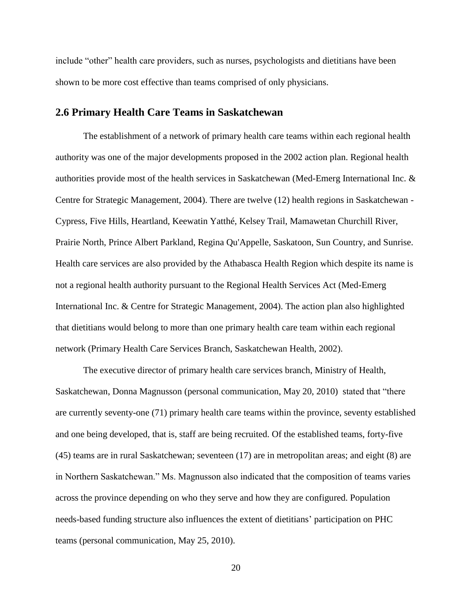include "other" health care providers, such as nurses, psychologists and dietitians have been shown to be more cost effective than teams comprised of only physicians.

## <span id="page-31-0"></span>**2.6 Primary Health Care Teams in Saskatchewan**

The establishment of a network of primary health care teams within each regional health authority was one of the major developments proposed in the 2002 action plan. Regional health authorities provide most of the health services in Saskatchewan (Med-Emerg International Inc. & Centre for Strategic Management, 2004). There are twelve (12) health regions in Saskatchewan - Cypress, Five Hills, Heartland, Keewatin Yatthé, Kelsey Trail, Mamawetan Churchill River, Prairie North, Prince Albert Parkland, Regina Qu'Appelle, Saskatoon, Sun Country, and Sunrise. Health care services are also provided by the Athabasca Health Region which despite its name is not a regional health authority pursuant to the Regional Health Services Act (Med-Emerg International Inc. & Centre for Strategic Management, 2004). The action plan also highlighted that dietitians would belong to more than one primary health care team within each regional network (Primary Health Care Services Branch, Saskatchewan Health, 2002).

The executive director of primary health care services branch, Ministry of Health, Saskatchewan, Donna Magnusson (personal communication, May 20, 2010) stated that "there are currently seventy-one (71) primary health care teams within the province, seventy established and one being developed, that is, staff are being recruited. Of the established teams, forty-five (45) teams are in rural Saskatchewan; seventeen (17) are in metropolitan areas; and eight (8) are in Northern Saskatchewan." Ms. Magnusson also indicated that the composition of teams varies across the province depending on who they serve and how they are configured. Population needs-based funding structure also influences the extent of dietitians' participation on PHC teams (personal communication, May 25, 2010).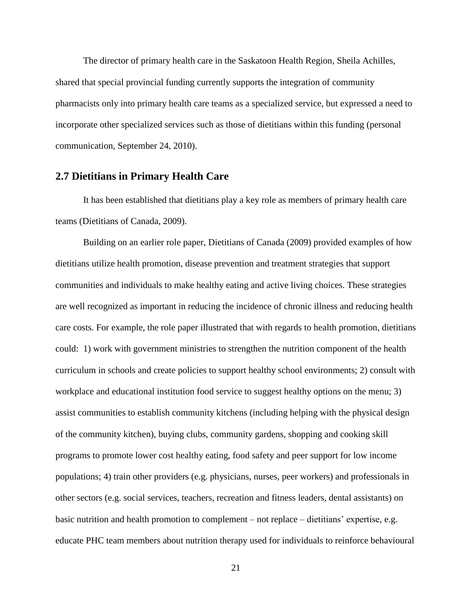The director of primary health care in the Saskatoon Health Region, Sheila Achilles, shared that special provincial funding currently supports the integration of community pharmacists only into primary health care teams as a specialized service, but expressed a need to incorporate other specialized services such as those of dietitians within this funding (personal communication, September 24, 2010).

## <span id="page-32-0"></span>**2.7 Dietitians in Primary Health Care**

It has been established that dietitians play a key role as members of primary health care teams (Dietitians of Canada, 2009).

Building on an earlier role paper, Dietitians of Canada (2009) provided examples of how dietitians utilize health promotion, disease prevention and treatment strategies that support communities and individuals to make healthy eating and active living choices. These strategies are well recognized as important in reducing the incidence of chronic illness and reducing health care costs. For example, the role paper illustrated that with regards to health promotion, dietitians could: 1) work with government ministries to strengthen the nutrition component of the health curriculum in schools and create policies to support healthy school environments; 2) consult with workplace and educational institution food service to suggest healthy options on the menu; 3) assist communities to establish community kitchens (including helping with the physical design of the community kitchen), buying clubs, community gardens, shopping and cooking skill programs to promote lower cost healthy eating, food safety and peer support for low income populations; 4) train other providers (e.g. physicians, nurses, peer workers) and professionals in other sectors (e.g. social services, teachers, recreation and fitness leaders, dental assistants) on basic nutrition and health promotion to complement – not replace – dietitians' expertise, e.g. educate PHC team members about nutrition therapy used for individuals to reinforce behavioural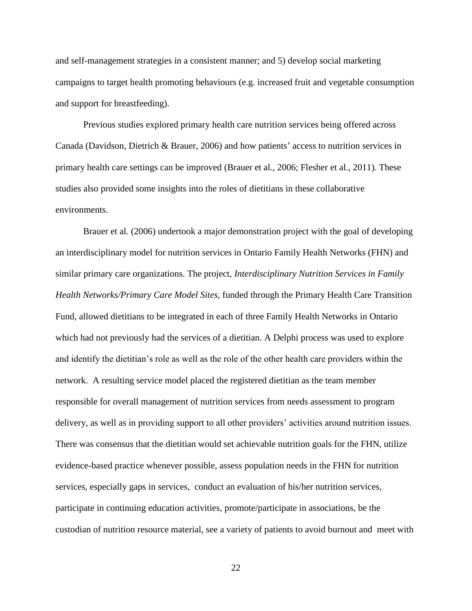and self-management strategies in a consistent manner; and 5) develop social marketing campaigns to target health promoting behaviours (e.g. increased fruit and vegetable consumption and support for breastfeeding).

Previous studies explored primary health care nutrition services being offered across Canada (Davidson, Dietrich & Brauer, 2006) and how patients' access to nutrition services in primary health care settings can be improved (Brauer et al., 2006; Flesher et al., 2011). These studies also provided some insights into the roles of dietitians in these collaborative environments.

Brauer et al. (2006) undertook a major demonstration project with the goal of developing an interdisciplinary model for nutrition services in Ontario Family Health Networks (FHN) and similar primary care organizations. The project, *Interdisciplinary Nutrition Services in Family Health Networks/Primary Care Model Sites,* funded through the Primary Health Care Transition Fund, allowed dietitians to be integrated in each of three Family Health Networks in Ontario which had not previously had the services of a dietitian. A Delphi process was used to explore and identify the dietitian's role as well as the role of the other health care providers within the network. A resulting service model placed the registered dietitian as the team member responsible for overall management of nutrition services from needs assessment to program delivery, as well as in providing support to all other providers' activities around nutrition issues. There was consensus that the dietitian would set achievable nutrition goals for the FHN, utilize evidence-based practice whenever possible, assess population needs in the FHN for nutrition services, especially gaps in services, conduct an evaluation of his/her nutrition services, participate in continuing education activities, promote/participate in associations, be the custodian of nutrition resource material, see a variety of patients to avoid burnout and meet with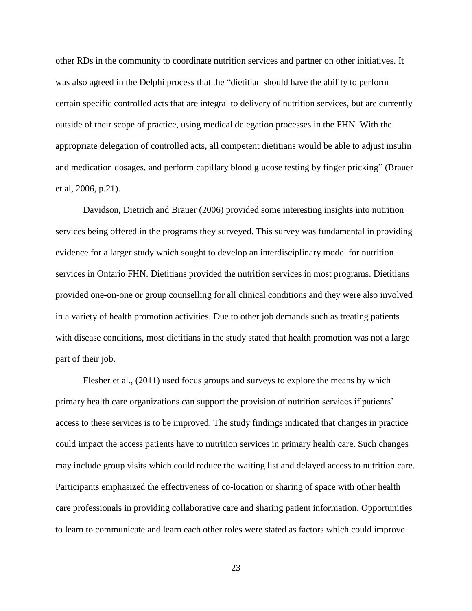other RDs in the community to coordinate nutrition services and partner on other initiatives. It was also agreed in the Delphi process that the "dietitian should have the ability to perform certain specific controlled acts that are integral to delivery of nutrition services, but are currently outside of their scope of practice, using medical delegation processes in the FHN. With the appropriate delegation of controlled acts, all competent dietitians would be able to adjust insulin and medication dosages, and perform capillary blood glucose testing by finger pricking" (Brauer et al, 2006, p.21).

Davidson, Dietrich and Brauer (2006) provided some interesting insights into nutrition services being offered in the programs they surveyed. This survey was fundamental in providing evidence for a larger study which sought to develop an interdisciplinary model for nutrition services in Ontario FHN. Dietitians provided the nutrition services in most programs. Dietitians provided one-on-one or group counselling for all clinical conditions and they were also involved in a variety of health promotion activities. Due to other job demands such as treating patients with disease conditions, most dietitians in the study stated that health promotion was not a large part of their job.

Flesher et al., (2011) used focus groups and surveys to explore the means by which primary health care organizations can support the provision of nutrition services if patients' access to these services is to be improved. The study findings indicated that changes in practice could impact the access patients have to nutrition services in primary health care. Such changes may include group visits which could reduce the waiting list and delayed access to nutrition care. Participants emphasized the effectiveness of co-location or sharing of space with other health care professionals in providing collaborative care and sharing patient information. Opportunities to learn to communicate and learn each other roles were stated as factors which could improve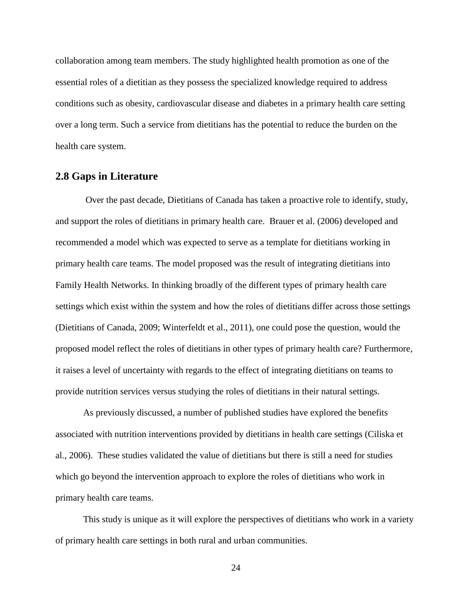collaboration among team members. The study highlighted health promotion as one of the essential roles of a dietitian as they possess the specialized knowledge required to address conditions such as obesity, cardiovascular disease and diabetes in a primary health care setting over a long term. Such a service from dietitians has the potential to reduce the burden on the health care system.

## <span id="page-35-0"></span>**2.8 Gaps in Literature**

Over the past decade, Dietitians of Canada has taken a proactive role to identify, study, and support the roles of dietitians in primary health care. Brauer et al. (2006) developed and recommended a model which was expected to serve as a template for dietitians working in primary health care teams. The model proposed was the result of integrating dietitians into Family Health Networks. In thinking broadly of the different types of primary health care settings which exist within the system and how the roles of dietitians differ across those settings (Dietitians of Canada, 2009; Winterfeldt et al., 2011), one could pose the question, would the proposed model reflect the roles of dietitians in other types of primary health care? Furthermore, it raises a level of uncertainty with regards to the effect of integrating dietitians on teams to provide nutrition services versus studying the roles of dietitians in their natural settings.

As previously discussed, a number of published studies have explored the benefits associated with nutrition interventions provided by dietitians in health care settings (Ciliska et al., 2006). These studies validated the value of dietitians but there is still a need for studies which go beyond the intervention approach to explore the roles of dietitians who work in primary health care teams.

This study is unique as it will explore the perspectives of dietitians who work in a variety of primary health care settings in both rural and urban communities.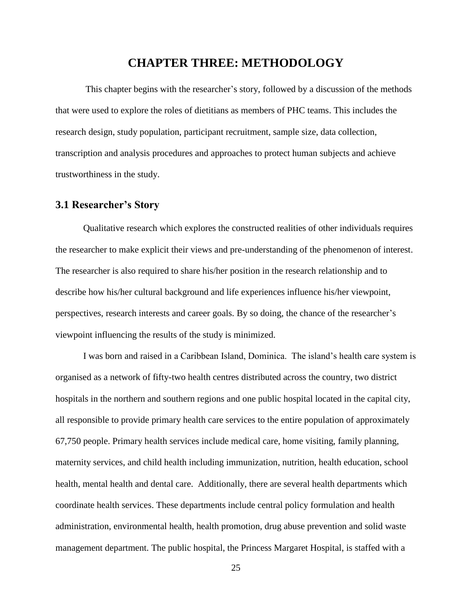# **CHAPTER THREE: METHODOLOGY**

This chapter begins with the researcher's story, followed by a discussion of the methods that were used to explore the roles of dietitians as members of PHC teams. This includes the research design, study population, participant recruitment, sample size, data collection, transcription and analysis procedures and approaches to protect human subjects and achieve trustworthiness in the study.

### **3.1 Researcher's Story**

Qualitative research which explores the constructed realities of other individuals requires the researcher to make explicit their views and pre-understanding of the phenomenon of interest. The researcher is also required to share his/her position in the research relationship and to describe how his/her cultural background and life experiences influence his/her viewpoint, perspectives, research interests and career goals. By so doing, the chance of the researcher's viewpoint influencing the results of the study is minimized.

I was born and raised in a Caribbean Island, Dominica. The island's health care system is organised as a network of fifty-two health centres distributed across the country, two district hospitals in the northern and southern regions and one public hospital located in the capital city, all responsible to provide primary health care services to the entire population of approximately 67,750 people. Primary health services include medical care, home visiting, family planning, maternity services, and child health including immunization, nutrition, health education, school health, mental health and dental care. Additionally, there are several health departments which coordinate health services. These departments include central policy formulation and health administration, environmental health, health promotion, drug abuse prevention and solid waste management department. The public hospital, the Princess Margaret Hospital, is staffed with a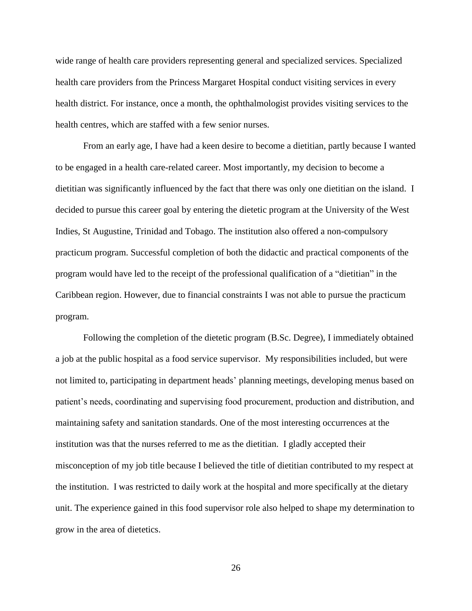wide range of health care providers representing general and specialized services. Specialized health care providers from the Princess Margaret Hospital conduct visiting services in every health district. For instance, once a month, the ophthalmologist provides visiting services to the health centres, which are staffed with a few senior nurses.

From an early age, I have had a keen desire to become a dietitian, partly because I wanted to be engaged in a health care-related career. Most importantly, my decision to become a dietitian was significantly influenced by the fact that there was only one dietitian on the island. I decided to pursue this career goal by entering the dietetic program at the University of the West Indies, St Augustine, Trinidad and Tobago. The institution also offered a non-compulsory practicum program. Successful completion of both the didactic and practical components of the program would have led to the receipt of the professional qualification of a "dietitian" in the Caribbean region. However, due to financial constraints I was not able to pursue the practicum program.

Following the completion of the dietetic program (B.Sc. Degree), I immediately obtained a job at the public hospital as a food service supervisor. My responsibilities included, but were not limited to, participating in department heads' planning meetings, developing menus based on patient's needs, coordinating and supervising food procurement, production and distribution, and maintaining safety and sanitation standards. One of the most interesting occurrences at the institution was that the nurses referred to me as the dietitian. I gladly accepted their misconception of my job title because I believed the title of dietitian contributed to my respect at the institution. I was restricted to daily work at the hospital and more specifically at the dietary unit. The experience gained in this food supervisor role also helped to shape my determination to grow in the area of dietetics.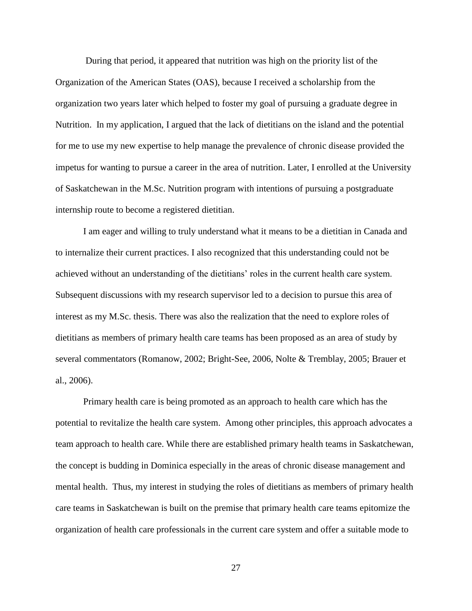During that period, it appeared that nutrition was high on the priority list of the Organization of the American States (OAS), because I received a scholarship from the organization two years later which helped to foster my goal of pursuing a graduate degree in Nutrition. In my application, I argued that the lack of dietitians on the island and the potential for me to use my new expertise to help manage the prevalence of chronic disease provided the impetus for wanting to pursue a career in the area of nutrition. Later, I enrolled at the University of Saskatchewan in the M.Sc. Nutrition program with intentions of pursuing a postgraduate internship route to become a registered dietitian.

I am eager and willing to truly understand what it means to be a dietitian in Canada and to internalize their current practices. I also recognized that this understanding could not be achieved without an understanding of the dietitians' roles in the current health care system. Subsequent discussions with my research supervisor led to a decision to pursue this area of interest as my M.Sc. thesis. There was also the realization that the need to explore roles of dietitians as members of primary health care teams has been proposed as an area of study by several commentators (Romanow, 2002; Bright-See, 2006, Nolte & Tremblay, 2005; Brauer et al., 2006).

Primary health care is being promoted as an approach to health care which has the potential to revitalize the health care system. Among other principles, this approach advocates a team approach to health care. While there are established primary health teams in Saskatchewan, the concept is budding in Dominica especially in the areas of chronic disease management and mental health. Thus, my interest in studying the roles of dietitians as members of primary health care teams in Saskatchewan is built on the premise that primary health care teams epitomize the organization of health care professionals in the current care system and offer a suitable mode to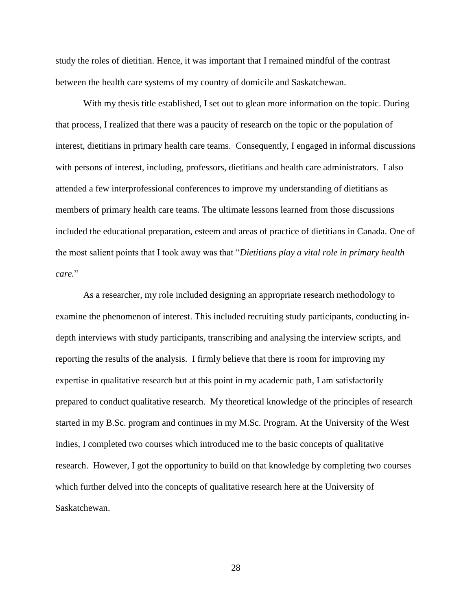study the roles of dietitian. Hence, it was important that I remained mindful of the contrast between the health care systems of my country of domicile and Saskatchewan.

With my thesis title established, I set out to glean more information on the topic. During that process, I realized that there was a paucity of research on the topic or the population of interest, dietitians in primary health care teams. Consequently, I engaged in informal discussions with persons of interest, including, professors, dietitians and health care administrators. I also attended a few interprofessional conferences to improve my understanding of dietitians as members of primary health care teams. The ultimate lessons learned from those discussions included the educational preparation, esteem and areas of practice of dietitians in Canada. One of the most salient points that I took away was that "*Dietitians play a vital role in primary health care.*"

As a researcher, my role included designing an appropriate research methodology to examine the phenomenon of interest. This included recruiting study participants, conducting indepth interviews with study participants, transcribing and analysing the interview scripts, and reporting the results of the analysis. I firmly believe that there is room for improving my expertise in qualitative research but at this point in my academic path, I am satisfactorily prepared to conduct qualitative research. My theoretical knowledge of the principles of research started in my B.Sc. program and continues in my M.Sc. Program. At the University of the West Indies, I completed two courses which introduced me to the basic concepts of qualitative research. However, I got the opportunity to build on that knowledge by completing two courses which further delved into the concepts of qualitative research here at the University of Saskatchewan.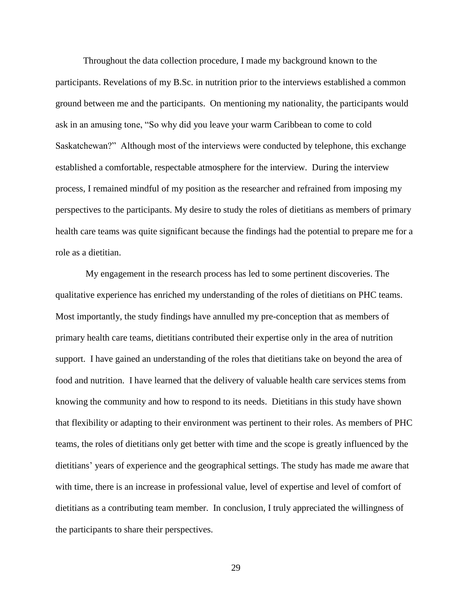Throughout the data collection procedure, I made my background known to the participants. Revelations of my B.Sc. in nutrition prior to the interviews established a common ground between me and the participants. On mentioning my nationality, the participants would ask in an amusing tone, "So why did you leave your warm Caribbean to come to cold Saskatchewan?" Although most of the interviews were conducted by telephone, this exchange established a comfortable, respectable atmosphere for the interview. During the interview process, I remained mindful of my position as the researcher and refrained from imposing my perspectives to the participants. My desire to study the roles of dietitians as members of primary health care teams was quite significant because the findings had the potential to prepare me for a role as a dietitian.

My engagement in the research process has led to some pertinent discoveries. The qualitative experience has enriched my understanding of the roles of dietitians on PHC teams. Most importantly, the study findings have annulled my pre-conception that as members of primary health care teams, dietitians contributed their expertise only in the area of nutrition support. I have gained an understanding of the roles that dietitians take on beyond the area of food and nutrition. I have learned that the delivery of valuable health care services stems from knowing the community and how to respond to its needs. Dietitians in this study have shown that flexibility or adapting to their environment was pertinent to their roles. As members of PHC teams, the roles of dietitians only get better with time and the scope is greatly influenced by the dietitians' years of experience and the geographical settings. The study has made me aware that with time, there is an increase in professional value, level of expertise and level of comfort of dietitians as a contributing team member. In conclusion, I truly appreciated the willingness of the participants to share their perspectives.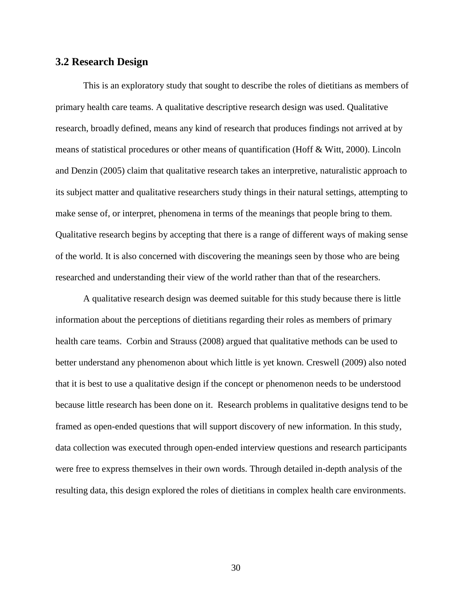### **3.2 Research Design**

This is an exploratory study that sought to describe the roles of dietitians as members of primary health care teams. A qualitative descriptive research design was used. Qualitative research, broadly defined, means any kind of research that produces findings not arrived at by means of statistical procedures or other means of quantification (Hoff & Witt, 2000). Lincoln and Denzin (2005) claim that qualitative research takes an interpretive, naturalistic approach to its subject matter and qualitative researchers study things in their natural settings, attempting to make sense of, or interpret, phenomena in terms of the meanings that people bring to them. Qualitative research begins by accepting that there is a range of different ways of making sense of the world. It is also concerned with discovering the meanings seen by those who are being researched and understanding their view of the world rather than that of the researchers.

A qualitative research design was deemed suitable for this study because there is little information about the perceptions of dietitians regarding their roles as members of primary health care teams. Corbin and Strauss (2008) argued that qualitative methods can be used to better understand any phenomenon about which little is yet known. Creswell (2009) also noted that it is best to use a qualitative design if the concept or phenomenon needs to be understood because little research has been done on it. Research problems in qualitative designs tend to be framed as open-ended questions that will support discovery of new information. In this study, data collection was executed through open-ended interview questions and research participants were free to express themselves in their own words. Through detailed in-depth analysis of the resulting data, this design explored the roles of dietitians in complex health care environments.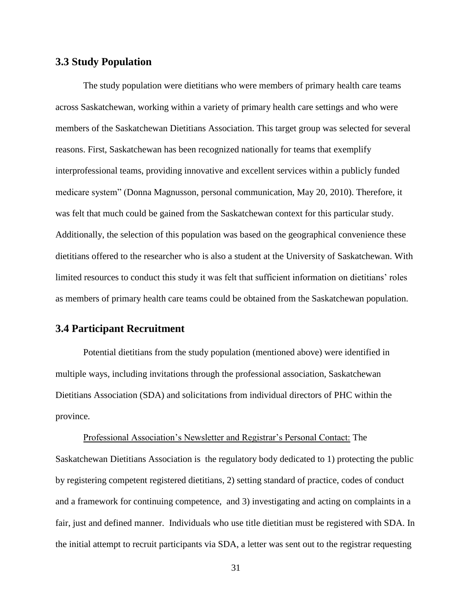### **3.3 Study Population**

The study population were dietitians who were members of primary health care teams across Saskatchewan, working within a variety of primary health care settings and who were members of the Saskatchewan Dietitians Association. This target group was selected for several reasons. First, Saskatchewan has been recognized nationally for teams that exemplify interprofessional teams, providing innovative and excellent services within a publicly funded medicare system" (Donna Magnusson, personal communication, May 20, 2010). Therefore, it was felt that much could be gained from the Saskatchewan context for this particular study. Additionally, the selection of this population was based on the geographical convenience these dietitians offered to the researcher who is also a student at the University of Saskatchewan. With limited resources to conduct this study it was felt that sufficient information on dietitians' roles as members of primary health care teams could be obtained from the Saskatchewan population.

# **3.4 Participant Recruitment**

Potential dietitians from the study population (mentioned above) were identified in multiple ways, including invitations through the professional association, Saskatchewan Dietitians Association (SDA) and solicitations from individual directors of PHC within the province.

Professional Association's Newsletter and Registrar's Personal Contact: The Saskatchewan Dietitians Association is the regulatory body dedicated to 1) protecting the public by registering competent registered dietitians, 2) setting standard of practice, codes of conduct and a framework for continuing competence, and 3) investigating and acting on complaints in a fair, just and defined manner. Individuals who use title dietitian must be registered with SDA. In the initial attempt to recruit participants via SDA, a letter was sent out to the registrar requesting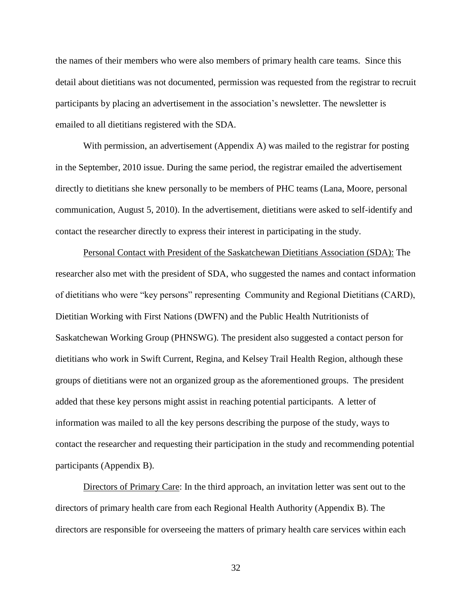the names of their members who were also members of primary health care teams. Since this detail about dietitians was not documented, permission was requested from the registrar to recruit participants by placing an advertisement in the association's newsletter. The newsletter is emailed to all dietitians registered with the SDA.

With permission, an advertisement (Appendix A) was mailed to the registrar for posting in the September, 2010 issue. During the same period, the registrar emailed the advertisement directly to dietitians she knew personally to be members of PHC teams (Lana, Moore, personal communication, August 5, 2010). In the advertisement, dietitians were asked to self-identify and contact the researcher directly to express their interest in participating in the study.

Personal Contact with President of the Saskatchewan Dietitians Association (SDA): The researcher also met with the president of SDA, who suggested the names and contact information of dietitians who were "key persons" representing Community and Regional Dietitians (CARD), Dietitian Working with First Nations (DWFN) and the Public Health Nutritionists of Saskatchewan Working Group (PHNSWG). The president also suggested a contact person for dietitians who work in Swift Current, Regina, and Kelsey Trail Health Region, although these groups of dietitians were not an organized group as the aforementioned groups. The president added that these key persons might assist in reaching potential participants. A letter of information was mailed to all the key persons describing the purpose of the study, ways to contact the researcher and requesting their participation in the study and recommending potential participants (Appendix B).

Directors of Primary Care: In the third approach, an invitation letter was sent out to the directors of primary health care from each Regional Health Authority (Appendix B). The directors are responsible for overseeing the matters of primary health care services within each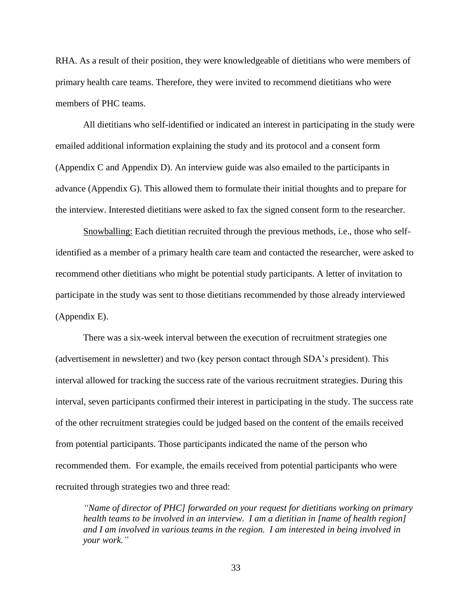RHA. As a result of their position, they were knowledgeable of dietitians who were members of primary health care teams. Therefore, they were invited to recommend dietitians who were members of PHC teams.

All dietitians who self-identified or indicated an interest in participating in the study were emailed additional information explaining the study and its protocol and a consent form (Appendix C and Appendix D). An interview guide was also emailed to the participants in advance (Appendix G). This allowed them to formulate their initial thoughts and to prepare for the interview. Interested dietitians were asked to fax the signed consent form to the researcher.

Snowballing: Each dietitian recruited through the previous methods, i.e., those who selfidentified as a member of a primary health care team and contacted the researcher, were asked to recommend other dietitians who might be potential study participants. A letter of invitation to participate in the study was sent to those dietitians recommended by those already interviewed (Appendix E).

There was a six-week interval between the execution of recruitment strategies one (advertisement in newsletter) and two (key person contact through SDA's president). This interval allowed for tracking the success rate of the various recruitment strategies. During this interval, seven participants confirmed their interest in participating in the study. The success rate of the other recruitment strategies could be judged based on the content of the emails received from potential participants. Those participants indicated the name of the person who recommended them. For example, the emails received from potential participants who were recruited through strategies two and three read:

*"Name of director of PHC] forwarded on your request for dietitians working on primary health teams to be involved in an interview. I am a dietitian in [name of health region] and I am involved in various teams in the region. I am interested in being involved in your work."*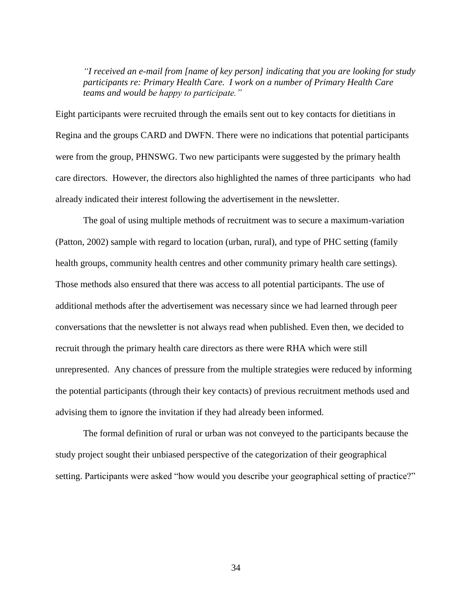*"I received an e-mail from [name of key person] indicating that you are looking for study participants re: Primary Health Care. I work on a number of Primary Health Care teams and would be happy to participate."*

Eight participants were recruited through the emails sent out to key contacts for dietitians in Regina and the groups CARD and DWFN. There were no indications that potential participants were from the group, PHNSWG. Two new participants were suggested by the primary health care directors. However, the directors also highlighted the names of three participants who had already indicated their interest following the advertisement in the newsletter.

The goal of using multiple methods of recruitment was to secure a maximum-variation (Patton, 2002) sample with regard to location (urban, rural), and type of PHC setting (family health groups, community health centres and other community primary health care settings). Those methods also ensured that there was access to all potential participants. The use of additional methods after the advertisement was necessary since we had learned through peer conversations that the newsletter is not always read when published. Even then, we decided to recruit through the primary health care directors as there were RHA which were still unrepresented. Any chances of pressure from the multiple strategies were reduced by informing the potential participants (through their key contacts) of previous recruitment methods used and advising them to ignore the invitation if they had already been informed.

The formal definition of rural or urban was not conveyed to the participants because the study project sought their unbiased perspective of the categorization of their geographical setting. Participants were asked "how would you describe your geographical setting of practice?"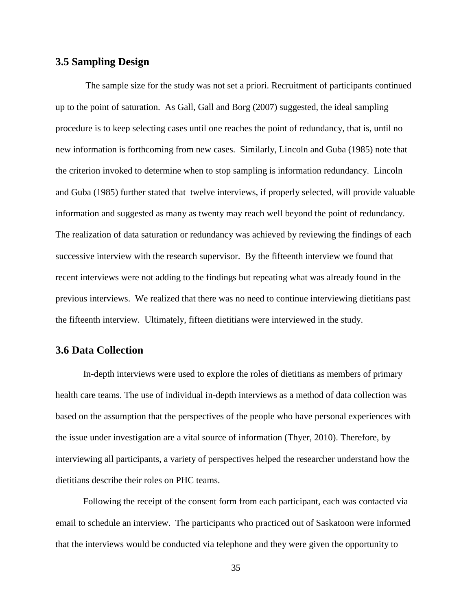### **3.5 Sampling Design**

The sample size for the study was not set a priori. Recruitment of participants continued up to the point of saturation. As Gall, Gall and Borg (2007) suggested, the ideal sampling procedure is to keep selecting cases until one reaches the point of redundancy, that is, until no new information is forthcoming from new cases. Similarly, Lincoln and Guba (1985) note that the criterion invoked to determine when to stop sampling is information redundancy. Lincoln and Guba (1985) further stated that twelve interviews, if properly selected, will provide valuable information and suggested as many as twenty may reach well beyond the point of redundancy. The realization of data saturation or redundancy was achieved by reviewing the findings of each successive interview with the research supervisor. By the fifteenth interview we found that recent interviews were not adding to the findings but repeating what was already found in the previous interviews. We realized that there was no need to continue interviewing dietitians past the fifteenth interview. Ultimately, fifteen dietitians were interviewed in the study.

## **3.6 Data Collection**

In-depth interviews were used to explore the roles of dietitians as members of primary health care teams. The use of individual in-depth interviews as a method of data collection was based on the assumption that the perspectives of the people who have personal experiences with the issue under investigation are a vital source of information (Thyer, 2010). Therefore, by interviewing all participants, a variety of perspectives helped the researcher understand how the dietitians describe their roles on PHC teams.

Following the receipt of the consent form from each participant, each was contacted via email to schedule an interview. The participants who practiced out of Saskatoon were informed that the interviews would be conducted via telephone and they were given the opportunity to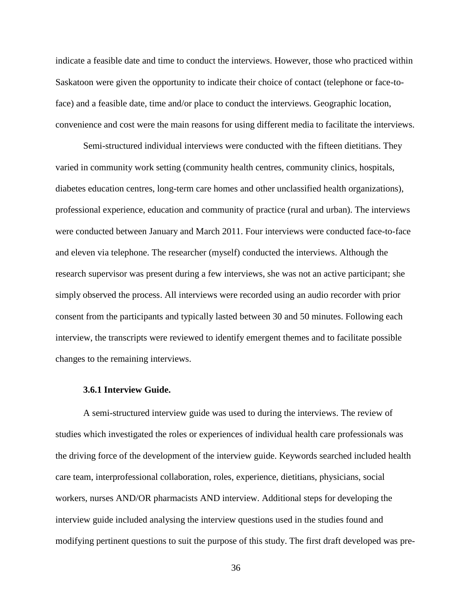indicate a feasible date and time to conduct the interviews. However, those who practiced within Saskatoon were given the opportunity to indicate their choice of contact (telephone or face-toface) and a feasible date, time and/or place to conduct the interviews. Geographic location, convenience and cost were the main reasons for using different media to facilitate the interviews.

Semi-structured individual interviews were conducted with the fifteen dietitians. They varied in community work setting (community health centres, community clinics, hospitals, diabetes education centres, long-term care homes and other unclassified health organizations), professional experience, education and community of practice (rural and urban). The interviews were conducted between January and March 2011. Four interviews were conducted face-to-face and eleven via telephone. The researcher (myself) conducted the interviews. Although the research supervisor was present during a few interviews, she was not an active participant; she simply observed the process. All interviews were recorded using an audio recorder with prior consent from the participants and typically lasted between 30 and 50 minutes. Following each interview, the transcripts were reviewed to identify emergent themes and to facilitate possible changes to the remaining interviews.

#### **3.6.1 Interview Guide.**

A semi-structured interview guide was used to during the interviews. The review of studies which investigated the roles or experiences of individual health care professionals was the driving force of the development of the interview guide. Keywords searched included health care team, interprofessional collaboration, roles, experience, dietitians, physicians, social workers, nurses AND/OR pharmacists AND interview. Additional steps for developing the interview guide included analysing the interview questions used in the studies found and modifying pertinent questions to suit the purpose of this study. The first draft developed was pre-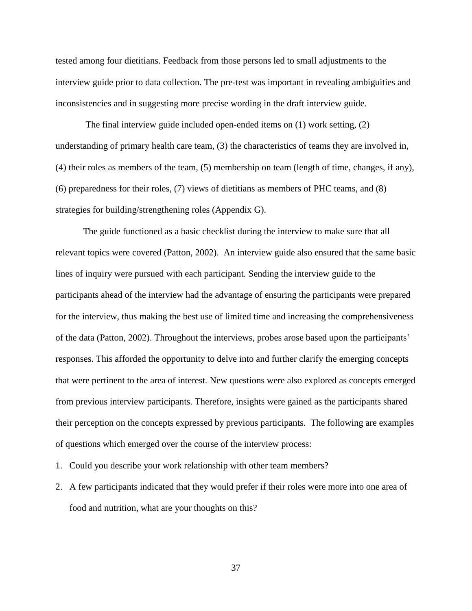tested among four dietitians. Feedback from those persons led to small adjustments to the interview guide prior to data collection. The pre-test was important in revealing ambiguities and inconsistencies and in suggesting more precise wording in the draft interview guide.

The final interview guide included open-ended items on (1) work setting, (2) understanding of primary health care team, (3) the characteristics of teams they are involved in, (4) their roles as members of the team, (5) membership on team (length of time, changes, if any), (6) preparedness for their roles, (7) views of dietitians as members of PHC teams, and (8) strategies for building/strengthening roles (Appendix G).

The guide functioned as a basic checklist during the interview to make sure that all relevant topics were covered (Patton, 2002). An interview guide also ensured that the same basic lines of inquiry were pursued with each participant. Sending the interview guide to the participants ahead of the interview had the advantage of ensuring the participants were prepared for the interview, thus making the best use of limited time and increasing the comprehensiveness of the data (Patton, 2002). Throughout the interviews, probes arose based upon the participants' responses. This afforded the opportunity to delve into and further clarify the emerging concepts that were pertinent to the area of interest. New questions were also explored as concepts emerged from previous interview participants. Therefore, insights were gained as the participants shared their perception on the concepts expressed by previous participants. The following are examples of questions which emerged over the course of the interview process:

- 1. Could you describe your work relationship with other team members?
- 2. A few participants indicated that they would prefer if their roles were more into one area of food and nutrition, what are your thoughts on this?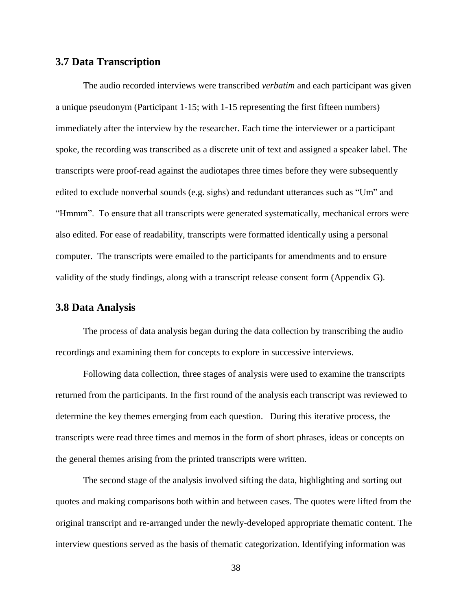## **3.7 Data Transcription**

The audio recorded interviews were transcribed *verbatim* and each participant was given a unique pseudonym (Participant 1-15; with 1-15 representing the first fifteen numbers) immediately after the interview by the researcher. Each time the interviewer or a participant spoke, the recording was transcribed as a discrete unit of text and assigned a speaker label. The transcripts were proof-read against the audiotapes three times before they were subsequently edited to exclude nonverbal sounds (e.g. sighs) and redundant utterances such as "Um" and "Hmmm". To ensure that all transcripts were generated systematically, mechanical errors were also edited. For ease of readability, transcripts were formatted identically using a personal computer. The transcripts were emailed to the participants for amendments and to ensure validity of the study findings, along with a transcript release consent form (Appendix G).

### **3.8 Data Analysis**

The process of data analysis began during the data collection by transcribing the audio recordings and examining them for concepts to explore in successive interviews.

Following data collection, three stages of analysis were used to examine the transcripts returned from the participants. In the first round of the analysis each transcript was reviewed to determine the key themes emerging from each question. During this iterative process, the transcripts were read three times and memos in the form of short phrases, ideas or concepts on the general themes arising from the printed transcripts were written.

The second stage of the analysis involved sifting the data, highlighting and sorting out quotes and making comparisons both within and between cases. The quotes were lifted from the original transcript and re-arranged under the newly-developed appropriate thematic content. The interview questions served as the basis of thematic categorization. Identifying information was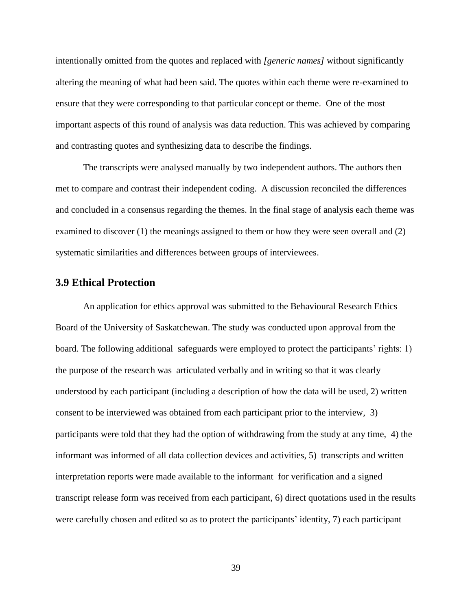intentionally omitted from the quotes and replaced with *[generic names]* without significantly altering the meaning of what had been said. The quotes within each theme were re-examined to ensure that they were corresponding to that particular concept or theme. One of the most important aspects of this round of analysis was data reduction. This was achieved by comparing and contrasting quotes and synthesizing data to describe the findings.

The transcripts were analysed manually by two independent authors. The authors then met to compare and contrast their independent coding. A discussion reconciled the differences and concluded in a consensus regarding the themes. In the final stage of analysis each theme was examined to discover (1) the meanings assigned to them or how they were seen overall and (2) systematic similarities and differences between groups of interviewees.

### **3.9 Ethical Protection**

An application for ethics approval was submitted to the Behavioural Research Ethics Board of the University of Saskatchewan. The study was conducted upon approval from the board. The following additional safeguards were employed to protect the participants' rights: 1) the purpose of the research was articulated verbally and in writing so that it was clearly understood by each participant (including a description of how the data will be used, 2) written consent to be interviewed was obtained from each participant prior to the interview, 3) participants were told that they had the option of withdrawing from the study at any time, 4) the informant was informed of all data collection devices and activities, 5) transcripts and written interpretation reports were made available to the informant for verification and a signed transcript release form was received from each participant, 6) direct quotations used in the results were carefully chosen and edited so as to protect the participants' identity, 7) each participant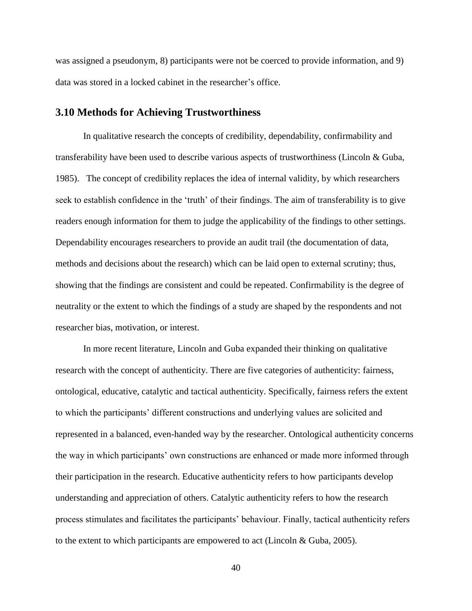was assigned a pseudonym, 8) participants were not be coerced to provide information, and 9) data was stored in a locked cabinet in the researcher's office.

### **3.10 Methods for Achieving Trustworthiness**

In qualitative research the concepts of credibility, dependability, confirmability and transferability have been used to describe various aspects of trustworthiness (Lincoln & Guba, 1985). The concept of credibility replaces the idea of internal validity, by which researchers seek to establish confidence in the 'truth' of their findings. The aim of transferability is to give readers enough information for them to judge the applicability of the findings to other settings. Dependability encourages researchers to provide an audit trail (the documentation of data, methods and decisions about the research) which can be laid open to external scrutiny; thus, showing that the findings are consistent and could be repeated. Confirmability is the degree of neutrality or the extent to which the findings of a study are shaped by the respondents and not researcher bias, motivation, or interest.

In more recent literature, Lincoln and Guba expanded their thinking on qualitative research with the concept of authenticity. There are five categories of authenticity: fairness, ontological, educative, catalytic and tactical authenticity. Specifically, fairness refers the extent to which the participants' different constructions and underlying values are solicited and represented in a balanced, even-handed way by the researcher. Ontological authenticity concerns the way in which participants' own constructions are enhanced or made more informed through their participation in the research. Educative authenticity refers to how participants develop understanding and appreciation of others. Catalytic authenticity refers to how the research process stimulates and facilitates the participants' behaviour. Finally, tactical authenticity refers to the extent to which participants are empowered to act (Lincoln & Guba, 2005).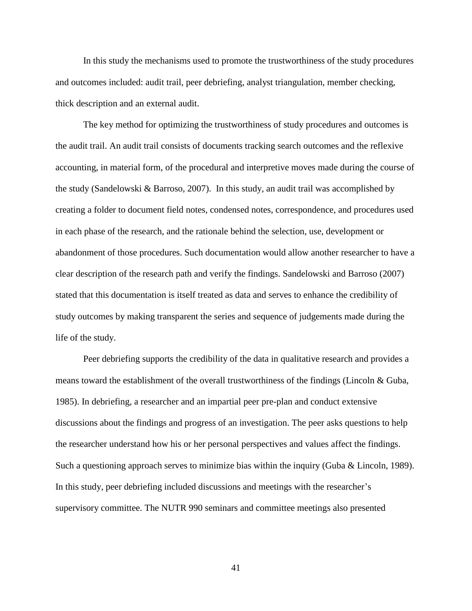In this study the mechanisms used to promote the trustworthiness of the study procedures and outcomes included: audit trail, peer debriefing, analyst triangulation, member checking, thick description and an external audit.

The key method for optimizing the trustworthiness of study procedures and outcomes is the audit trail. An audit trail consists of documents tracking search outcomes and the reflexive accounting, in material form, of the procedural and interpretive moves made during the course of the study (Sandelowski & Barroso, 2007). In this study, an audit trail was accomplished by creating a folder to document field notes, condensed notes, correspondence, and procedures used in each phase of the research, and the rationale behind the selection, use, development or abandonment of those procedures. Such documentation would allow another researcher to have a clear description of the research path and verify the findings. Sandelowski and Barroso (2007) stated that this documentation is itself treated as data and serves to enhance the credibility of study outcomes by making transparent the series and sequence of judgements made during the life of the study.

Peer debriefing supports the credibility of the data in qualitative research and provides a means toward the establishment of the overall trustworthiness of the findings (Lincoln & Guba, 1985). In debriefing, a researcher and an impartial peer pre-plan and conduct extensive discussions about the findings and progress of an investigation. The peer asks questions to help the researcher understand how his or her personal perspectives and values affect the findings. Such a questioning approach serves to minimize bias within the inquiry (Guba & Lincoln, 1989). In this study, peer debriefing included discussions and meetings with the researcher's supervisory committee. The NUTR 990 seminars and committee meetings also presented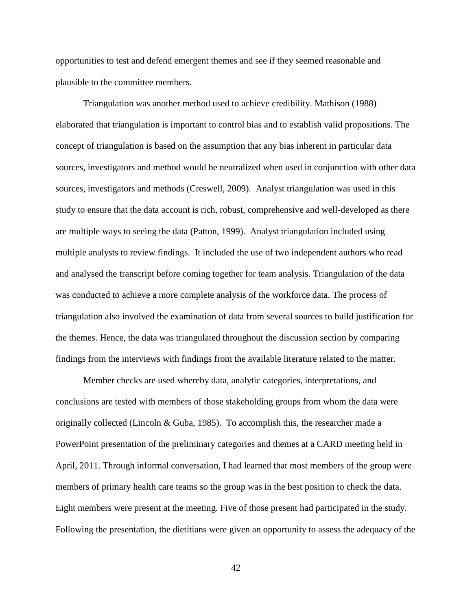opportunities to test and defend emergent themes and see if they seemed reasonable and plausible to the committee members.

Triangulation was another method used to achieve credibility. Mathison (1988) elaborated that triangulation is important to control bias and to establish valid propositions. The concept of triangulation is based on the assumption that any bias inherent in particular data sources, investigators and method would be neutralized when used in conjunction with other data sources, investigators and methods (Creswell, 2009). Analyst triangulation was used in this study to ensure that the data account is rich, robust, comprehensive and well-developed as there are multiple ways to seeing the data (Patton, 1999). Analyst triangulation included using multiple analysts to review findings. It included the use of two independent authors who read and analysed the transcript before coming together for team analysis. Triangulation of the data was conducted to achieve a more complete analysis of the workforce data. The process of triangulation also involved the examination of data from several sources to build justification for the themes. Hence, the data was triangulated throughout the discussion section by comparing findings from the interviews with findings from the available literature related to the matter.

Member checks are used whereby data, analytic categories, interpretations, and conclusions are tested with members of those stakeholding groups from whom the data were originally collected (Lincoln & Guba, 1985). To accomplish this, the researcher made a PowerPoint presentation of the preliminary categories and themes at a CARD meeting held in April, 2011. Through informal conversation, I had learned that most members of the group were members of primary health care teams so the group was in the best position to check the data. Eight members were present at the meeting. Five of those present had participated in the study. Following the presentation, the dietitians were given an opportunity to assess the adequacy of the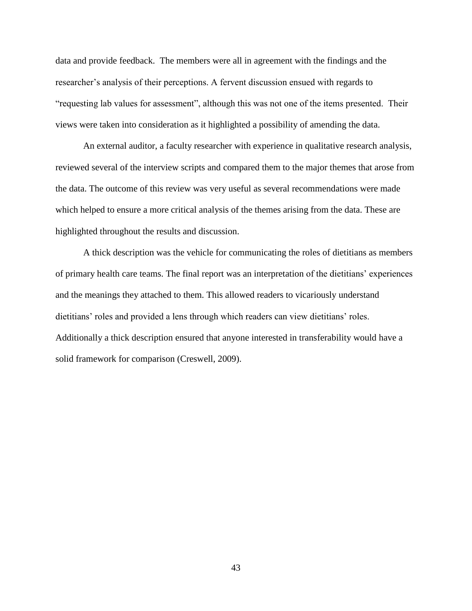data and provide feedback. The members were all in agreement with the findings and the researcher's analysis of their perceptions. A fervent discussion ensued with regards to "requesting lab values for assessment", although this was not one of the items presented. Their views were taken into consideration as it highlighted a possibility of amending the data.

An external auditor, a faculty researcher with experience in qualitative research analysis, reviewed several of the interview scripts and compared them to the major themes that arose from the data. The outcome of this review was very useful as several recommendations were made which helped to ensure a more critical analysis of the themes arising from the data. These are highlighted throughout the results and discussion.

A thick description was the vehicle for communicating the roles of dietitians as members of primary health care teams. The final report was an interpretation of the dietitians' experiences and the meanings they attached to them. This allowed readers to vicariously understand dietitians' roles and provided a lens through which readers can view dietitians' roles. Additionally a thick description ensured that anyone interested in transferability would have a solid framework for comparison (Creswell, 2009).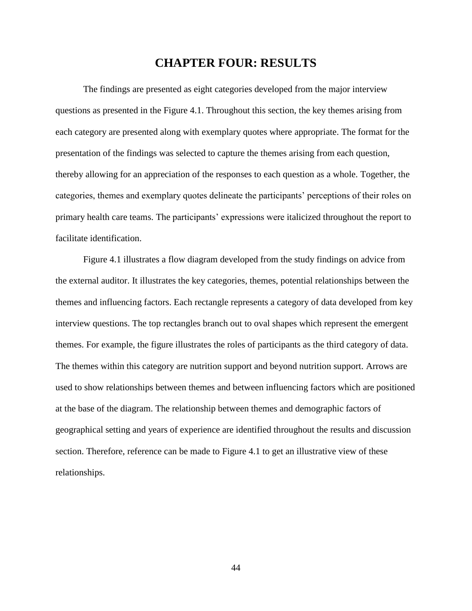# **CHAPTER FOUR: RESULTS**

The findings are presented as eight categories developed from the major interview questions as presented in the Figure 4.1. Throughout this section, the key themes arising from each category are presented along with exemplary quotes where appropriate. The format for the presentation of the findings was selected to capture the themes arising from each question, thereby allowing for an appreciation of the responses to each question as a whole. Together, the categories, themes and exemplary quotes delineate the participants' perceptions of their roles on primary health care teams. The participants' expressions were italicized throughout the report to facilitate identification.

Figure 4.1 illustrates a flow diagram developed from the study findings on advice from the external auditor. It illustrates the key categories, themes, potential relationships between the themes and influencing factors. Each rectangle represents a category of data developed from key interview questions. The top rectangles branch out to oval shapes which represent the emergent themes. For example, the figure illustrates the roles of participants as the third category of data. The themes within this category are nutrition support and beyond nutrition support. Arrows are used to show relationships between themes and between influencing factors which are positioned at the base of the diagram. The relationship between themes and demographic factors of geographical setting and years of experience are identified throughout the results and discussion section. Therefore, reference can be made to Figure 4.1 to get an illustrative view of these relationships.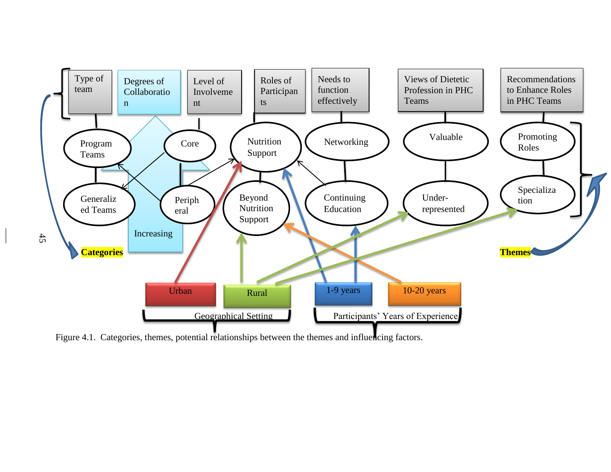

Figure 4.1. Categories, themes, potential relationships between the themes and influencing factors.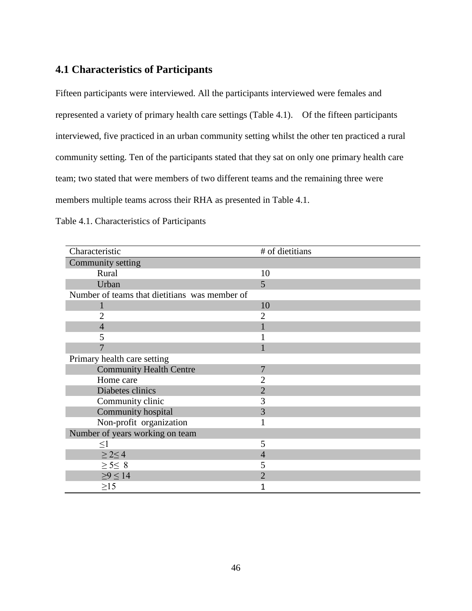# **4.1 Characteristics of Participants**

Fifteen participants were interviewed. All the participants interviewed were females and represented a variety of primary health care settings (Table 4.1). Of the fifteen participants interviewed, five practiced in an urban community setting whilst the other ten practiced a rural community setting. Ten of the participants stated that they sat on only one primary health care team; two stated that were members of two different teams and the remaining three were members multiple teams across their RHA as presented in Table 4.1.

| Characteristic                                | # of dietitians |
|-----------------------------------------------|-----------------|
| Community setting                             |                 |
| Rural                                         | 10              |
| Urban                                         | 5               |
| Number of teams that dietitians was member of |                 |
|                                               | 10              |
| 2                                             | 2               |
| $\overline{4}$                                |                 |
| 5                                             |                 |
|                                               |                 |
| Primary health care setting                   |                 |
| <b>Community Health Centre</b>                | 7               |
| Home care                                     | 2               |
| Diabetes clinics                              | $\overline{2}$  |
| Community clinic                              | 3               |
| Community hospital                            | 3               |
| Non-profit organization                       |                 |
| Number of years working on team               |                 |
| $\leq1$                                       | 5               |
| $\geq$ 2 $\leq$ 4                             | 4               |
| $\geq$ 5 $\leq$ 8                             | 5               |
| $\geq 9 \leq 14$                              | $\overline{2}$  |
| $\geq$ 15                                     |                 |

Table 4.1. Characteristics of Participants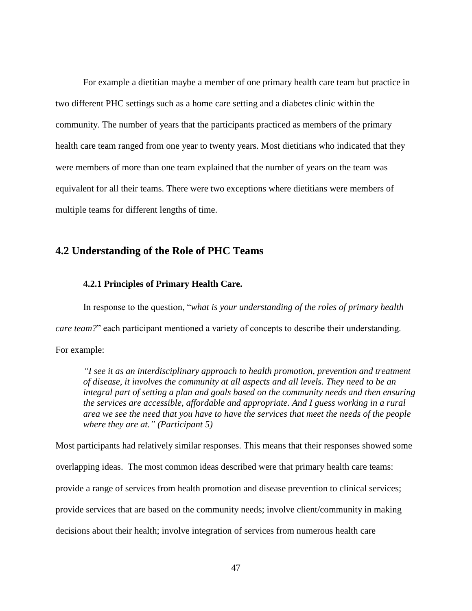For example a dietitian maybe a member of one primary health care team but practice in two different PHC settings such as a home care setting and a diabetes clinic within the community. The number of years that the participants practiced as members of the primary health care team ranged from one year to twenty years. Most dietitians who indicated that they were members of more than one team explained that the number of years on the team was equivalent for all their teams. There were two exceptions where dietitians were members of multiple teams for different lengths of time.

## **4.2 Understanding of the Role of PHC Teams**

### **4.2.1 Principles of Primary Health Care.**

In response to the question, "*what is your understanding of the roles of primary health care team?*" each participant mentioned a variety of concepts to describe their understanding. For example:

*"I see it as an interdisciplinary approach to health promotion, prevention and treatment of disease, it involves the community at all aspects and all levels. They need to be an integral part of setting a plan and goals based on the community needs and then ensuring the services are accessible, affordable and appropriate. And I guess working in a rural area we see the need that you have to have the services that meet the needs of the people where they are at." (Participant 5)* 

Most participants had relatively similar responses. This means that their responses showed some overlapping ideas. The most common ideas described were that primary health care teams: provide a range of services from health promotion and disease prevention to clinical services; provide services that are based on the community needs; involve client/community in making decisions about their health; involve integration of services from numerous health care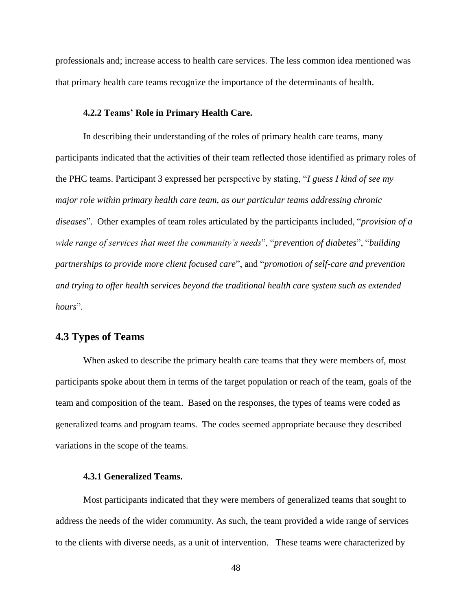professionals and; increase access to health care services. The less common idea mentioned was that primary health care teams recognize the importance of the determinants of health.

#### **4.2.2 Teams' Role in Primary Health Care.**

In describing their understanding of the roles of primary health care teams, many participants indicated that the activities of their team reflected those identified as primary roles of the PHC teams. Participant 3 expressed her perspective by stating, "*I guess I kind of see my major role within primary health care team, as our particular teams addressing chronic diseases*". Other examples of team roles articulated by the participants included, "*provision of a wide range of services that meet the community's needs*", "*prevention of diabetes*", "*building partnerships to provide more client focused care*", and "*promotion of self-care and prevention and trying to offer health services beyond the traditional health care system such as extended hours*".

## **4.3 Types of Teams**

When asked to describe the primary health care teams that they were members of, most participants spoke about them in terms of the target population or reach of the team, goals of the team and composition of the team. Based on the responses, the types of teams were coded as generalized teams and program teams. The codes seemed appropriate because they described variations in the scope of the teams.

### **4.3.1 Generalized Teams.**

Most participants indicated that they were members of generalized teams that sought to address the needs of the wider community. As such, the team provided a wide range of services to the clients with diverse needs, as a unit of intervention. These teams were characterized by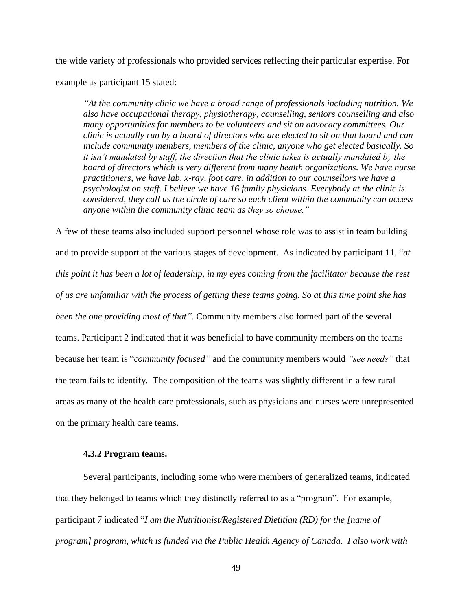the wide variety of professionals who provided services reflecting their particular expertise. For example as participant 15 stated:

*"At the community clinic we have a broad range of professionals including nutrition. We also have occupational therapy, physiotherapy, counselling, seniors counselling and also many opportunities for members to be volunteers and sit on advocacy committees. Our clinic is actually run by a board of directors who are elected to sit on that board and can include community members, members of the clinic, anyone who get elected basically. So it isn't mandated by staff, the direction that the clinic takes is actually mandated by the board of directors which is very different from many health organizations. We have nurse practitioners, we have lab, x-ray, foot care, in addition to our counsellors we have a psychologist on staff. I believe we have 16 family physicians. Everybody at the clinic is considered, they call us the circle of care so each client within the community can access anyone within the community clinic team as they so choose."*

A few of these teams also included support personnel whose role was to assist in team building and to provide support at the various stages of development. As indicated by participant 11, "*at this point it has been a lot of leadership, in my eyes coming from the facilitator because the rest of us are unfamiliar with the process of getting these teams going. So at this time point she has been the one providing most of that".* Community members also formed part of the several teams. Participant 2 indicated that it was beneficial to have community members on the teams because her team is "*community focused"* and the community members would *"see needs"* that the team fails to identify*.* The composition of the teams was slightly different in a few rural areas as many of the health care professionals, such as physicians and nurses were unrepresented on the primary health care teams.

### **4.3.2 Program teams.**

Several participants, including some who were members of generalized teams, indicated that they belonged to teams which they distinctly referred to as a "program". For example, participant 7 indicated "*I am the Nutritionist/Registered Dietitian (RD) for the [name of program] program, which is funded via the Public Health Agency of Canada. I also work with*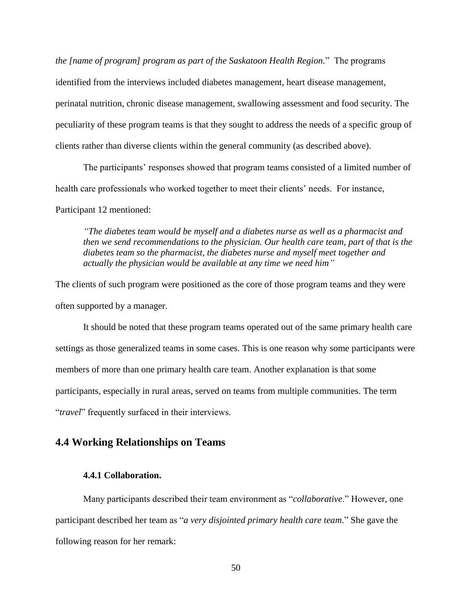*the [name of program] program as part of the Saskatoon Health Region.*" The programs identified from the interviews included diabetes management, heart disease management, perinatal nutrition, chronic disease management, swallowing assessment and food security. The peculiarity of these program teams is that they sought to address the needs of a specific group of clients rather than diverse clients within the general community (as described above).

The participants' responses showed that program teams consisted of a limited number of health care professionals who worked together to meet their clients' needs. For instance, Participant 12 mentioned:

*"The diabetes team would be myself and a diabetes nurse as well as a pharmacist and then we send recommendations to the physician. Our health care team, part of that is the diabetes team so the pharmacist, the diabetes nurse and myself meet together and actually the physician would be available at any time we need him"*

The clients of such program were positioned as the core of those program teams and they were often supported by a manager.

It should be noted that these program teams operated out of the same primary health care settings as those generalized teams in some cases. This is one reason why some participants were members of more than one primary health care team. Another explanation is that some participants, especially in rural areas, served on teams from multiple communities. The term "*travel*" frequently surfaced in their interviews.

## **4.4 Working Relationships on Teams**

### **4.4.1 Collaboration.**

Many participants described their team environment as "*collaborative*." However, one participant described her team as "*a very disjointed primary health care team*." She gave the following reason for her remark: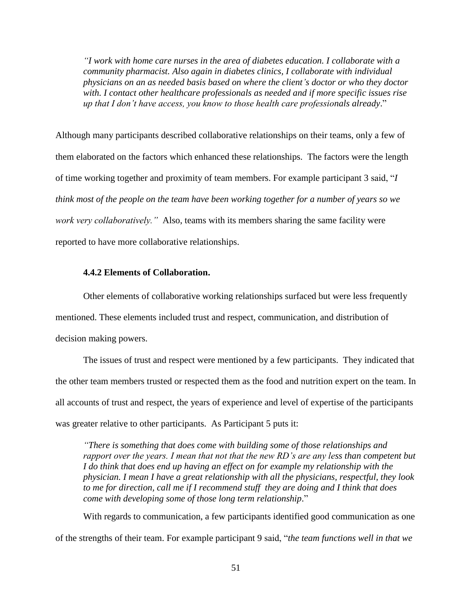*"I work with home care nurses in the area of diabetes education. I collaborate with a community pharmacist. Also again in diabetes clinics, I collaborate with individual physicians on an as needed basis based on where the client's doctor or who they doctor with. I contact other healthcare professionals as needed and if more specific issues rise up that I don't have access, you know to those health care professionals already*."

Although many participants described collaborative relationships on their teams, only a few of them elaborated on the factors which enhanced these relationships. The factors were the length of time working together and proximity of team members. For example participant 3 said, "*I think most of the people on the team have been working together for a number of years so we work very collaboratively."* Also, teams with its members sharing the same facility were reported to have more collaborative relationships.

### **4.4.2 Elements of Collaboration.**

Other elements of collaborative working relationships surfaced but were less frequently mentioned. These elements included trust and respect, communication, and distribution of decision making powers.

The issues of trust and respect were mentioned by a few participants. They indicated that the other team members trusted or respected them as the food and nutrition expert on the team. In all accounts of trust and respect, the years of experience and level of expertise of the participants was greater relative to other participants. As Participant 5 puts it:

*"There is something that does come with building some of those relationships and rapport over the years. I mean that not that the new RD's are any less than competent but I do think that does end up having an effect on for example my relationship with the physician. I mean I have a great relationship with all the physicians, respectful, they look to me for direction, call me if I recommend stuff they are doing and I think that does come with developing some of those long term relationship*."

With regards to communication, a few participants identified good communication as one of the strengths of their team. For example participant 9 said, "*the team functions well in that we*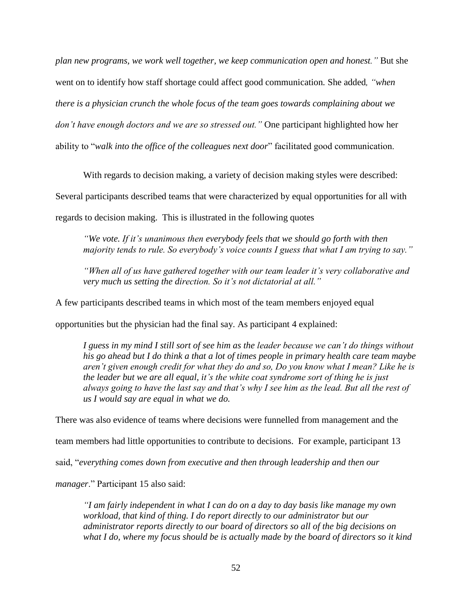*plan new programs, we work well together, we keep communication open and honest."* But she went on to identify how staff shortage could affect good communication*.* She added*, "when there is a physician crunch the whole focus of the team goes towards complaining about we don't have enough doctors and we are so stressed out."* One participant highlighted how her ability to "*walk into the office of the colleagues next door*" facilitated good communication.

With regards to decision making, a variety of decision making styles were described:

Several participants described teams that were characterized by equal opportunities for all with

regards to decision making. This is illustrated in the following quotes

*"We vote. If it's unanimous then everybody feels that we should go forth with then majority tends to rule. So everybody's voice counts I guess that what I am trying to say."*

*"When all of us have gathered together with our team leader it's very collaborative and very much us setting the direction. So it's not dictatorial at all."*

A few participants described teams in which most of the team members enjoyed equal

opportunities but the physician had the final say. As participant 4 explained:

*I guess in my mind I still sort of see him as the leader because we can't do things without his go ahead but I do think a that a lot of times people in primary health care team maybe aren't given enough credit for what they do and so, Do you know what I mean? Like he is the leader but we are all equal, it's the white coat syndrome sort of thing he is just always going to have the last say and that's why I see him as the lead. But all the rest of us I would say are equal in what we do.*

There was also evidence of teams where decisions were funnelled from management and the

team members had little opportunities to contribute to decisions. For example, participant 13

said, "*everything comes down from executive and then through leadership and then our* 

*manager*." Participant 15 also said:

*"I am fairly independent in what I can do on a day to day basis like manage my own workload, that kind of thing. I do report directly to our administrator but our administrator reports directly to our board of directors so all of the big decisions on what I do, where my focus should be is actually made by the board of directors so it kind*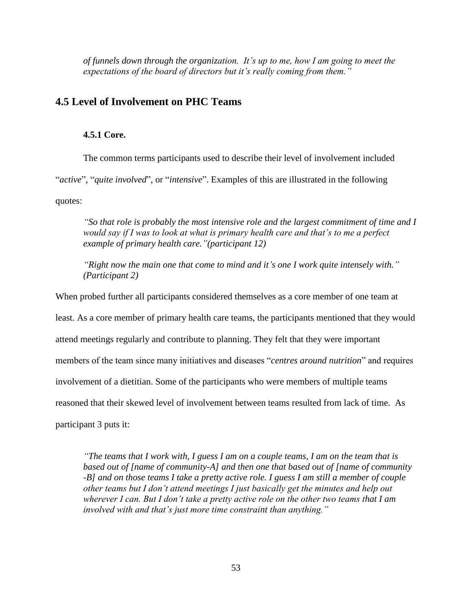*of funnels down through the organization. It's up to me, how I am going to meet the expectations of the board of directors but it's really coming from them."*

# **4.5 Level of Involvement on PHC Teams**

### **4.5.1 Core.**

The common terms participants used to describe their level of involvement included "*active*", "*quite involved*", or "*intensive*". Examples of this are illustrated in the following quotes:

*"So that role is probably the most intensive role and the largest commitment of time and I would say if I was to look at what is primary health care and that's to me a perfect example of primary health care."(participant 12)*

*"Right now the main one that come to mind and it's one I work quite intensely with." (Participant 2)*

When probed further all participants considered themselves as a core member of one team at least. As a core member of primary health care teams, the participants mentioned that they would attend meetings regularly and contribute to planning. They felt that they were important members of the team since many initiatives and diseases "*centres around nutrition*" and requires involvement of a dietitian. Some of the participants who were members of multiple teams reasoned that their skewed level of involvement between teams resulted from lack of time. As participant 3 puts it:

*"The teams that I work with, I guess I am on a couple teams, I am on the team that is based out of [name of community-A] and then one that based out of [name of community -B] and on those teams I take a pretty active role. I guess I am still a member of couple other teams but I don't attend meetings I just basically get the minutes and help out wherever I can. But I don't take a pretty active role on the other two teams that I am involved with and that's just more time constraint than anything."*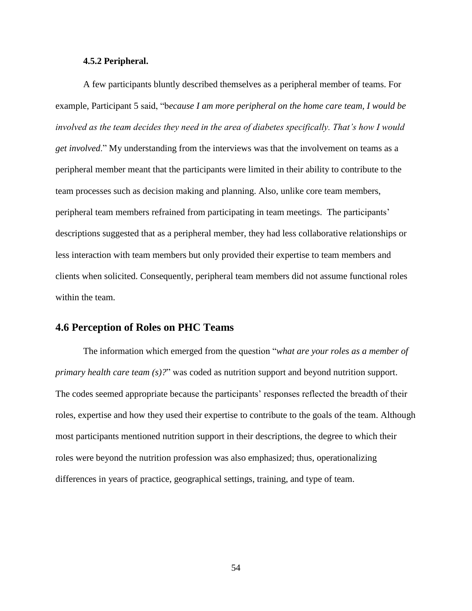#### **4.5.2 Peripheral.**

A few participants bluntly described themselves as a peripheral member of teams. For example, Participant 5 said, "b*ecause I am more peripheral on the home care team, I would be involved as the team decides they need in the area of diabetes specifically. That's how I would get involved*." My understanding from the interviews was that the involvement on teams as a peripheral member meant that the participants were limited in their ability to contribute to the team processes such as decision making and planning. Also, unlike core team members, peripheral team members refrained from participating in team meetings. The participants' descriptions suggested that as a peripheral member, they had less collaborative relationships or less interaction with team members but only provided their expertise to team members and clients when solicited. Consequently, peripheral team members did not assume functional roles within the team.

## **4.6 Perception of Roles on PHC Teams**

The information which emerged from the question "*what are your roles as a member of primary health care team (s)?*" was coded as nutrition support and beyond nutrition support. The codes seemed appropriate because the participants' responses reflected the breadth of their roles, expertise and how they used their expertise to contribute to the goals of the team. Although most participants mentioned nutrition support in their descriptions, the degree to which their roles were beyond the nutrition profession was also emphasized; thus, operationalizing differences in years of practice, geographical settings, training, and type of team.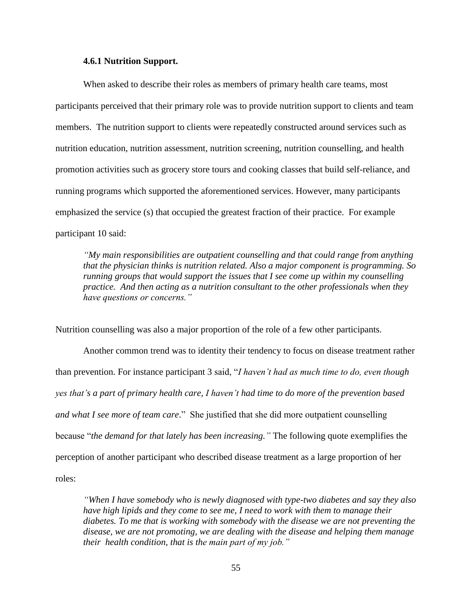#### **4.6.1 Nutrition Support.**

When asked to describe their roles as members of primary health care teams, most participants perceived that their primary role was to provide nutrition support to clients and team members. The nutrition support to clients were repeatedly constructed around services such as nutrition education, nutrition assessment, nutrition screening, nutrition counselling, and health promotion activities such as grocery store tours and cooking classes that build self-reliance, and running programs which supported the aforementioned services. However, many participants emphasized the service (s) that occupied the greatest fraction of their practice. For example participant 10 said:

*"My main responsibilities are outpatient counselling and that could range from anything that the physician thinks is nutrition related. Also a major component is programming. So running groups that would support the issues that I see come up within my counselling practice. And then acting as a nutrition consultant to the other professionals when they have questions or concerns."*

Nutrition counselling was also a major proportion of the role of a few other participants.

Another common trend was to identity their tendency to focus on disease treatment rather than prevention. For instance participant 3 said, "*I haven't had as much time to do, even though yes that's a part of primary health care, I haven't had time to do more of the prevention based and what I see more of team care*." She justified that she did more outpatient counselling because "*the demand for that lately has been increasing."* The following quote exemplifies the perception of another participant who described disease treatment as a large proportion of her roles:

*"When I have somebody who is newly diagnosed with type-two diabetes and say they also have high lipids and they come to see me, I need to work with them to manage their diabetes. To me that is working with somebody with the disease we are not preventing the disease, we are not promoting, we are dealing with the disease and helping them manage their health condition, that is the main part of my job."*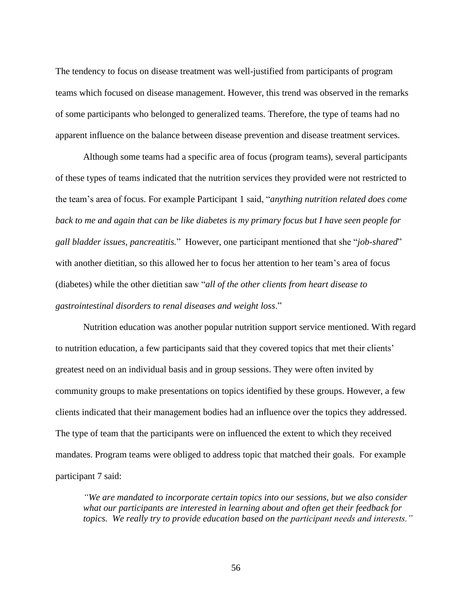The tendency to focus on disease treatment was well-justified from participants of program teams which focused on disease management. However, this trend was observed in the remarks of some participants who belonged to generalized teams. Therefore, the type of teams had no apparent influence on the balance between disease prevention and disease treatment services.

Although some teams had a specific area of focus (program teams), several participants of these types of teams indicated that the nutrition services they provided were not restricted to the team's area of focus. For example Participant 1 said, "*anything nutrition related does come back to me and again that can be like diabetes is my primary focus but I have seen people for gall bladder issues, pancreatitis.*" However, one participant mentioned that she "*job-shared*" with another dietitian, so this allowed her to focus her attention to her team's area of focus (diabetes) while the other dietitian saw "*all of the other clients from heart disease to gastrointestinal disorders to renal diseases and weight loss*."

Nutrition education was another popular nutrition support service mentioned. With regard to nutrition education, a few participants said that they covered topics that met their clients' greatest need on an individual basis and in group sessions. They were often invited by community groups to make presentations on topics identified by these groups. However, a few clients indicated that their management bodies had an influence over the topics they addressed. The type of team that the participants were on influenced the extent to which they received mandates. Program teams were obliged to address topic that matched their goals. For example participant 7 said:

*"We are mandated to incorporate certain topics into our sessions, but we also consider what our participants are interested in learning about and often get their feedback for topics. We really try to provide education based on the participant needs and interests."*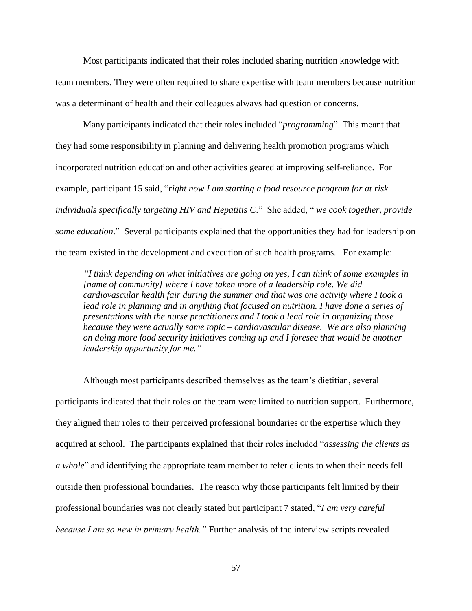Most participants indicated that their roles included sharing nutrition knowledge with team members. They were often required to share expertise with team members because nutrition was a determinant of health and their colleagues always had question or concerns.

Many participants indicated that their roles included "*programming*". This meant that they had some responsibility in planning and delivering health promotion programs which incorporated nutrition education and other activities geared at improving self-reliance. For example, participant 15 said, "*right now I am starting a food resource program for at risk individuals specifically targeting HIV and Hepatitis C*." She added, " *we cook together, provide some education*." Several participants explained that the opportunities they had for leadership on the team existed in the development and execution of such health programs. For example:

*"I think depending on what initiatives are going on yes, I can think of some examples in [name of community] where I have taken more of a leadership role. We did cardiovascular health fair during the summer and that was one activity where I took a*  lead role in planning and in anything that focused on nutrition. I have done a series of *presentations with the nurse practitioners and I took a lead role in organizing those because they were actually same topic – cardiovascular disease. We are also planning on doing more food security initiatives coming up and I foresee that would be another leadership opportunity for me."*

Although most participants described themselves as the team's dietitian, several participants indicated that their roles on the team were limited to nutrition support. Furthermore, they aligned their roles to their perceived professional boundaries or the expertise which they acquired at school. The participants explained that their roles included "*assessing the clients as a whole*" and identifying the appropriate team member to refer clients to when their needs fell outside their professional boundaries. The reason why those participants felt limited by their professional boundaries was not clearly stated but participant 7 stated, "*I am very careful because I am so new in primary health."* Further analysis of the interview scripts revealed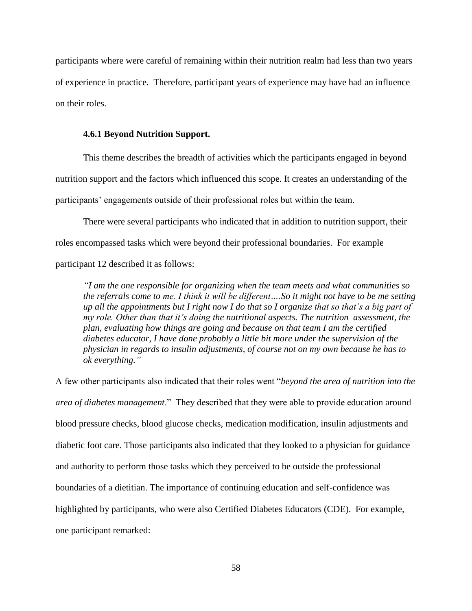participants where were careful of remaining within their nutrition realm had less than two years of experience in practice. Therefore, participant years of experience may have had an influence on their roles.

#### **4.6.1 Beyond Nutrition Support.**

This theme describes the breadth of activities which the participants engaged in beyond nutrition support and the factors which influenced this scope. It creates an understanding of the participants' engagements outside of their professional roles but within the team.

There were several participants who indicated that in addition to nutrition support, their roles encompassed tasks which were beyond their professional boundaries. For example participant 12 described it as follows:

*"I am the one responsible for organizing when the team meets and what communities so the referrals come to me. I think it will be different….So it might not have to be me setting up all the appointments but I right now I do that so I organize that so that's a big part of my role. Other than that it's doing the nutritional aspects. The nutrition assessment, the plan, evaluating how things are going and because on that team I am the certified diabetes educator, I have done probably a little bit more under the supervision of the physician in regards to insulin adjustments, of course not on my own because he has to ok everything."*

A few other participants also indicated that their roles went "*beyond the area of nutrition into the area of diabetes management*." They described that they were able to provide education around blood pressure checks, blood glucose checks, medication modification, insulin adjustments and diabetic foot care. Those participants also indicated that they looked to a physician for guidance and authority to perform those tasks which they perceived to be outside the professional boundaries of a dietitian. The importance of continuing education and self-confidence was highlighted by participants, who were also Certified Diabetes Educators (CDE). For example, one participant remarked: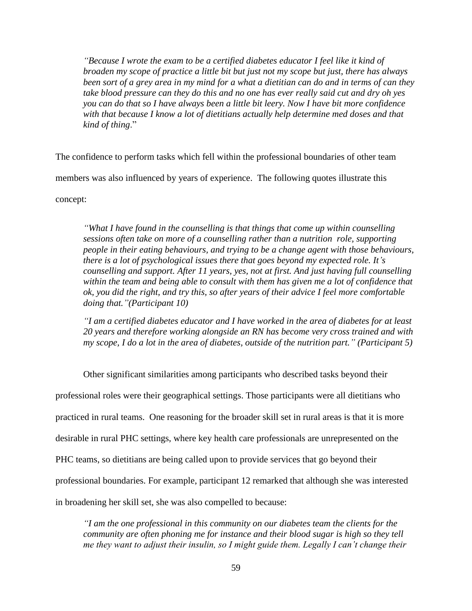*"Because I wrote the exam to be a certified diabetes educator I feel like it kind of broaden my scope of practice a little bit but just not my scope but just, there has always been sort of a grey area in my mind for a what a dietitian can do and in terms of can they take blood pressure can they do this and no one has ever really said cut and dry oh yes you can do that so I have always been a little bit leery. Now I have bit more confidence with that because I know a lot of dietitians actually help determine med doses and that kind of thing*."

The confidence to perform tasks which fell within the professional boundaries of other team members was also influenced by years of experience. The following quotes illustrate this

concept:

*"What I have found in the counselling is that things that come up within counselling sessions often take on more of a counselling rather than a nutrition role, supporting people in their eating behaviours, and trying to be a change agent with those behaviours, there is a lot of psychological issues there that goes beyond my expected role. It's counselling and support. After 11 years, yes, not at first. And just having full counselling within the team and being able to consult with them has given me a lot of confidence that ok, you did the right, and try this, so after years of their advice I feel more comfortable doing that."(Participant 10)*

*"I am a certified diabetes educator and I have worked in the area of diabetes for at least 20 years and therefore working alongside an RN has become very cross trained and with my scope, I do a lot in the area of diabetes, outside of the nutrition part." (Participant 5)*

Other significant similarities among participants who described tasks beyond their

professional roles were their geographical settings. Those participants were all dietitians who

practiced in rural teams. One reasoning for the broader skill set in rural areas is that it is more

desirable in rural PHC settings, where key health care professionals are unrepresented on the

PHC teams, so dietitians are being called upon to provide services that go beyond their

professional boundaries. For example, participant 12 remarked that although she was interested

in broadening her skill set, she was also compelled to because:

*"I am the one professional in this community on our diabetes team the clients for the community are often phoning me for instance and their blood sugar is high so they tell me they want to adjust their insulin, so I might guide them. Legally I can't change their*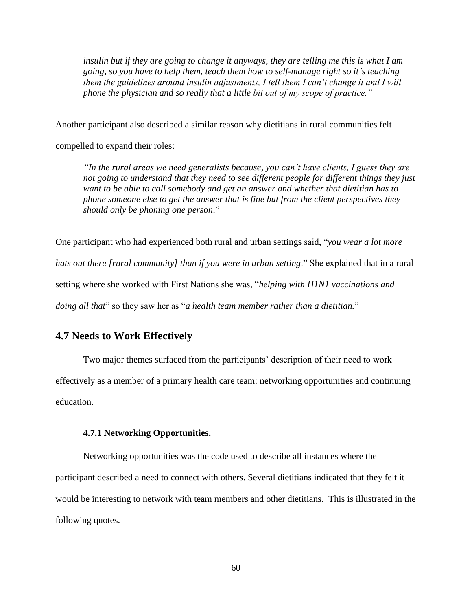*insulin but if they are going to change it anyways, they are telling me this is what I am going, so you have to help them, teach them how to self-manage right so it's teaching them the guidelines around insulin adjustments, I tell them I can't change it and I will phone the physician and so really that a little bit out of my scope of practice."*

Another participant also described a similar reason why dietitians in rural communities felt

compelled to expand their roles:

*"In the rural areas we need generalists because, you can't have clients, I guess they are not going to understand that they need to see different people for different things they just want to be able to call somebody and get an answer and whether that dietitian has to phone someone else to get the answer that is fine but from the client perspectives they should only be phoning one person*."

One participant who had experienced both rural and urban settings said, "*you wear a lot more hats out there [rural community] than if you were in urban setting*." She explained that in a rural setting where she worked with First Nations she was, "*helping with H1N1 vaccinations and doing all that*" so they saw her as "*a health team member rather than a dietitian.*"

# **4.7 Needs to Work Effectively**

Two major themes surfaced from the participants' description of their need to work effectively as a member of a primary health care team: networking opportunities and continuing education.

#### **4.7.1 Networking Opportunities.**

Networking opportunities was the code used to describe all instances where the participant described a need to connect with others. Several dietitians indicated that they felt it would be interesting to network with team members and other dietitians. This is illustrated in the following quotes.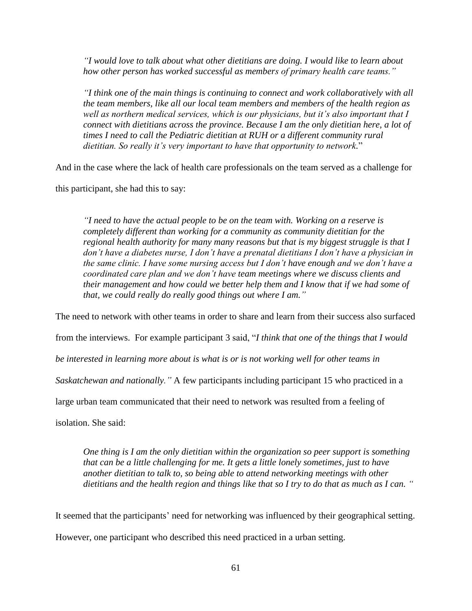*"I would love to talk about what other dietitians are doing. I would like to learn about how other person has worked successful as members of primary health care teams."*

*"I think one of the main things is continuing to connect and work collaboratively with all the team members, like all our local team members and members of the health region as well as northern medical services, which is our physicians, but it's also important that I connect with dietitians across the province. Because I am the only dietitian here, a lot of times I need to call the Pediatric dietitian at RUH or a different community rural dietitian. So really it's very important to have that opportunity to network.*"

And in the case where the lack of health care professionals on the team served as a challenge for

this participant, she had this to say:

*"I need to have the actual people to be on the team with. Working on a reserve is completely different than working for a community as community dietitian for the regional health authority for many many reasons but that is my biggest struggle is that I don't have a diabetes nurse, I don't have a prenatal dietitians I don't have a physician in the same clinic. I have some nursing access but I don't have enough and we don't have a coordinated care plan and we don't have team meetings where we discuss clients and their management and how could we better help them and I know that if we had some of that, we could really do really good things out where I am."*

The need to network with other teams in order to share and learn from their success also surfaced

from the interviews. For example participant 3 said, "*I think that one of the things that I would* 

*be interested in learning more about is what is or is not working well for other teams in* 

*Saskatchewan and nationally."* A few participants including participant 15 who practiced in a

large urban team communicated that their need to network was resulted from a feeling of

isolation. She said:

*One thing is I am the only dietitian within the organization so peer support is something that can be a little challenging for me. It gets a little lonely sometimes, just to have another dietitian to talk to, so being able to attend networking meetings with other dietitians and the health region and things like that so I try to do that as much as I can. "*

It seemed that the participants' need for networking was influenced by their geographical setting. However, one participant who described this need practiced in a urban setting.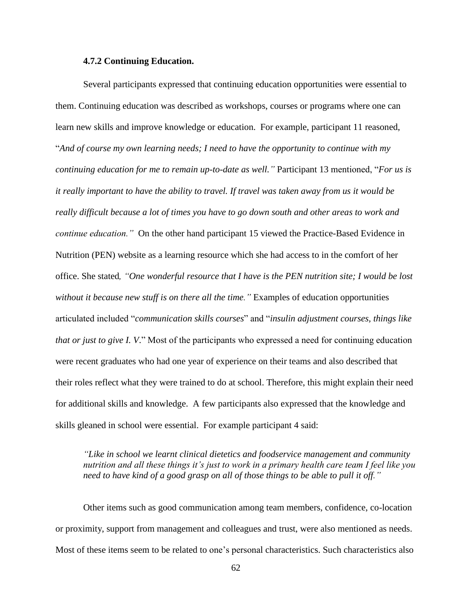### **4.7.2 Continuing Education.**

Several participants expressed that continuing education opportunities were essential to them. Continuing education was described as workshops, courses or programs where one can learn new skills and improve knowledge or education. For example, participant 11 reasoned, "*And of course my own learning needs; I need to have the opportunity to continue with my continuing education for me to remain up-to-date as well."* Participant 13 mentioned, "*For us is it really important to have the ability to travel. If travel was taken away from us it would be really difficult because a lot of times you have to go down south and other areas to work and continue education."* On the other hand participant 15 viewed the Practice-Based Evidence in Nutrition (PEN) website as a learning resource which she had access to in the comfort of her office. She stated*, "One wonderful resource that I have is the PEN nutrition site; I would be lost without it because new stuff is on there all the time."* Examples of education opportunities articulated included "*communication skills courses*" and "*insulin adjustment courses, things like that or just to give I. V*." Most of the participants who expressed a need for continuing education were recent graduates who had one year of experience on their teams and also described that their roles reflect what they were trained to do at school. Therefore, this might explain their need for additional skills and knowledge. A few participants also expressed that the knowledge and skills gleaned in school were essential. For example participant 4 said:

*"Like in school we learnt clinical dietetics and foodservice management and community nutrition and all these things it's just to work in a primary health care team I feel like you need to have kind of a good grasp on all of those things to be able to pull it off."*

Other items such as good communication among team members, confidence, co-location or proximity, support from management and colleagues and trust, were also mentioned as needs. Most of these items seem to be related to one's personal characteristics. Such characteristics also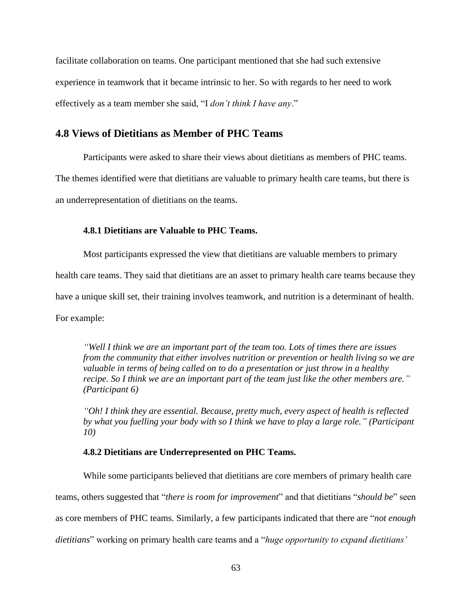facilitate collaboration on teams. One participant mentioned that she had such extensive experience in teamwork that it became intrinsic to her. So with regards to her need to work effectively as a team member she said, "I *don't think I have any*."

# **4.8 Views of Dietitians as Member of PHC Teams**

Participants were asked to share their views about dietitians as members of PHC teams. The themes identified were that dietitians are valuable to primary health care teams, but there is an underrepresentation of dietitians on the teams.

## **4.8.1 Dietitians are Valuable to PHC Teams.**

Most participants expressed the view that dietitians are valuable members to primary health care teams. They said that dietitians are an asset to primary health care teams because they have a unique skill set, their training involves teamwork, and nutrition is a determinant of health. For example:

*"Well I think we are an important part of the team too. Lots of times there are issues from the community that either involves nutrition or prevention or health living so we are valuable in terms of being called on to do a presentation or just throw in a healthy recipe. So I think we are an important part of the team just like the other members are." (Participant 6)*

*"Oh! I think they are essential. Because, pretty much, every aspect of health is reflected by what you fuelling your body with so I think we have to play a large role." (Participant 10)*

## **4.8.2 Dietitians are Underrepresented on PHC Teams.**

While some participants believed that dietitians are core members of primary health care teams, others suggested that "*there is room for improvement*" and that dietitians "*should be*" seen as core members of PHC teams. Similarly, a few participants indicated that there are "*not enough dietitians*" working on primary health care teams and a "*huge opportunity to expand dietitians'*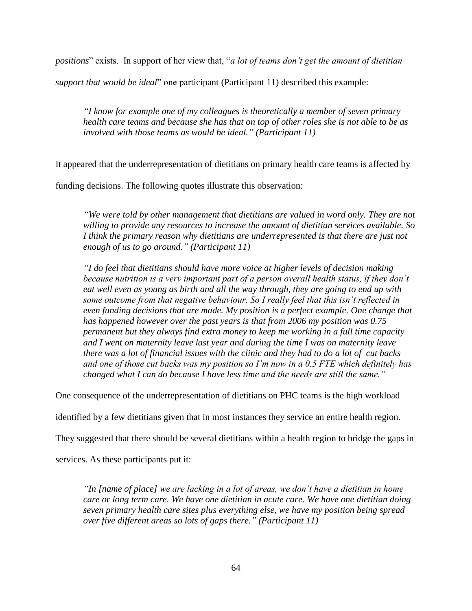*positions*" exists. In support of her view that, "*a lot of teams don't get the amount of dietitian* 

*support that would be ideal*" one participant (Participant 11) described this example:

*"I know for example one of my colleagues is theoretically a member of seven primary health care teams and because she has that on top of other roles she is not able to be as involved with those teams as would be ideal." (Participant 11)*

It appeared that the underrepresentation of dietitians on primary health care teams is affected by

funding decisions. The following quotes illustrate this observation:

*"We were told by other management that dietitians are valued in word only. They are not willing to provide any resources to increase the amount of dietitian services available. So*  I think the primary reason why dietitians are underrepresented is that there are just not *enough of us to go around." (Participant 11)*

*"I do feel that dietitians should have more voice at higher levels of decision making because nutrition is a very important part of a person overall health status, if they don't eat well even as young as birth and all the way through, they are going to end up with some outcome from that negative behaviour. So I really feel that this isn't reflected in even funding decisions that are made. My position is a perfect example. One change that has happened however over the past years is that from 2006 my position was 0.75 permanent but they always find extra money to keep me working in a full time capacity and I went on maternity leave last year and during the time I was on maternity leave there was a lot of financial issues with the clinic and they had to do a lot of cut backs and one of those cut backs was my position so I'm now in a 0.5 FTE which definitely has changed what I can do because I have less time and the needs are still the same."*

One consequence of the underrepresentation of dietitians on PHC teams is the high workload

identified by a few dietitians given that in most instances they service an entire health region.

They suggested that there should be several dietitians within a health region to bridge the gaps in

services. As these participants put it:

*"In [name of place] we are lacking in a lot of areas, we don't have a dietitian in home care or long term care. We have one dietitian in acute care. We have one dietitian doing seven primary health care sites plus everything else, we have my position being spread over five different areas so lots of gaps there." (Participant 11)*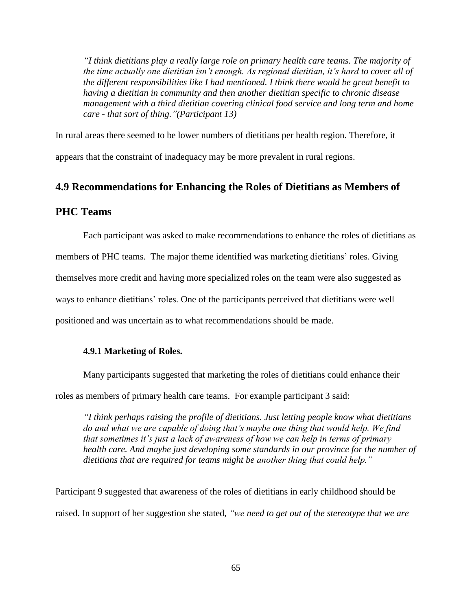*"I think dietitians play a really large role on primary health care teams. The majority of the time actually one dietitian isn't enough. As regional dietitian, it's hard to cover all of the different responsibilities like I had mentioned. I think there would be great benefit to having a dietitian in community and then another dietitian specific to chronic disease management with a third dietitian covering clinical food service and long term and home care - that sort of thing."(Participant 13)*

In rural areas there seemed to be lower numbers of dietitians per health region. Therefore, it appears that the constraint of inadequacy may be more prevalent in rural regions.

# **4.9 Recommendations for Enhancing the Roles of Dietitians as Members of**

# **PHC Teams**

Each participant was asked to make recommendations to enhance the roles of dietitians as members of PHC teams. The major theme identified was marketing dietitians' roles. Giving themselves more credit and having more specialized roles on the team were also suggested as ways to enhance dietitians' roles. One of the participants perceived that dietitians were well positioned and was uncertain as to what recommendations should be made.

## **4.9.1 Marketing of Roles.**

Many participants suggested that marketing the roles of dietitians could enhance their

roles as members of primary health care teams. For example participant 3 said:

*"I think perhaps raising the profile of dietitians. Just letting people know what dietitians do and what we are capable of doing that's maybe one thing that would help. We find that sometimes it's just a lack of awareness of how we can help in terms of primary health care. And maybe just developing some standards in our province for the number of dietitians that are required for teams might be another thing that could help."*

Participant 9 suggested that awareness of the roles of dietitians in early childhood should be raised. In support of her suggestion she stated, *"we need to get out of the stereotype that we are*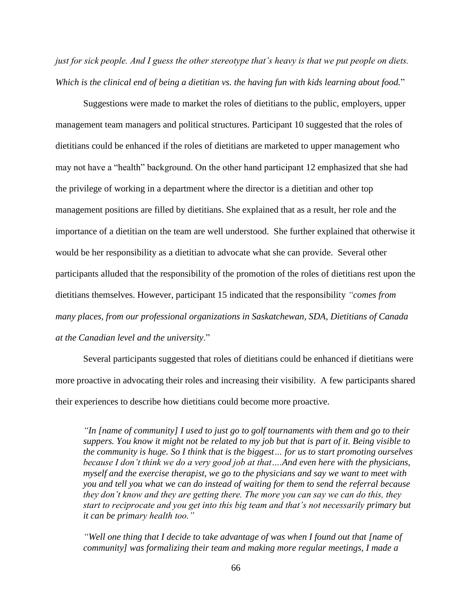*just for sick people. And I guess the other stereotype that's heavy is that we put people on diets. Which is the clinical end of being a dietitian vs. the having fun with kids learning about food.*"

Suggestions were made to market the roles of dietitians to the public, employers, upper management team managers and political structures. Participant 10 suggested that the roles of dietitians could be enhanced if the roles of dietitians are marketed to upper management who may not have a "health" background. On the other hand participant 12 emphasized that she had the privilege of working in a department where the director is a dietitian and other top management positions are filled by dietitians. She explained that as a result, her role and the importance of a dietitian on the team are well understood. She further explained that otherwise it would be her responsibility as a dietitian to advocate what she can provide. Several other participants alluded that the responsibility of the promotion of the roles of dietitians rest upon the dietitians themselves. However, participant 15 indicated that the responsibility *"comes from many places, from our professional organizations in Saskatchewan, SDA, Dietitians of Canada at the Canadian level and the university*."

Several participants suggested that roles of dietitians could be enhanced if dietitians were more proactive in advocating their roles and increasing their visibility. A few participants shared their experiences to describe how dietitians could become more proactive.

*"In [name of community] I used to just go to golf tournaments with them and go to their suppers. You know it might not be related to my job but that is part of it. Being visible to the community is huge. So I think that is the biggest… for us to start promoting ourselves because I don't think we do a very good job at that….And even here with the physicians, myself and the exercise therapist, we go to the physicians and say we want to meet with you and tell you what we can do instead of waiting for them to send the referral because they don't know and they are getting there. The more you can say we can do this, they start to reciprocate and you get into this big team and that's not necessarily primary but it can be primary health too."*

*"Well one thing that I decide to take advantage of was when I found out that [name of community] was formalizing their team and making more regular meetings, I made a*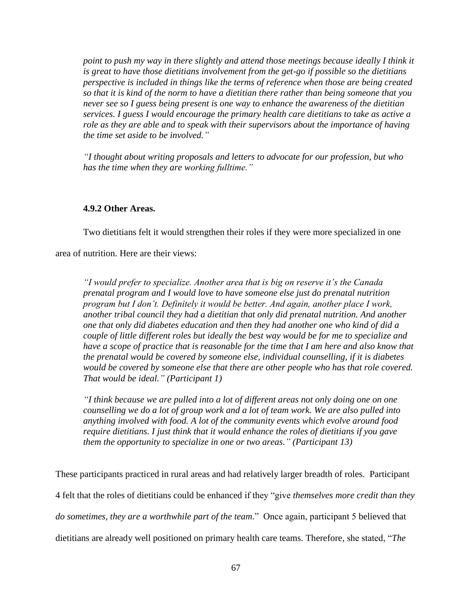*point to push my way in there slightly and attend those meetings because ideally I think it is great to have those dietitians involvement from the get-go if possible so the dietitians perspective is included in things like the terms of reference when those are being created so that it is kind of the norm to have a dietitian there rather than being someone that you never see so I guess being present is one way to enhance the awareness of the dietitian services. I guess I would encourage the primary health care dietitians to take as active a role as they are able and to speak with their supervisors about the importance of having the time set aside to be involved."*

*"I thought about writing proposals and letters to advocate for our profession, but who has the time when they are working fulltime."*

## **4.9.2 Other Areas.**

Two dietitians felt it would strengthen their roles if they were more specialized in one

area of nutrition. Here are their views:

*"I would prefer to specialize. Another area that is big on reserve it's the Canada prenatal program and I would love to have someone else just do prenatal nutrition program but I don't. Definitely it would be better. And again, another place I work, another tribal council they had a dietitian that only did prenatal nutrition. And another one that only did diabetes education and then they had another one who kind of did a couple of little different roles but ideally the best way would be for me to specialize and have a scope of practice that is reasonable for the time that I am here and also know that the prenatal would be covered by someone else, individual counselling, if it is diabetes would be covered by someone else that there are other people who has that role covered. That would be ideal." (Participant 1)*

*"I think because we are pulled into a lot of different areas not only doing one on one counselling we do a lot of group work and a lot of team work. We are also pulled into anything involved with food. A lot of the community events which evolve around food require dietitians. I just think that it would enhance the roles of dietitians if you gave them the opportunity to specialize in one or two areas." (Participant 13)*

These participants practiced in rural areas and had relatively larger breadth of roles. Participant 4 felt that the roles of dietitians could be enhanced if they "give *themselves more credit than they do sometimes, they are a worthwhile part of the team*." Once again, participant 5 believed that dietitians are already well positioned on primary health care teams. Therefore, she stated, "*The*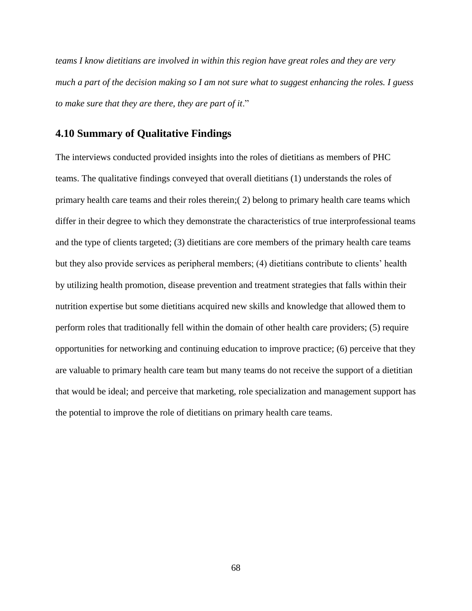*teams I know dietitians are involved in within this region have great roles and they are very much a part of the decision making so I am not sure what to suggest enhancing the roles. I guess to make sure that they are there, they are part of it*."

# **4.10 Summary of Qualitative Findings**

The interviews conducted provided insights into the roles of dietitians as members of PHC teams. The qualitative findings conveyed that overall dietitians (1) understands the roles of primary health care teams and their roles therein;( 2) belong to primary health care teams which differ in their degree to which they demonstrate the characteristics of true interprofessional teams and the type of clients targeted; (3) dietitians are core members of the primary health care teams but they also provide services as peripheral members; (4) dietitians contribute to clients' health by utilizing health promotion, disease prevention and treatment strategies that falls within their nutrition expertise but some dietitians acquired new skills and knowledge that allowed them to perform roles that traditionally fell within the domain of other health care providers; (5) require opportunities for networking and continuing education to improve practice; (6) perceive that they are valuable to primary health care team but many teams do not receive the support of a dietitian that would be ideal; and perceive that marketing, role specialization and management support has the potential to improve the role of dietitians on primary health care teams.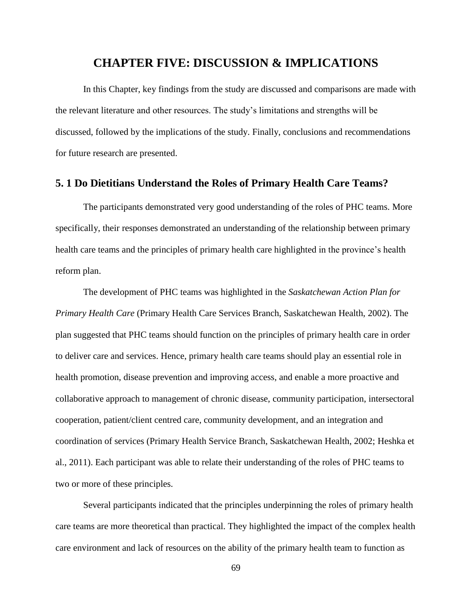# **CHAPTER FIVE: DISCUSSION & IMPLICATIONS**

In this Chapter, key findings from the study are discussed and comparisons are made with the relevant literature and other resources. The study's limitations and strengths will be discussed, followed by the implications of the study. Finally, conclusions and recommendations for future research are presented.

## **5. 1 Do Dietitians Understand the Roles of Primary Health Care Teams?**

The participants demonstrated very good understanding of the roles of PHC teams. More specifically, their responses demonstrated an understanding of the relationship between primary health care teams and the principles of primary health care highlighted in the province's health reform plan.

The development of PHC teams was highlighted in the *Saskatchewan Action Plan for Primary Health Care* (Primary Health Care Services Branch, Saskatchewan Health, 2002). The plan suggested that PHC teams should function on the principles of primary health care in order to deliver care and services. Hence, primary health care teams should play an essential role in health promotion, disease prevention and improving access, and enable a more proactive and collaborative approach to management of chronic disease, community participation, intersectoral cooperation, patient/client centred care, community development, and an integration and coordination of services (Primary Health Service Branch, Saskatchewan Health, 2002; Heshka et al., 2011). Each participant was able to relate their understanding of the roles of PHC teams to two or more of these principles.

Several participants indicated that the principles underpinning the roles of primary health care teams are more theoretical than practical. They highlighted the impact of the complex health care environment and lack of resources on the ability of the primary health team to function as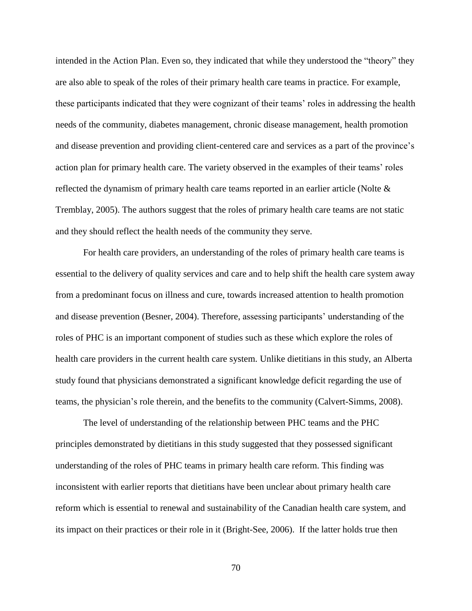intended in the Action Plan. Even so, they indicated that while they understood the "theory" they are also able to speak of the roles of their primary health care teams in practice. For example, these participants indicated that they were cognizant of their teams' roles in addressing the health needs of the community, diabetes management, chronic disease management, health promotion and disease prevention and providing client-centered care and services as a part of the province's action plan for primary health care. The variety observed in the examples of their teams' roles reflected the dynamism of primary health care teams reported in an earlier article (Nolte & Tremblay, 2005). The authors suggest that the roles of primary health care teams are not static and they should reflect the health needs of the community they serve.

For health care providers, an understanding of the roles of primary health care teams is essential to the delivery of quality services and care and to help shift the health care system away from a predominant focus on illness and cure, towards increased attention to health promotion and disease prevention (Besner, 2004). Therefore, assessing participants' understanding of the roles of PHC is an important component of studies such as these which explore the roles of health care providers in the current health care system. Unlike dietitians in this study, an Alberta study found that physicians demonstrated a significant knowledge deficit regarding the use of teams, the physician's role therein, and the benefits to the community (Calvert-Simms, 2008).

The level of understanding of the relationship between PHC teams and the PHC principles demonstrated by dietitians in this study suggested that they possessed significant understanding of the roles of PHC teams in primary health care reform. This finding was inconsistent with earlier reports that dietitians have been unclear about primary health care reform which is essential to renewal and sustainability of the Canadian health care system, and its impact on their practices or their role in it (Bright-See, 2006). If the latter holds true then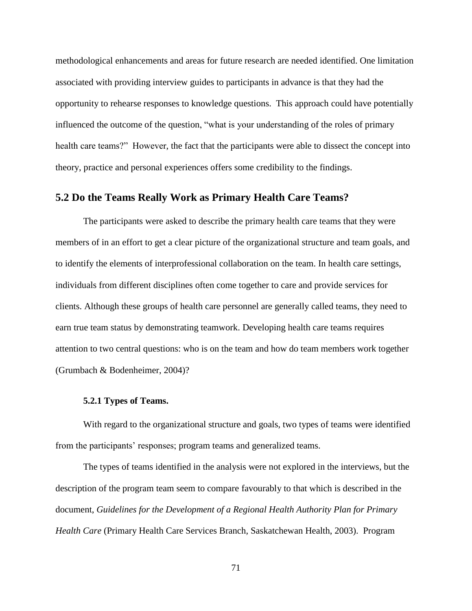methodological enhancements and areas for future research are needed identified. One limitation associated with providing interview guides to participants in advance is that they had the opportunity to rehearse responses to knowledge questions. This approach could have potentially influenced the outcome of the question, "what is your understanding of the roles of primary health care teams?" However, the fact that the participants were able to dissect the concept into theory, practice and personal experiences offers some credibility to the findings.

## **5.2 Do the Teams Really Work as Primary Health Care Teams?**

The participants were asked to describe the primary health care teams that they were members of in an effort to get a clear picture of the organizational structure and team goals, and to identify the elements of interprofessional collaboration on the team. In health care settings, individuals from different disciplines often come together to care and provide services for clients. Although these groups of health care personnel are generally called teams, they need to earn true team status by demonstrating teamwork. Developing health care teams requires attention to two central questions: who is on the team and how do team members work together (Grumbach & Bodenheimer, 2004)?

### **5.2.1 Types of Teams.**

With regard to the organizational structure and goals, two types of teams were identified from the participants' responses; program teams and generalized teams.

The types of teams identified in the analysis were not explored in the interviews, but the description of the program team seem to compare favourably to that which is described in the document, *Guidelines for the Development of a Regional Health Authority Plan for Primary Health Care* (Primary Health Care Services Branch, Saskatchewan Health, 2003). Program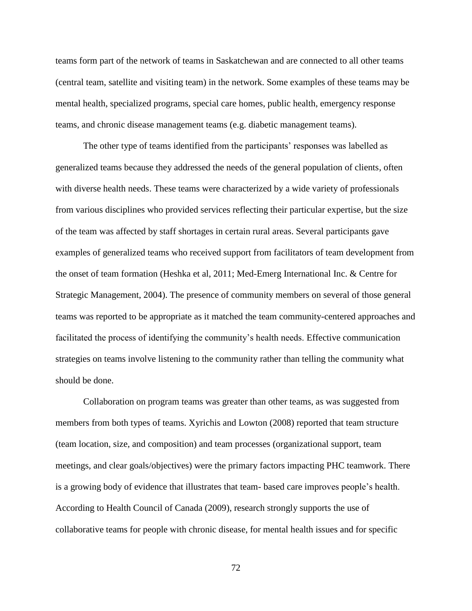teams form part of the network of teams in Saskatchewan and are connected to all other teams (central team, satellite and visiting team) in the network. Some examples of these teams may be mental health, specialized programs, special care homes, public health, emergency response teams, and chronic disease management teams (e.g. diabetic management teams).

The other type of teams identified from the participants' responses was labelled as generalized teams because they addressed the needs of the general population of clients, often with diverse health needs. These teams were characterized by a wide variety of professionals from various disciplines who provided services reflecting their particular expertise, but the size of the team was affected by staff shortages in certain rural areas. Several participants gave examples of generalized teams who received support from facilitators of team development from the onset of team formation (Heshka et al, 2011; Med-Emerg International Inc. & Centre for Strategic Management, 2004). The presence of community members on several of those general teams was reported to be appropriate as it matched the team community-centered approaches and facilitated the process of identifying the community's health needs. Effective communication strategies on teams involve listening to the community rather than telling the community what should be done.

Collaboration on program teams was greater than other teams, as was suggested from members from both types of teams. Xyrichis and Lowton (2008) reported that team structure (team location, size, and composition) and team processes (organizational support, team meetings, and clear goals/objectives) were the primary factors impacting PHC teamwork. There is a growing body of evidence that illustrates that team- based care improves people's health. According to Health Council of Canada (2009), research strongly supports the use of collaborative teams for people with chronic disease, for mental health issues and for specific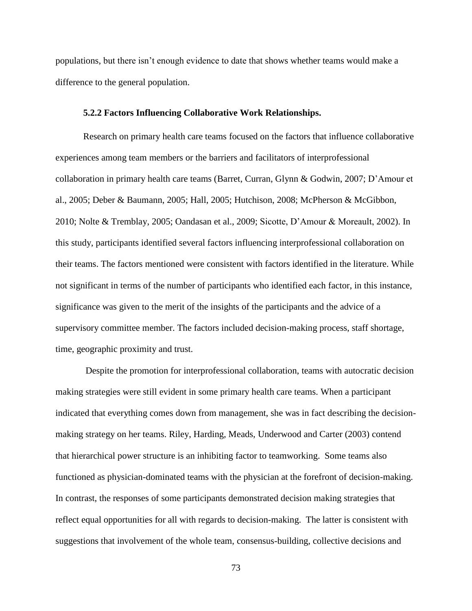populations, but there isn't enough evidence to date that shows whether teams would make a difference to the general population.

#### **5.2.2 Factors Influencing Collaborative Work Relationships.**

Research on primary health care teams focused on the factors that influence collaborative experiences among team members or the barriers and facilitators of interprofessional collaboration in primary health care teams (Barret, Curran, Glynn & Godwin, 2007; D'Amour et al., 2005; Deber & Baumann, 2005; Hall, 2005; Hutchison, 2008; McPherson & McGibbon, 2010; Nolte & Tremblay, 2005; Oandasan et al., 2009; Sicotte, D'Amour & Moreault, 2002). In this study, participants identified several factors influencing interprofessional collaboration on their teams. The factors mentioned were consistent with factors identified in the literature. While not significant in terms of the number of participants who identified each factor, in this instance, significance was given to the merit of the insights of the participants and the advice of a supervisory committee member. The factors included decision-making process, staff shortage, time, geographic proximity and trust.

Despite the promotion for interprofessional collaboration, teams with autocratic decision making strategies were still evident in some primary health care teams. When a participant indicated that everything comes down from management, she was in fact describing the decisionmaking strategy on her teams. Riley, Harding, Meads, Underwood and Carter (2003) contend that hierarchical power structure is an inhibiting factor to teamworking. Some teams also functioned as physician-dominated teams with the physician at the forefront of decision-making. In contrast, the responses of some participants demonstrated decision making strategies that reflect equal opportunities for all with regards to decision-making. The latter is consistent with suggestions that involvement of the whole team, consensus-building, collective decisions and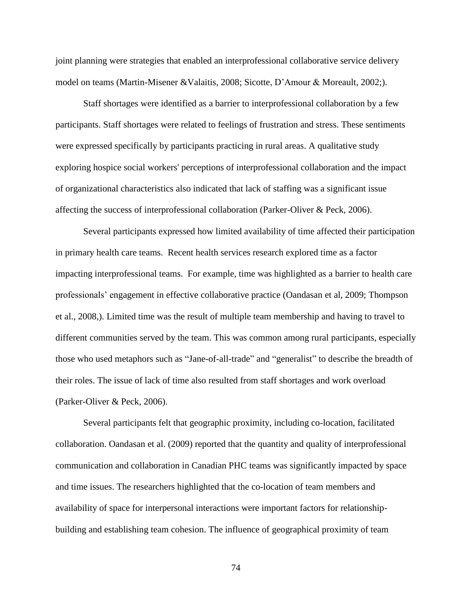joint planning were strategies that enabled an interprofessional collaborative service delivery model on teams (Martin-Misener &Valaitis, 2008; Sicotte, D'Amour & Moreault, 2002;).

Staff shortages were identified as a barrier to interprofessional collaboration by a few participants. Staff shortages were related to feelings of frustration and stress. These sentiments were expressed specifically by participants practicing in rural areas. A qualitative study exploring hospice social workers' perceptions of interprofessional collaboration and the impact of organizational characteristics also indicated that lack of staffing was a significant issue affecting the success of interprofessional collaboration (Parker-Oliver & Peck, 2006).

Several participants expressed how limited availability of time affected their participation in primary health care teams. Recent health services research explored time as a factor impacting interprofessional teams. For example, time was highlighted as a barrier to health care professionals' engagement in effective collaborative practice (Oandasan et al, 2009; Thompson et al., 2008,). Limited time was the result of multiple team membership and having to travel to different communities served by the team. This was common among rural participants, especially those who used metaphors such as "Jane-of-all-trade" and "generalist" to describe the breadth of their roles. The issue of lack of time also resulted from staff shortages and work overload (Parker-Oliver & Peck, 2006).

Several participants felt that geographic proximity, including co-location, facilitated collaboration. Oandasan et al. (2009) reported that the quantity and quality of interprofessional communication and collaboration in Canadian PHC teams was significantly impacted by space and time issues. The researchers highlighted that the co-location of team members and availability of space for interpersonal interactions were important factors for relationshipbuilding and establishing team cohesion. The influence of geographical proximity of team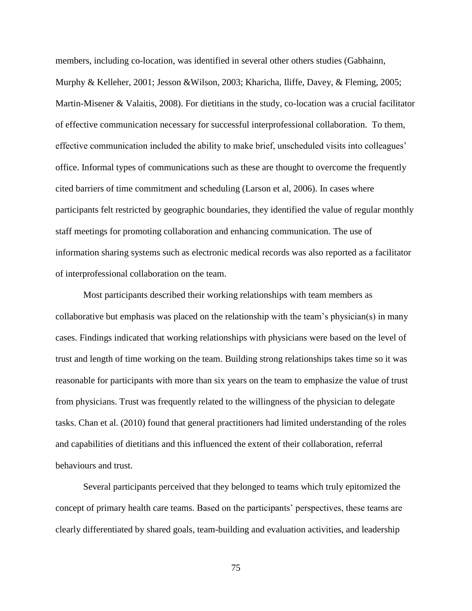members, including co-location, was identified in several other others studies (Gabhainn, Murphy & Kelleher, 2001; Jesson &Wilson, 2003; Kharicha, Iliffe, Davey, & Fleming, 2005; Martin-Misener & Valaitis, 2008). For dietitians in the study, co-location was a crucial facilitator of effective communication necessary for successful interprofessional collaboration. To them, effective communication included the ability to make brief, unscheduled visits into colleagues' office. Informal types of communications such as these are thought to overcome the frequently cited barriers of time commitment and scheduling (Larson et al, 2006). In cases where participants felt restricted by geographic boundaries, they identified the value of regular monthly staff meetings for promoting collaboration and enhancing communication. The use of information sharing systems such as electronic medical records was also reported as a facilitator of interprofessional collaboration on the team.

Most participants described their working relationships with team members as collaborative but emphasis was placed on the relationship with the team's physician(s) in many cases. Findings indicated that working relationships with physicians were based on the level of trust and length of time working on the team. Building strong relationships takes time so it was reasonable for participants with more than six years on the team to emphasize the value of trust from physicians. Trust was frequently related to the willingness of the physician to delegate tasks. Chan et al. (2010) found that general practitioners had limited understanding of the roles and capabilities of dietitians and this influenced the extent of their collaboration, referral behaviours and trust.

Several participants perceived that they belonged to teams which truly epitomized the concept of primary health care teams. Based on the participants' perspectives, these teams are clearly differentiated by shared goals, team-building and evaluation activities, and leadership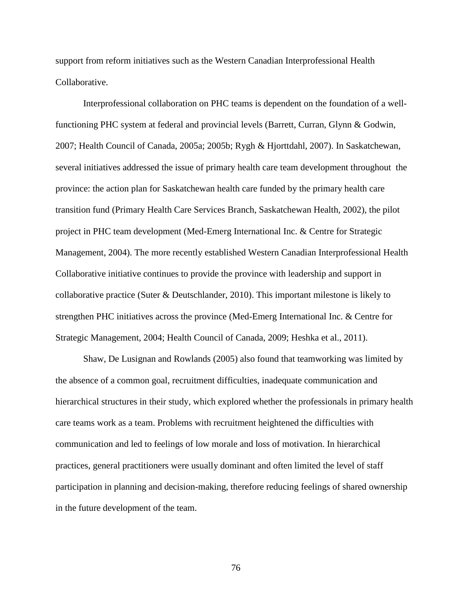support from reform initiatives such as the Western Canadian Interprofessional Health Collaborative.

Interprofessional collaboration on PHC teams is dependent on the foundation of a wellfunctioning PHC system at federal and provincial levels (Barrett, Curran, Glynn & Godwin, 2007; Health Council of Canada, 2005a; 2005b; Rygh & Hjorttdahl, 2007). In Saskatchewan, several initiatives addressed the issue of primary health care team development throughout the province: the action plan for Saskatchewan health care funded by the primary health care transition fund (Primary Health Care Services Branch, Saskatchewan Health, 2002), the pilot project in PHC team development (Med-Emerg International Inc. & Centre for Strategic Management, 2004). The more recently established Western Canadian Interprofessional Health Collaborative initiative continues to provide the province with leadership and support in collaborative practice (Suter & Deutschlander, 2010). This important milestone is likely to strengthen PHC initiatives across the province (Med-Emerg International Inc. & Centre for Strategic Management, 2004; Health Council of Canada, 2009; Heshka et al., 2011).

Shaw, De Lusignan and Rowlands (2005) also found that teamworking was limited by the absence of a common goal, recruitment difficulties, inadequate communication and hierarchical structures in their study, which explored whether the professionals in primary health care teams work as a team. Problems with recruitment heightened the difficulties with communication and led to feelings of low morale and loss of motivation. In hierarchical practices, general practitioners were usually dominant and often limited the level of staff participation in planning and decision-making, therefore reducing feelings of shared ownership in the future development of the team.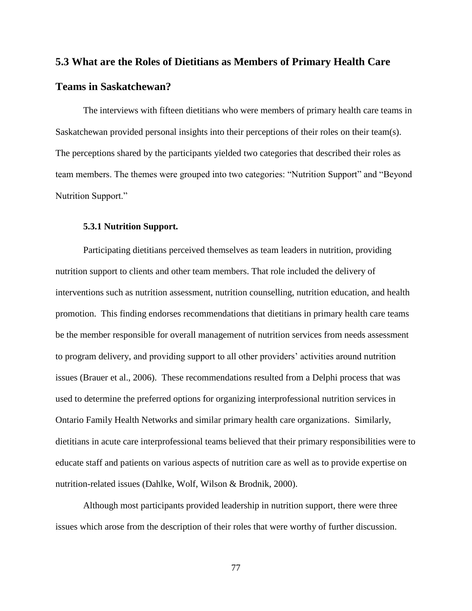# **5.3 What are the Roles of Dietitians as Members of Primary Health Care**

# **Teams in Saskatchewan?**

The interviews with fifteen dietitians who were members of primary health care teams in Saskatchewan provided personal insights into their perceptions of their roles on their team(s). The perceptions shared by the participants yielded two categories that described their roles as team members. The themes were grouped into two categories: "Nutrition Support" and "Beyond Nutrition Support."

### **5.3.1 Nutrition Support.**

Participating dietitians perceived themselves as team leaders in nutrition, providing nutrition support to clients and other team members. That role included the delivery of interventions such as nutrition assessment, nutrition counselling, nutrition education, and health promotion. This finding endorses recommendations that dietitians in primary health care teams be the member responsible for overall management of nutrition services from needs assessment to program delivery, and providing support to all other providers' activities around nutrition issues (Brauer et al., 2006). These recommendations resulted from a Delphi process that was used to determine the preferred options for organizing interprofessional nutrition services in Ontario Family Health Networks and similar primary health care organizations. Similarly, dietitians in acute care interprofessional teams believed that their primary responsibilities were to educate staff and patients on various aspects of nutrition care as well as to provide expertise on nutrition-related issues (Dahlke, Wolf, Wilson & Brodnik, 2000).

Although most participants provided leadership in nutrition support, there were three issues which arose from the description of their roles that were worthy of further discussion.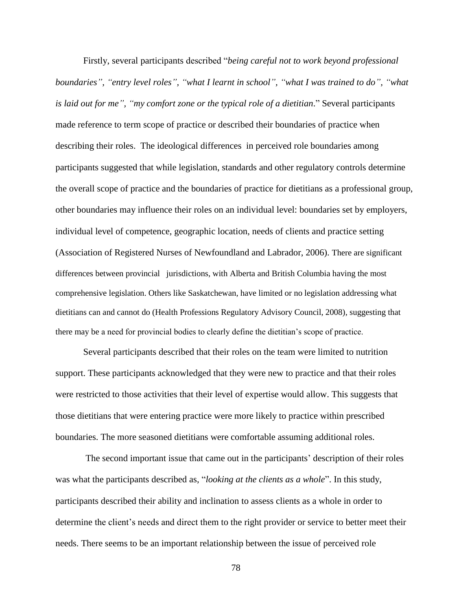Firstly, several participants described "*being careful not to work beyond professional boundaries", "entry level roles", "what I learnt in school", "what I was trained to do", "what is laid out for me", "my comfort zone or the typical role of a dietitian*." Several participants made reference to term scope of practice or described their boundaries of practice when describing their roles. The ideological differences in perceived role boundaries among participants suggested that while legislation, standards and other regulatory controls determine the overall scope of practice and the boundaries of practice for dietitians as a professional group, other boundaries may influence their roles on an individual level: boundaries set by employers, individual level of competence, geographic location, needs of clients and practice setting (Association of Registered Nurses of Newfoundland and Labrador, 2006). There are significant differences between provincial jurisdictions, with Alberta and British Columbia having the most comprehensive legislation. Others like Saskatchewan, have limited or no legislation addressing what dietitians can and cannot do (Health Professions Regulatory Advisory Council, 2008), suggesting that there may be a need for provincial bodies to clearly define the dietitian's scope of practice.

Several participants described that their roles on the team were limited to nutrition support. These participants acknowledged that they were new to practice and that their roles were restricted to those activities that their level of expertise would allow. This suggests that those dietitians that were entering practice were more likely to practice within prescribed boundaries. The more seasoned dietitians were comfortable assuming additional roles.

The second important issue that came out in the participants' description of their roles was what the participants described as, "*looking at the clients as a whole*". In this study, participants described their ability and inclination to assess clients as a whole in order to determine the client's needs and direct them to the right provider or service to better meet their needs. There seems to be an important relationship between the issue of perceived role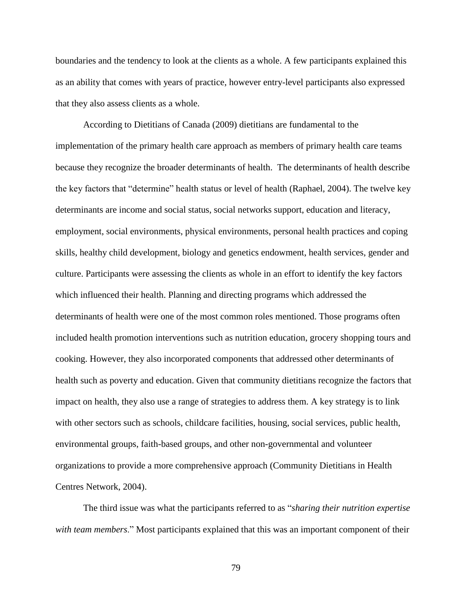boundaries and the tendency to look at the clients as a whole. A few participants explained this as an ability that comes with years of practice, however entry-level participants also expressed that they also assess clients as a whole.

According to Dietitians of Canada (2009) dietitians are fundamental to the implementation of the primary health care approach as members of primary health care teams because they recognize the broader determinants of health. The determinants of health describe the key factors that "determine" health status or level of health (Raphael, 2004). The twelve key determinants are income and social status, social networks support, education and literacy, employment, social environments, physical environments, personal health practices and coping skills, healthy child development, biology and genetics endowment, health services, gender and culture. Participants were assessing the clients as whole in an effort to identify the key factors which influenced their health. Planning and directing programs which addressed the determinants of health were one of the most common roles mentioned. Those programs often included health promotion interventions such as nutrition education, grocery shopping tours and cooking. However, they also incorporated components that addressed other determinants of health such as poverty and education. Given that community dietitians recognize the factors that impact on health, they also use a range of strategies to address them. A key strategy is to link with other sectors such as schools, childcare facilities, housing, social services, public health, environmental groups, faith-based groups, and other non-governmental and volunteer organizations to provide a more comprehensive approach (Community Dietitians in Health Centres Network, 2004).

The third issue was what the participants referred to as "*sharing their nutrition expertise with team members*." Most participants explained that this was an important component of their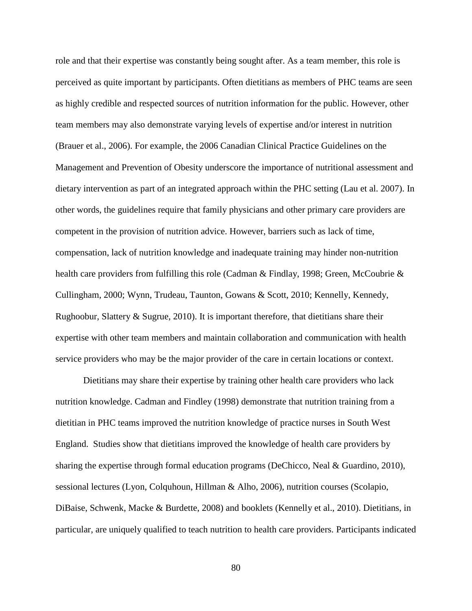role and that their expertise was constantly being sought after. As a team member, this role is perceived as quite important by participants. Often dietitians as members of PHC teams are seen as highly credible and respected sources of nutrition information for the public. However, other team members may also demonstrate varying levels of expertise and/or interest in nutrition (Brauer et al., 2006). For example, the 2006 Canadian Clinical Practice Guidelines on the Management and Prevention of Obesity underscore the importance of nutritional assessment and dietary intervention as part of an integrated approach within the PHC setting (Lau et al. 2007). In other words, the guidelines require that family physicians and other primary care providers are competent in the provision of nutrition advice. However, barriers such as lack of time, compensation, lack of nutrition knowledge and inadequate training may hinder non-nutrition health care providers from fulfilling this role (Cadman & Findlay, 1998; Green, McCoubrie & Cullingham, 2000; Wynn, Trudeau, Taunton, Gowans & Scott, 2010; Kennelly, Kennedy, Rughoobur, Slattery & Sugrue, 2010). It is important therefore, that dietitians share their expertise with other team members and maintain collaboration and communication with health service providers who may be the major provider of the care in certain locations or context.

Dietitians may share their expertise by training other health care providers who lack nutrition knowledge. Cadman and Findley (1998) demonstrate that nutrition training from a dietitian in PHC teams improved the nutrition knowledge of practice nurses in South West England. Studies show that dietitians improved the knowledge of health care providers by sharing the expertise through formal education programs (DeChicco, Neal & Guardino, 2010), sessional lectures (Lyon, Colquhoun, Hillman & Alho, 2006), nutrition courses (Scolapio, DiBaise, Schwenk, Macke & Burdette, 2008) and booklets (Kennelly et al., 2010). Dietitians, in particular, are uniquely qualified to teach nutrition to health care providers. Participants indicated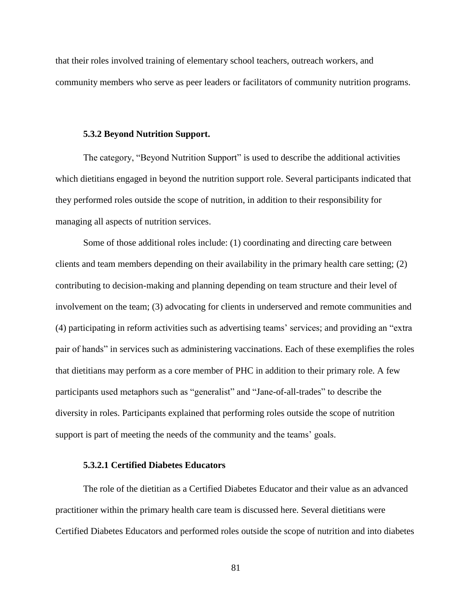that their roles involved training of elementary school teachers, outreach workers, and community members who serve as peer leaders or facilitators of community nutrition programs.

#### **5.3.2 Beyond Nutrition Support.**

The category, "Beyond Nutrition Support" is used to describe the additional activities which dietitians engaged in beyond the nutrition support role. Several participants indicated that they performed roles outside the scope of nutrition, in addition to their responsibility for managing all aspects of nutrition services.

Some of those additional roles include: (1) coordinating and directing care between clients and team members depending on their availability in the primary health care setting; (2) contributing to decision-making and planning depending on team structure and their level of involvement on the team; (3) advocating for clients in underserved and remote communities and (4) participating in reform activities such as advertising teams' services; and providing an "extra pair of hands" in services such as administering vaccinations. Each of these exemplifies the roles that dietitians may perform as a core member of PHC in addition to their primary role. A few participants used metaphors such as "generalist" and "Jane-of-all-trades" to describe the diversity in roles. Participants explained that performing roles outside the scope of nutrition support is part of meeting the needs of the community and the teams' goals.

### **5.3.2.1 Certified Diabetes Educators**

The role of the dietitian as a Certified Diabetes Educator and their value as an advanced practitioner within the primary health care team is discussed here. Several dietitians were Certified Diabetes Educators and performed roles outside the scope of nutrition and into diabetes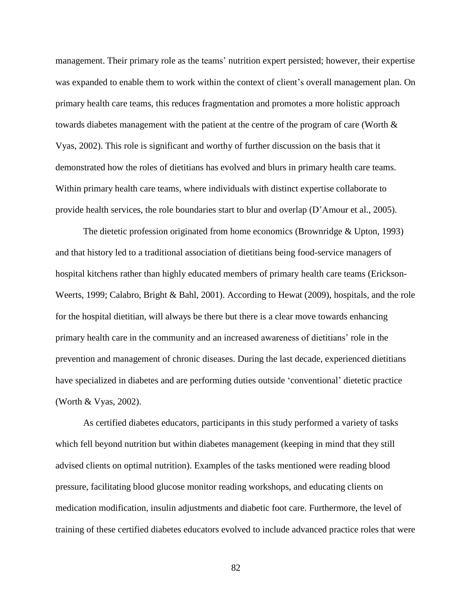management. Their primary role as the teams' nutrition expert persisted; however, their expertise was expanded to enable them to work within the context of client's overall management plan. On primary health care teams, this reduces fragmentation and promotes a more holistic approach towards diabetes management with the patient at the centre of the program of care (Worth & Vyas, 2002). This role is significant and worthy of further discussion on the basis that it demonstrated how the roles of dietitians has evolved and blurs in primary health care teams. Within primary health care teams, where individuals with distinct expertise collaborate to provide health services, the role boundaries start to blur and overlap (D'Amour et al., 2005).

The dietetic profession originated from home economics (Brownridge  $&$  Upton, 1993) and that history led to a traditional association of dietitians being food-service managers of hospital kitchens rather than highly educated members of primary health care teams (Erickson-Weerts, 1999; Calabro, Bright & Bahl, 2001). According to Hewat (2009), hospitals, and the role for the hospital dietitian, will always be there but there is a clear move towards enhancing primary health care in the community and an increased awareness of dietitians' role in the prevention and management of chronic diseases. During the last decade, experienced dietitians have specialized in diabetes and are performing duties outside 'conventional' dietetic practice (Worth & Vyas, 2002).

As certified diabetes educators, participants in this study performed a variety of tasks which fell beyond nutrition but within diabetes management (keeping in mind that they still advised clients on optimal nutrition). Examples of the tasks mentioned were reading blood pressure, facilitating blood glucose monitor reading workshops, and educating clients on medication modification, insulin adjustments and diabetic foot care. Furthermore, the level of training of these certified diabetes educators evolved to include advanced practice roles that were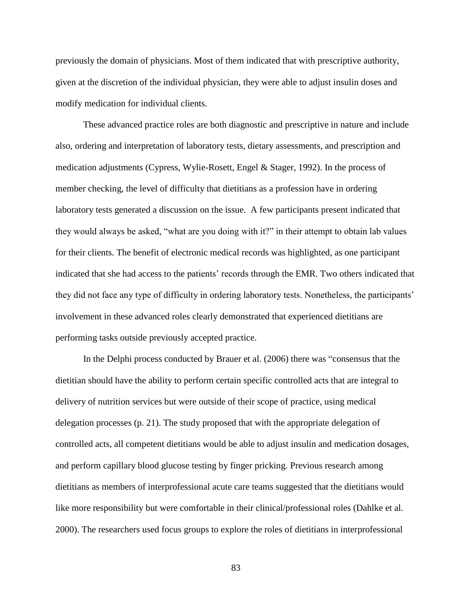previously the domain of physicians. Most of them indicated that with prescriptive authority, given at the discretion of the individual physician, they were able to adjust insulin doses and modify medication for individual clients.

These advanced practice roles are both diagnostic and prescriptive in nature and include also, ordering and interpretation of laboratory tests, dietary assessments, and prescription and medication adjustments (Cypress, Wylie-Rosett, Engel & Stager, 1992). In the process of member checking, the level of difficulty that dietitians as a profession have in ordering laboratory tests generated a discussion on the issue. A few participants present indicated that they would always be asked, "what are you doing with it?" in their attempt to obtain lab values for their clients. The benefit of electronic medical records was highlighted, as one participant indicated that she had access to the patients' records through the EMR. Two others indicated that they did not face any type of difficulty in ordering laboratory tests. Nonetheless, the participants' involvement in these advanced roles clearly demonstrated that experienced dietitians are performing tasks outside previously accepted practice.

In the Delphi process conducted by Brauer et al. (2006) there was "consensus that the dietitian should have the ability to perform certain specific controlled acts that are integral to delivery of nutrition services but were outside of their scope of practice, using medical delegation processes (p. 21). The study proposed that with the appropriate delegation of controlled acts, all competent dietitians would be able to adjust insulin and medication dosages, and perform capillary blood glucose testing by finger pricking. Previous research among dietitians as members of interprofessional acute care teams suggested that the dietitians would like more responsibility but were comfortable in their clinical/professional roles (Dahlke et al. 2000). The researchers used focus groups to explore the roles of dietitians in interprofessional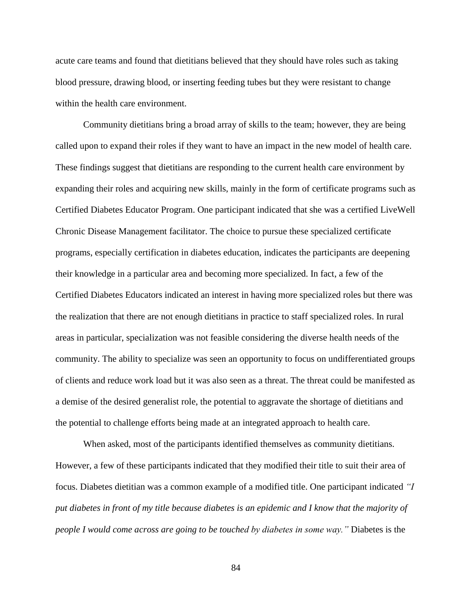acute care teams and found that dietitians believed that they should have roles such as taking blood pressure, drawing blood, or inserting feeding tubes but they were resistant to change within the health care environment.

Community dietitians bring a broad array of skills to the team; however, they are being called upon to expand their roles if they want to have an impact in the new model of health care. These findings suggest that dietitians are responding to the current health care environment by expanding their roles and acquiring new skills, mainly in the form of certificate programs such as Certified Diabetes Educator Program. One participant indicated that she was a certified LiveWell Chronic Disease Management facilitator. The choice to pursue these specialized certificate programs, especially certification in diabetes education, indicates the participants are deepening their knowledge in a particular area and becoming more specialized. In fact, a few of the Certified Diabetes Educators indicated an interest in having more specialized roles but there was the realization that there are not enough dietitians in practice to staff specialized roles. In rural areas in particular, specialization was not feasible considering the diverse health needs of the community. The ability to specialize was seen an opportunity to focus on undifferentiated groups of clients and reduce work load but it was also seen as a threat. The threat could be manifested as a demise of the desired generalist role, the potential to aggravate the shortage of dietitians and the potential to challenge efforts being made at an integrated approach to health care.

When asked, most of the participants identified themselves as community dietitians. However, a few of these participants indicated that they modified their title to suit their area of focus. Diabetes dietitian was a common example of a modified title. One participant indicated *"I put diabetes in front of my title because diabetes is an epidemic and I know that the majority of people I would come across are going to be touched by diabetes in some way."* Diabetes is the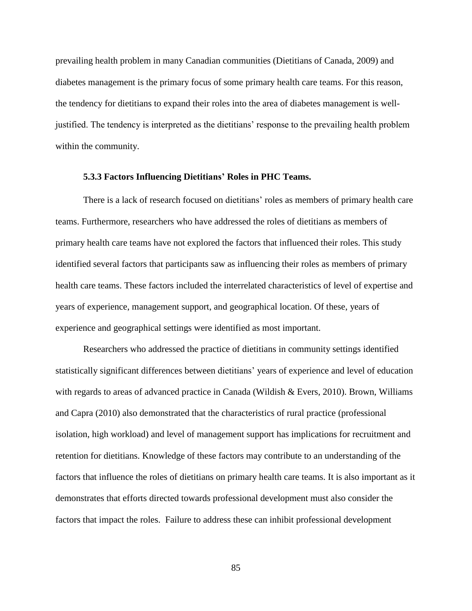prevailing health problem in many Canadian communities (Dietitians of Canada, 2009) and diabetes management is the primary focus of some primary health care teams. For this reason, the tendency for dietitians to expand their roles into the area of diabetes management is welljustified. The tendency is interpreted as the dietitians' response to the prevailing health problem within the community.

#### **5.3.3 Factors Influencing Dietitians' Roles in PHC Teams.**

There is a lack of research focused on dietitians' roles as members of primary health care teams. Furthermore, researchers who have addressed the roles of dietitians as members of primary health care teams have not explored the factors that influenced their roles. This study identified several factors that participants saw as influencing their roles as members of primary health care teams. These factors included the interrelated characteristics of level of expertise and years of experience, management support, and geographical location. Of these, years of experience and geographical settings were identified as most important.

Researchers who addressed the practice of dietitians in community settings identified statistically significant differences between dietitians' years of experience and level of education with regards to areas of advanced practice in Canada (Wildish & Evers, 2010). Brown, Williams and Capra (2010) also demonstrated that the characteristics of rural practice (professional isolation, high workload) and level of management support has implications for recruitment and retention for dietitians. Knowledge of these factors may contribute to an understanding of the factors that influence the roles of dietitians on primary health care teams. It is also important as it demonstrates that efforts directed towards professional development must also consider the factors that impact the roles. Failure to address these can inhibit professional development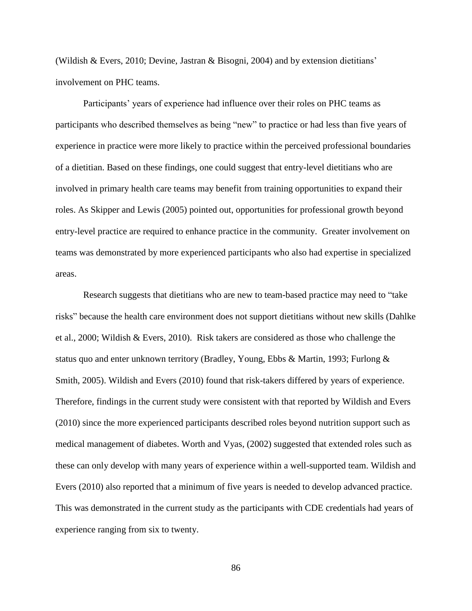(Wildish & Evers, 2010; Devine, Jastran & Bisogni, 2004) and by extension dietitians' involvement on PHC teams.

Participants' years of experience had influence over their roles on PHC teams as participants who described themselves as being "new" to practice or had less than five years of experience in practice were more likely to practice within the perceived professional boundaries of a dietitian. Based on these findings, one could suggest that entry-level dietitians who are involved in primary health care teams may benefit from training opportunities to expand their roles. As Skipper and Lewis (2005) pointed out, opportunities for professional growth beyond entry-level practice are required to enhance practice in the community. Greater involvement on teams was demonstrated by more experienced participants who also had expertise in specialized areas.

Research suggests that dietitians who are new to team-based practice may need to "take risks" because the health care environment does not support dietitians without new skills (Dahlke et al., 2000; Wildish & Evers, 2010). Risk takers are considered as those who challenge the status quo and enter unknown territory (Bradley, Young, Ebbs & Martin, 1993; Furlong & Smith, 2005). Wildish and Evers (2010) found that risk-takers differed by years of experience. Therefore, findings in the current study were consistent with that reported by Wildish and Evers (2010) since the more experienced participants described roles beyond nutrition support such as medical management of diabetes. Worth and Vyas, (2002) suggested that extended roles such as these can only develop with many years of experience within a well-supported team. Wildish and Evers (2010) also reported that a minimum of five years is needed to develop advanced practice. This was demonstrated in the current study as the participants with CDE credentials had years of experience ranging from six to twenty.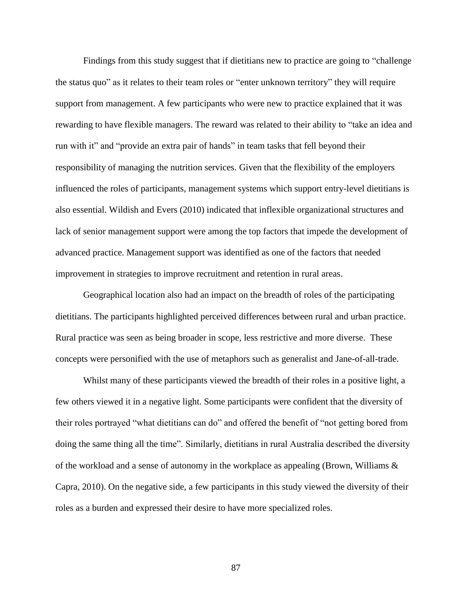Findings from this study suggest that if dietitians new to practice are going to "challenge the status quo" as it relates to their team roles or "enter unknown territory" they will require support from management. A few participants who were new to practice explained that it was rewarding to have flexible managers. The reward was related to their ability to "take an idea and run with it" and "provide an extra pair of hands" in team tasks that fell beyond their responsibility of managing the nutrition services. Given that the flexibility of the employers influenced the roles of participants, management systems which support entry-level dietitians is also essential. Wildish and Evers (2010) indicated that inflexible organizational structures and lack of senior management support were among the top factors that impede the development of advanced practice. Management support was identified as one of the factors that needed improvement in strategies to improve recruitment and retention in rural areas.

Geographical location also had an impact on the breadth of roles of the participating dietitians. The participants highlighted perceived differences between rural and urban practice. Rural practice was seen as being broader in scope, less restrictive and more diverse. These concepts were personified with the use of metaphors such as generalist and Jane-of-all-trade.

Whilst many of these participants viewed the breadth of their roles in a positive light, a few others viewed it in a negative light. Some participants were confident that the diversity of their roles portrayed "what dietitians can do" and offered the benefit of "not getting bored from doing the same thing all the time". Similarly, dietitians in rural Australia described the diversity of the workload and a sense of autonomy in the workplace as appealing (Brown, Williams & Capra, 2010). On the negative side, a few participants in this study viewed the diversity of their roles as a burden and expressed their desire to have more specialized roles.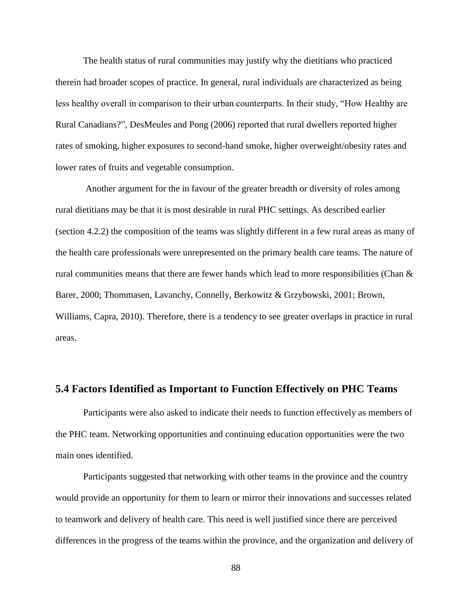The health status of rural communities may justify why the dietitians who practiced therein had broader scopes of practice. In general, rural individuals are characterized as being less healthy overall in comparison to their urban counterparts. In their study, "How Healthy are Rural Canadians?", DesMeules and Pong (2006) reported that rural dwellers reported higher rates of smoking, higher exposures to second-hand smoke, higher overweight/obesity rates and lower rates of fruits and vegetable consumption.

Another argument for the in favour of the greater breadth or diversity of roles among rural dietitians may be that it is most desirable in rural PHC settings. As described earlier (section 4.2.2) the composition of the teams was slightly different in a few rural areas as many of the health care professionals were unrepresented on the primary health care teams. The nature of rural communities means that there are fewer hands which lead to more responsibilities (Chan & Barer, 2000; Thommasen, Lavanchy, Connelly, Berkowitz & Grzybowski, 2001; Brown, Williams, Capra, 2010). Therefore, there is a tendency to see greater overlaps in practice in rural areas.

## **5.4 Factors Identified as Important to Function Effectively on PHC Teams**

Participants were also asked to indicate their needs to function effectively as members of the PHC team. Networking opportunities and continuing education opportunities were the two main ones identified.

Participants suggested that networking with other teams in the province and the country would provide an opportunity for them to learn or mirror their innovations and successes related to teamwork and delivery of health care. This need is well justified since there are perceived differences in the progress of the teams within the province, and the organization and delivery of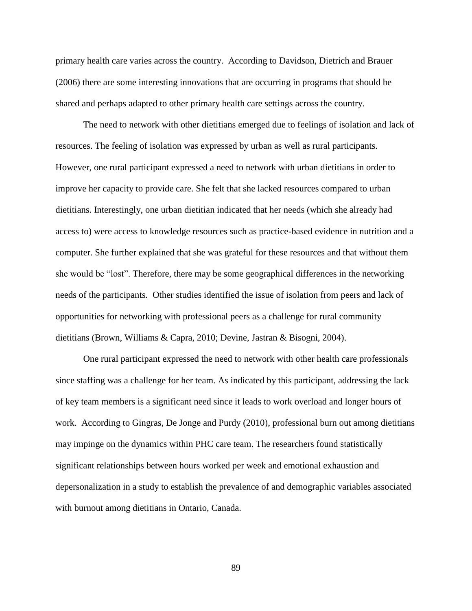primary health care varies across the country. According to Davidson, Dietrich and Brauer (2006) there are some interesting innovations that are occurring in programs that should be shared and perhaps adapted to other primary health care settings across the country.

The need to network with other dietitians emerged due to feelings of isolation and lack of resources. The feeling of isolation was expressed by urban as well as rural participants. However, one rural participant expressed a need to network with urban dietitians in order to improve her capacity to provide care. She felt that she lacked resources compared to urban dietitians. Interestingly, one urban dietitian indicated that her needs (which she already had access to) were access to knowledge resources such as practice-based evidence in nutrition and a computer. She further explained that she was grateful for these resources and that without them she would be "lost". Therefore, there may be some geographical differences in the networking needs of the participants. Other studies identified the issue of isolation from peers and lack of opportunities for networking with professional peers as a challenge for rural community dietitians (Brown, Williams & Capra, 2010; Devine, Jastran & Bisogni, 2004).

One rural participant expressed the need to network with other health care professionals since staffing was a challenge for her team. As indicated by this participant, addressing the lack of key team members is a significant need since it leads to work overload and longer hours of work. According to Gingras, De Jonge and Purdy (2010), professional burn out among dietitians may impinge on the dynamics within PHC care team. The researchers found statistically significant relationships between hours worked per week and emotional exhaustion and depersonalization in a study to establish the prevalence of and demographic variables associated with burnout among dietitians in Ontario, Canada.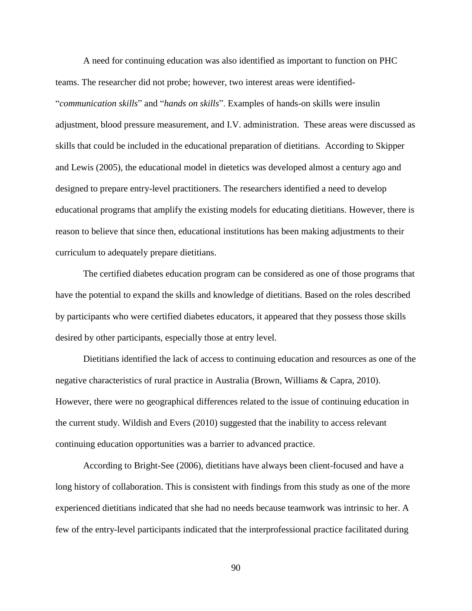A need for continuing education was also identified as important to function on PHC teams. The researcher did not probe; however, two interest areas were identified- "*communication skills*" and "*hands on skills*". Examples of hands-on skills were insulin adjustment, blood pressure measurement, and I.V. administration. These areas were discussed as skills that could be included in the educational preparation of dietitians. According to Skipper and Lewis (2005), the educational model in dietetics was developed almost a century ago and designed to prepare entry-level practitioners. The researchers identified a need to develop educational programs that amplify the existing models for educating dietitians. However, there is reason to believe that since then, educational institutions has been making adjustments to their curriculum to adequately prepare dietitians.

The certified diabetes education program can be considered as one of those programs that have the potential to expand the skills and knowledge of dietitians. Based on the roles described by participants who were certified diabetes educators, it appeared that they possess those skills desired by other participants, especially those at entry level.

Dietitians identified the lack of access to continuing education and resources as one of the negative characteristics of rural practice in Australia (Brown, Williams & Capra, 2010). However, there were no geographical differences related to the issue of continuing education in the current study. Wildish and Evers (2010) suggested that the inability to access relevant continuing education opportunities was a barrier to advanced practice.

According to Bright-See (2006), dietitians have always been client-focused and have a long history of collaboration. This is consistent with findings from this study as one of the more experienced dietitians indicated that she had no needs because teamwork was intrinsic to her. A few of the entry-level participants indicated that the interprofessional practice facilitated during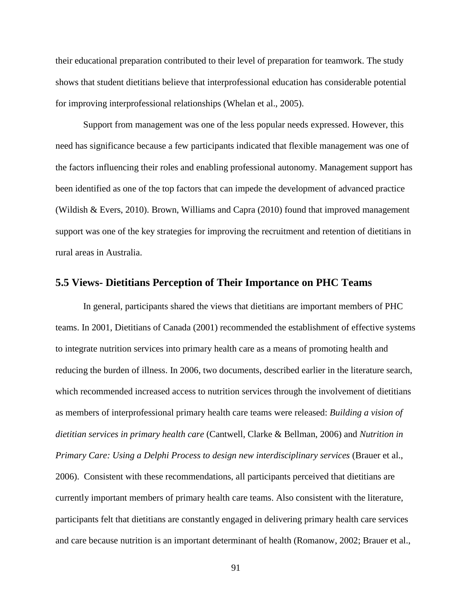their educational preparation contributed to their level of preparation for teamwork. The study shows that student dietitians believe that interprofessional education has considerable potential for improving interprofessional relationships (Whelan et al., 2005).

Support from management was one of the less popular needs expressed. However, this need has significance because a few participants indicated that flexible management was one of the factors influencing their roles and enabling professional autonomy. Management support has been identified as one of the top factors that can impede the development of advanced practice (Wildish & Evers, 2010). Brown, Williams and Capra (2010) found that improved management support was one of the key strategies for improving the recruitment and retention of dietitians in rural areas in Australia.

## **5.5 Views- Dietitians Perception of Their Importance on PHC Teams**

In general, participants shared the views that dietitians are important members of PHC teams. In 2001, Dietitians of Canada (2001) recommended the establishment of effective systems to integrate nutrition services into primary health care as a means of promoting health and reducing the burden of illness. In 2006, two documents, described earlier in the literature search, which recommended increased access to nutrition services through the involvement of dietitians as members of interprofessional primary health care teams were released: *Building a vision of dietitian services in primary health care* (Cantwell, Clarke & Bellman, 2006) and *Nutrition in Primary Care: Using a Delphi Process to design new interdisciplinary services* (Brauer et al., 2006). Consistent with these recommendations, all participants perceived that dietitians are currently important members of primary health care teams. Also consistent with the literature, participants felt that dietitians are constantly engaged in delivering primary health care services and care because nutrition is an important determinant of health (Romanow, 2002; Brauer et al.,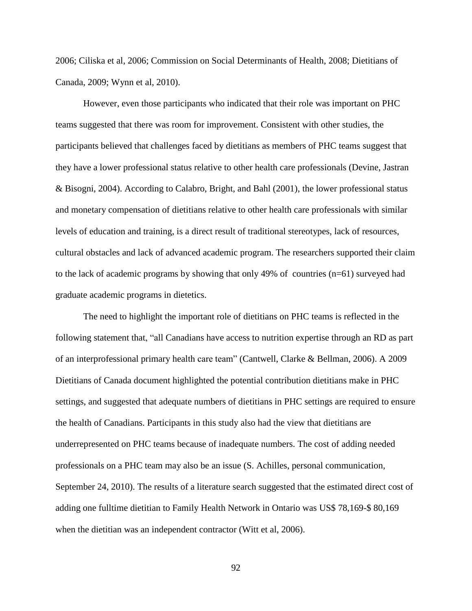2006; Ciliska et al, 2006; Commission on Social Determinants of Health, 2008; Dietitians of Canada, 2009; Wynn et al, 2010).

However, even those participants who indicated that their role was important on PHC teams suggested that there was room for improvement. Consistent with other studies, the participants believed that challenges faced by dietitians as members of PHC teams suggest that they have a lower professional status relative to other health care professionals (Devine, Jastran & Bisogni, 2004). According to Calabro, Bright, and Bahl (2001), the lower professional status and monetary compensation of dietitians relative to other health care professionals with similar levels of education and training, is a direct result of traditional stereotypes, lack of resources, cultural obstacles and lack of advanced academic program. The researchers supported their claim to the lack of academic programs by showing that only 49% of countries (n=61) surveyed had graduate academic programs in dietetics.

The need to highlight the important role of dietitians on PHC teams is reflected in the following statement that, "all Canadians have access to nutrition expertise through an RD as part of an interprofessional primary health care team" (Cantwell, Clarke & Bellman, 2006). A 2009 Dietitians of Canada document highlighted the potential contribution dietitians make in PHC settings, and suggested that adequate numbers of dietitians in PHC settings are required to ensure the health of Canadians. Participants in this study also had the view that dietitians are underrepresented on PHC teams because of inadequate numbers. The cost of adding needed professionals on a PHC team may also be an issue (S. Achilles, personal communication, September 24, 2010). The results of a literature search suggested that the estimated direct cost of adding one fulltime dietitian to Family Health Network in Ontario was US\$ 78,169-\$ 80,169 when the dietitian was an independent contractor (Witt et al, 2006).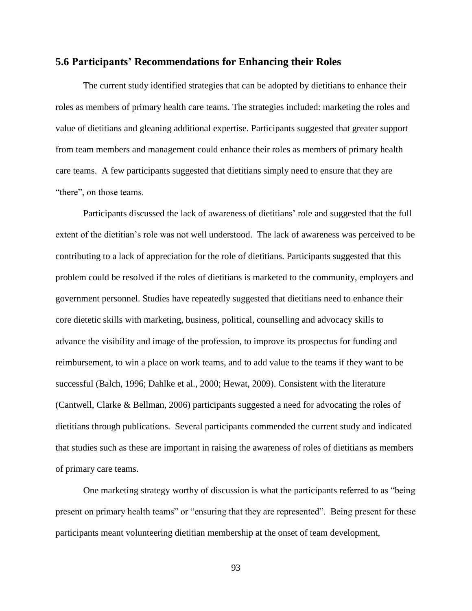## **5.6 Participants' Recommendations for Enhancing their Roles**

The current study identified strategies that can be adopted by dietitians to enhance their roles as members of primary health care teams. The strategies included: marketing the roles and value of dietitians and gleaning additional expertise. Participants suggested that greater support from team members and management could enhance their roles as members of primary health care teams. A few participants suggested that dietitians simply need to ensure that they are "there", on those teams.

Participants discussed the lack of awareness of dietitians' role and suggested that the full extent of the dietitian's role was not well understood. The lack of awareness was perceived to be contributing to a lack of appreciation for the role of dietitians. Participants suggested that this problem could be resolved if the roles of dietitians is marketed to the community, employers and government personnel. Studies have repeatedly suggested that dietitians need to enhance their core dietetic skills with marketing, business, political, counselling and advocacy skills to advance the visibility and image of the profession, to improve its prospectus for funding and reimbursement, to win a place on work teams, and to add value to the teams if they want to be successful (Balch, 1996; Dahlke et al., 2000; Hewat, 2009). Consistent with the literature (Cantwell, Clarke & Bellman, 2006) participants suggested a need for advocating the roles of dietitians through publications. Several participants commended the current study and indicated that studies such as these are important in raising the awareness of roles of dietitians as members of primary care teams.

One marketing strategy worthy of discussion is what the participants referred to as "being present on primary health teams" or "ensuring that they are represented". Being present for these participants meant volunteering dietitian membership at the onset of team development,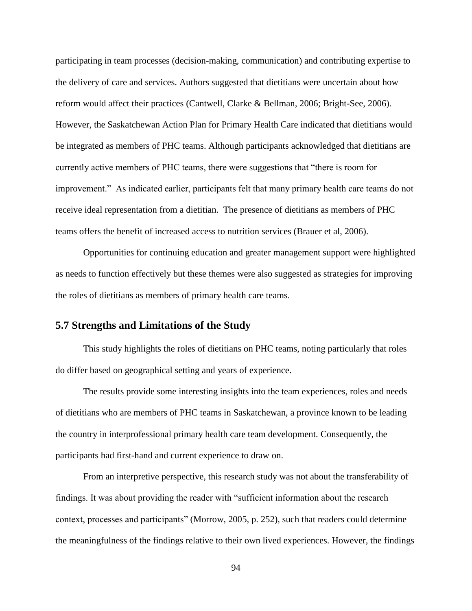participating in team processes (decision-making, communication) and contributing expertise to the delivery of care and services. Authors suggested that dietitians were uncertain about how reform would affect their practices (Cantwell, Clarke & Bellman, 2006; Bright-See, 2006). However, the Saskatchewan Action Plan for Primary Health Care indicated that dietitians would be integrated as members of PHC teams. Although participants acknowledged that dietitians are currently active members of PHC teams, there were suggestions that "there is room for improvement." As indicated earlier, participants felt that many primary health care teams do not receive ideal representation from a dietitian. The presence of dietitians as members of PHC teams offers the benefit of increased access to nutrition services (Brauer et al, 2006).

Opportunities for continuing education and greater management support were highlighted as needs to function effectively but these themes were also suggested as strategies for improving the roles of dietitians as members of primary health care teams.

# **5.7 Strengths and Limitations of the Study**

This study highlights the roles of dietitians on PHC teams, noting particularly that roles do differ based on geographical setting and years of experience.

The results provide some interesting insights into the team experiences, roles and needs of dietitians who are members of PHC teams in Saskatchewan, a province known to be leading the country in interprofessional primary health care team development. Consequently, the participants had first-hand and current experience to draw on.

From an interpretive perspective, this research study was not about the transferability of findings. It was about providing the reader with "sufficient information about the research context, processes and participants" (Morrow, 2005, p. 252), such that readers could determine the meaningfulness of the findings relative to their own lived experiences. However, the findings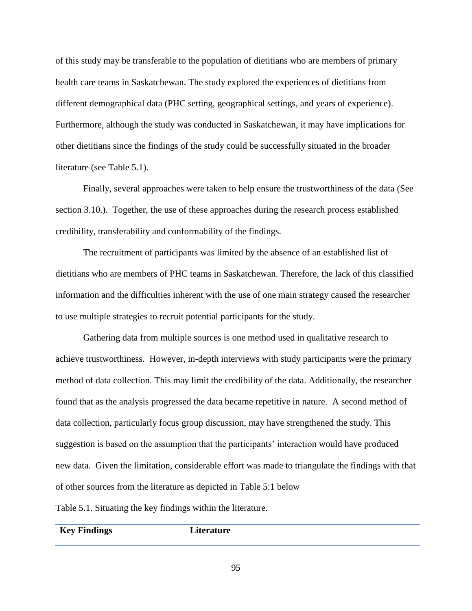of this study may be transferable to the population of dietitians who are members of primary health care teams in Saskatchewan. The study explored the experiences of dietitians from different demographical data (PHC setting, geographical settings, and years of experience). Furthermore, although the study was conducted in Saskatchewan, it may have implications for other dietitians since the findings of the study could be successfully situated in the broader literature (see Table 5.1).

Finally, several approaches were taken to help ensure the trustworthiness of the data (See section 3.10.). Together, the use of these approaches during the research process established credibility, transferability and conformability of the findings.

The recruitment of participants was limited by the absence of an established list of dietitians who are members of PHC teams in Saskatchewan. Therefore, the lack of this classified information and the difficulties inherent with the use of one main strategy caused the researcher to use multiple strategies to recruit potential participants for the study.

Gathering data from multiple sources is one method used in qualitative research to achieve trustworthiness. However, in-depth interviews with study participants were the primary method of data collection. This may limit the credibility of the data. Additionally, the researcher found that as the analysis progressed the data became repetitive in nature. A second method of data collection, particularly focus group discussion, may have strengthened the study. This suggestion is based on the assumption that the participants' interaction would have produced new data. Given the limitation, considerable effort was made to triangulate the findings with that of other sources from the literature as depicted in Table 5:1 below

Table 5.1. Situating the key findings within the literature.

**Key Findings Literature**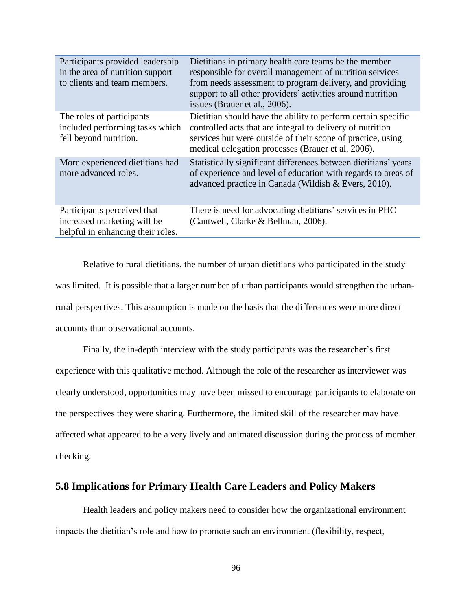| Participants provided leadership<br>in the area of nutrition support<br>to clients and team members. | Dietitians in primary health care teams be the member<br>responsible for overall management of nutrition services<br>from needs assessment to program delivery, and providing<br>support to all other providers' activities around nutrition<br>issues (Brauer et al., 2006). |
|------------------------------------------------------------------------------------------------------|-------------------------------------------------------------------------------------------------------------------------------------------------------------------------------------------------------------------------------------------------------------------------------|
| The roles of participants<br>included performing tasks which<br>fell beyond nutrition.               | Dietitian should have the ability to perform certain specific<br>controlled acts that are integral to delivery of nutrition<br>services but were outside of their scope of practice, using<br>medical delegation processes (Brauer et al. 2006).                              |
| More experienced dietitians had<br>more advanced roles.                                              | Statistically significant differences between dietitians' years<br>of experience and level of education with regards to areas of<br>advanced practice in Canada (Wildish & Evers, 2010).                                                                                      |
| Participants perceived that<br>increased marketing will be<br>helpful in enhancing their roles.      | There is need for advocating dietitians' services in PHC<br>(Cantwell, Clarke & Bellman, 2006).                                                                                                                                                                               |

Relative to rural dietitians, the number of urban dietitians who participated in the study was limited. It is possible that a larger number of urban participants would strengthen the urbanrural perspectives. This assumption is made on the basis that the differences were more direct accounts than observational accounts.

Finally, the in-depth interview with the study participants was the researcher's first experience with this qualitative method. Although the role of the researcher as interviewer was clearly understood, opportunities may have been missed to encourage participants to elaborate on the perspectives they were sharing. Furthermore, the limited skill of the researcher may have affected what appeared to be a very lively and animated discussion during the process of member checking.

# **5.8 Implications for Primary Health Care Leaders and Policy Makers**

Health leaders and policy makers need to consider how the organizational environment impacts the dietitian's role and how to promote such an environment (flexibility, respect,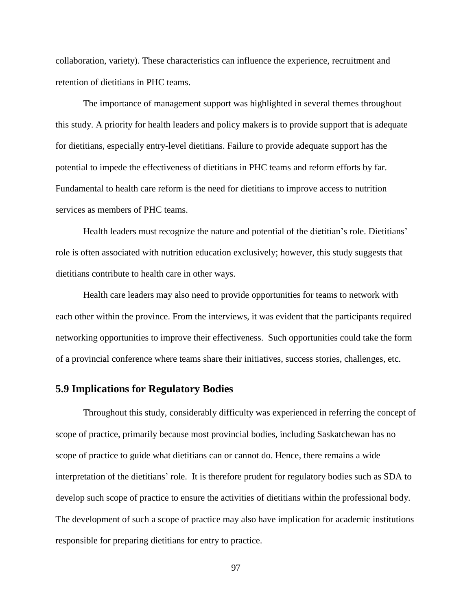collaboration, variety). These characteristics can influence the experience, recruitment and retention of dietitians in PHC teams.

The importance of management support was highlighted in several themes throughout this study. A priority for health leaders and policy makers is to provide support that is adequate for dietitians, especially entry-level dietitians. Failure to provide adequate support has the potential to impede the effectiveness of dietitians in PHC teams and reform efforts by far. Fundamental to health care reform is the need for dietitians to improve access to nutrition services as members of PHC teams.

Health leaders must recognize the nature and potential of the dietitian's role. Dietitians' role is often associated with nutrition education exclusively; however, this study suggests that dietitians contribute to health care in other ways.

Health care leaders may also need to provide opportunities for teams to network with each other within the province. From the interviews, it was evident that the participants required networking opportunities to improve their effectiveness. Such opportunities could take the form of a provincial conference where teams share their initiatives, success stories, challenges, etc.

### **5.9 Implications for Regulatory Bodies**

Throughout this study, considerably difficulty was experienced in referring the concept of scope of practice, primarily because most provincial bodies, including Saskatchewan has no scope of practice to guide what dietitians can or cannot do. Hence, there remains a wide interpretation of the dietitians' role. It is therefore prudent for regulatory bodies such as SDA to develop such scope of practice to ensure the activities of dietitians within the professional body. The development of such a scope of practice may also have implication for academic institutions responsible for preparing dietitians for entry to practice.

97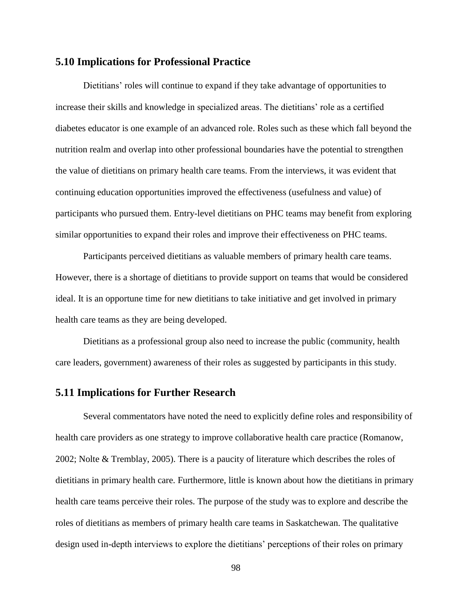### **5.10 Implications for Professional Practice**

Dietitians' roles will continue to expand if they take advantage of opportunities to increase their skills and knowledge in specialized areas. The dietitians' role as a certified diabetes educator is one example of an advanced role. Roles such as these which fall beyond the nutrition realm and overlap into other professional boundaries have the potential to strengthen the value of dietitians on primary health care teams. From the interviews, it was evident that continuing education opportunities improved the effectiveness (usefulness and value) of participants who pursued them. Entry-level dietitians on PHC teams may benefit from exploring similar opportunities to expand their roles and improve their effectiveness on PHC teams.

Participants perceived dietitians as valuable members of primary health care teams. However, there is a shortage of dietitians to provide support on teams that would be considered ideal. It is an opportune time for new dietitians to take initiative and get involved in primary health care teams as they are being developed.

Dietitians as a professional group also need to increase the public (community, health care leaders, government) awareness of their roles as suggested by participants in this study.

### **5.11 Implications for Further Research**

Several commentators have noted the need to explicitly define roles and responsibility of health care providers as one strategy to improve collaborative health care practice (Romanow, 2002; Nolte & Tremblay, 2005). There is a paucity of literature which describes the roles of dietitians in primary health care. Furthermore, little is known about how the dietitians in primary health care teams perceive their roles. The purpose of the study was to explore and describe the roles of dietitians as members of primary health care teams in Saskatchewan. The qualitative design used in-depth interviews to explore the dietitians' perceptions of their roles on primary

98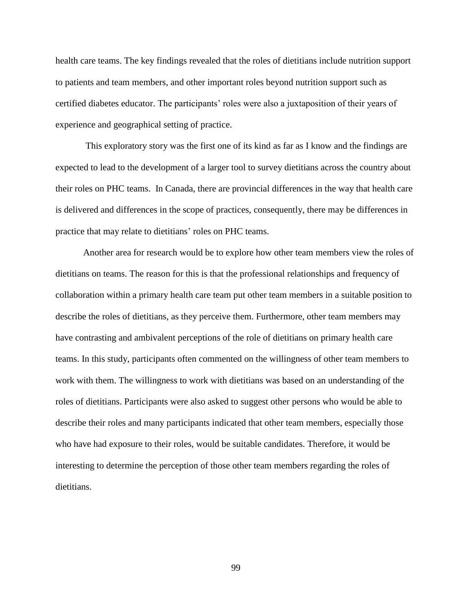health care teams. The key findings revealed that the roles of dietitians include nutrition support to patients and team members, and other important roles beyond nutrition support such as certified diabetes educator. The participants' roles were also a juxtaposition of their years of experience and geographical setting of practice.

This exploratory story was the first one of its kind as far as I know and the findings are expected to lead to the development of a larger tool to survey dietitians across the country about their roles on PHC teams. In Canada, there are provincial differences in the way that health care is delivered and differences in the scope of practices, consequently, there may be differences in practice that may relate to dietitians' roles on PHC teams.

Another area for research would be to explore how other team members view the roles of dietitians on teams. The reason for this is that the professional relationships and frequency of collaboration within a primary health care team put other team members in a suitable position to describe the roles of dietitians, as they perceive them. Furthermore, other team members may have contrasting and ambivalent perceptions of the role of dietitians on primary health care teams. In this study, participants often commented on the willingness of other team members to work with them. The willingness to work with dietitians was based on an understanding of the roles of dietitians. Participants were also asked to suggest other persons who would be able to describe their roles and many participants indicated that other team members, especially those who have had exposure to their roles, would be suitable candidates. Therefore, it would be interesting to determine the perception of those other team members regarding the roles of dietitians.

99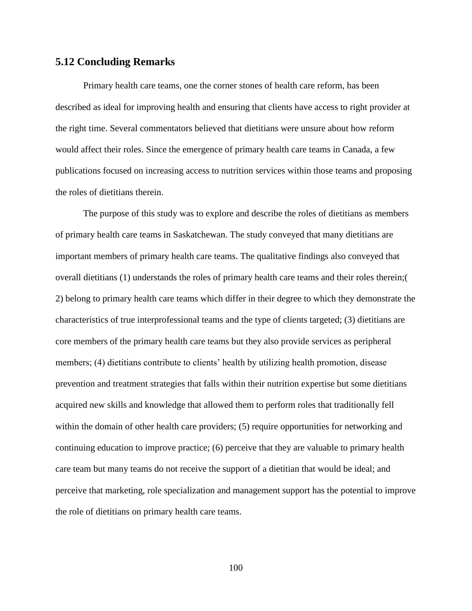#### **5.12 Concluding Remarks**

Primary health care teams, one the corner stones of health care reform, has been described as ideal for improving health and ensuring that clients have access to right provider at the right time. Several commentators believed that dietitians were unsure about how reform would affect their roles. Since the emergence of primary health care teams in Canada, a few publications focused on increasing access to nutrition services within those teams and proposing the roles of dietitians therein.

The purpose of this study was to explore and describe the roles of dietitians as members of primary health care teams in Saskatchewan. The study conveyed that many dietitians are important members of primary health care teams. The qualitative findings also conveyed that overall dietitians (1) understands the roles of primary health care teams and their roles therein;( 2) belong to primary health care teams which differ in their degree to which they demonstrate the characteristics of true interprofessional teams and the type of clients targeted; (3) dietitians are core members of the primary health care teams but they also provide services as peripheral members; (4) dietitians contribute to clients' health by utilizing health promotion, disease prevention and treatment strategies that falls within their nutrition expertise but some dietitians acquired new skills and knowledge that allowed them to perform roles that traditionally fell within the domain of other health care providers; (5) require opportunities for networking and continuing education to improve practice; (6) perceive that they are valuable to primary health care team but many teams do not receive the support of a dietitian that would be ideal; and perceive that marketing, role specialization and management support has the potential to improve the role of dietitians on primary health care teams.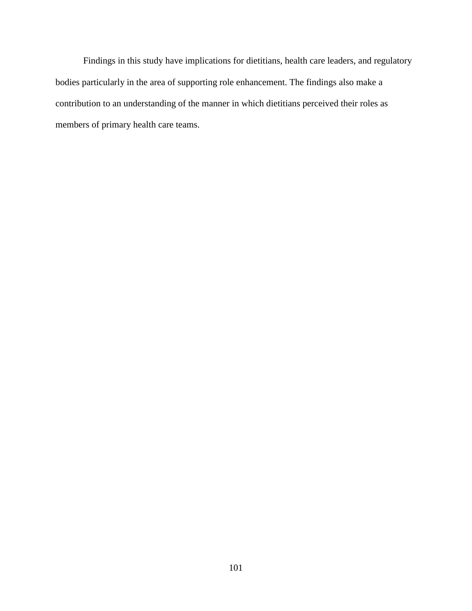Findings in this study have implications for dietitians, health care leaders, and regulatory bodies particularly in the area of supporting role enhancement. The findings also make a contribution to an understanding of the manner in which dietitians perceived their roles as members of primary health care teams.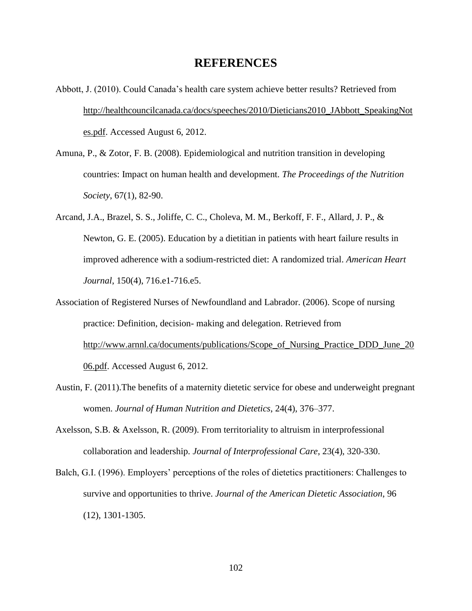### **REFERENCES**

- Abbott, J. (2010). Could Canada's health care system achieve better results? Retrieved from [http://healthcouncilcanada.ca/docs/speeches/2010/Dieticians2010\\_JAbbott\\_SpeakingNot](http://healthcouncilcanada.ca/docs/speeches/2010/Dieticians2010_JAbbott_SpeakingNotes.pdf) [es.pdf.](http://healthcouncilcanada.ca/docs/speeches/2010/Dieticians2010_JAbbott_SpeakingNotes.pdf) Accessed August 6, 2012.
- Amuna, P., & Zotor, F. B. (2008). Epidemiological and nutrition transition in developing countries: Impact on human health and development. *The Proceedings of the Nutrition Society*, 67(1), 82-90.
- Arcand, J.A., Brazel, S. S., Joliffe, C. C., Choleva, M. M., Berkoff, F. F., Allard, J. P., & Newton, G. E. (2005). Education by a dietitian in patients with heart failure results in improved adherence with a sodium-restricted diet: A randomized trial. *American Heart Journal*, 150(4), 716.e1-716.e5.
- Association of Registered Nurses of Newfoundland and Labrador. (2006). Scope of nursing practice: Definition, decision- making and delegation. Retrieved from http://www.arnnl.ca/documents/publications/Scope of Nursing Practice DDD June 20 [06.pdf.](http://www.arnnl.ca/documents/publications/Scope_of_Nursing_Practice_DDD_June_2006.pdf) Accessed August 6, 2012.
- Austin, F. (2011).The benefits of a maternity dietetic service for obese and underweight pregnant women. *Journal of Human Nutrition and Dietetics*, 24(4), 376–377.
- Axelsson, S.B. & Axelsson, R. (2009). From territoriality to altruism in interprofessional collaboration and leadership. *Journal of Interprofessional Care*, 23(4), 320-330.
- Balch, G.I. (1996). Employers' perceptions of the roles of dietetics practitioners: Challenges to survive and opportunities to thrive. *Journal of the American Dietetic Association*, 96 (12), 1301-1305.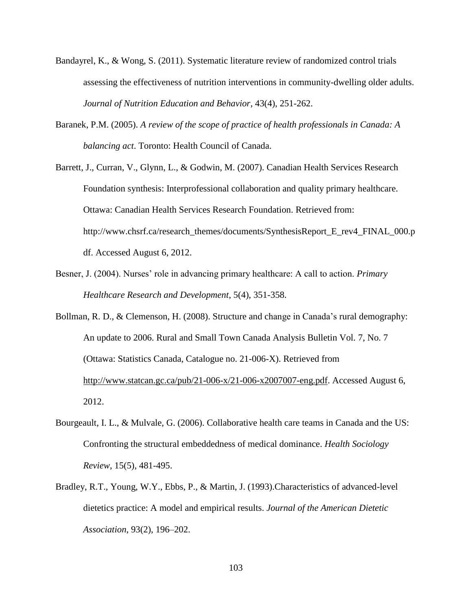- Bandayrel, K., & Wong, S. (2011). Systematic literature review of randomized control trials assessing the effectiveness of nutrition interventions in community-dwelling older adults. *Journal of Nutrition Education and Behavior*, 43(4), 251-262.
- Baranek, P.M. (2005). *A review of the scope of practice of health professionals in Canada: A balancing act*. Toronto: Health Council of Canada.
- Barrett, J., Curran, V., Glynn, L., & Godwin, M. (2007). Canadian Health Services Research Foundation synthesis: Interprofessional collaboration and quality primary healthcare. Ottawa: Canadian Health Services Research Foundation. Retrieved from: http://www.chsrf.ca/research\_themes/documents/SynthesisReport\_E\_rev4\_FINAL\_000.p df. Accessed August 6, 2012.
- Besner, J. (2004). Nurses' role in advancing primary healthcare: A call to action. *Primary Healthcare Research and Development*, 5(4), 351-358.
- Bollman, R. D., & Clemenson, H. (2008). Structure and change in Canada's rural demography: An update to 2006. Rural and Small Town Canada Analysis Bulletin Vol. 7, No. 7 (Ottawa: Statistics Canada, Catalogue no. 21-006-X). Retrieved from [http://www.statcan.gc.ca/pub/21-006-x/21-006-x2007007-eng.pdf.](http://www.statcan.gc.ca/pub/21-006-x/21-006-x2007007-eng.pdf) Accessed August 6, 2012.
- Bourgeault, I. L., & Mulvale, G. (2006). Collaborative health care teams in Canada and the US: Confronting the structural embeddedness of medical dominance. *Health Sociology Review*, 15(5), 481-495.
- Bradley, R.T., Young, W.Y., Ebbs, P., & Martin, J. (1993).Characteristics of advanced-level dietetics practice: A model and empirical results. *Journal of the American Dietetic Association*, 93(2), 196–202.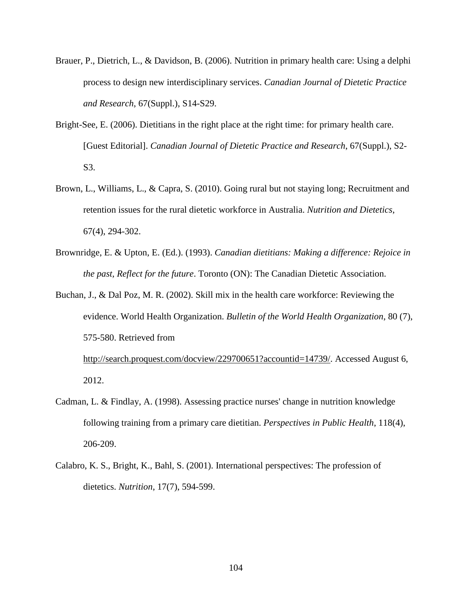- Brauer, P., Dietrich, L., & Davidson, B. (2006). Nutrition in primary health care: Using a delphi process to design new interdisciplinary services. *Canadian Journal of Dietetic Practice and Research*, 67(Suppl.), S14-S29.
- Bright-See, E. (2006). Dietitians in the right place at the right time: for primary health care. [Guest Editorial]. *Canadian Journal of Dietetic Practice and Research*, 67(Suppl.), S2- S3.
- Brown, L., Williams, L., & Capra, S. (2010). Going rural but not staying long; Recruitment and retention issues for the rural dietetic workforce in Australia. *Nutrition and Dietetics*, 67(4), 294-302.
- Brownridge, E. & Upton, E. (Ed.). (1993). *Canadian dietitians: Making a difference: Rejoice in the past, Reflect for the future*. Toronto (ON): The Canadian Dietetic Association.
- Buchan, J., & Dal Poz, M. R. (2002). Skill mix in the health care workforce: Reviewing the evidence. World Health Organization. *Bulletin of the World Health Organization*, 80 (7), 575-580. Retrieved from [http://search.proquest.com/docview/229700651?accountid=14739/.](http://search.proquest.com/docview/229700651?accountid=14739/) Accessed August 6,

2012.

- Cadman, L. & Findlay, A. (1998). Assessing practice nurses' change in nutrition knowledge following training from a primary care dietitian. *Perspectives in Public Health*, 118(4), 206-209.
- Calabro, K. S., Bright, K., Bahl, S. (2001). International perspectives: The profession of dietetics. *Nutrition*, 17(7), 594-599.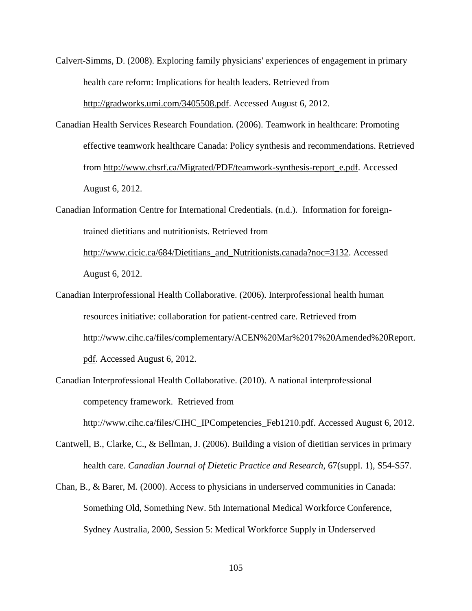- Calvert-Simms, D. (2008). Exploring family physicians' experiences of engagement in primary health care reform: Implications for health leaders. Retrieved from [http://gradworks.umi.com/3405508.pdf.](http://gradworks.umi.com/3405508.pdf) Accessed August 6, 2012.
- Canadian Health Services Research Foundation. (2006). Teamwork in healthcare: Promoting effective teamwork healthcare Canada: Policy synthesis and recommendations. Retrieved from [http://www.chsrf.ca/Migrated/PDF/teamwork-synthesis-report\\_e.pdf.](http://www.chsrf.ca/Migrated/PDF/teamwork-synthesis-report_e.pdf) Accessed August 6, 2012.
- Canadian Information Centre for International Credentials. (n.d.). Information for foreigntrained dietitians and nutritionists. Retrieved from [http://www.cicic.ca/684/Dietitians\\_and\\_Nutritionists.canada?noc=3132.](http://www.cicic.ca/684/Dietitians_and_Nutritionists.canada?noc=3132) Accessed August 6, 2012.
- Canadian Interprofessional Health Collaborative. (2006). Interprofessional health human resources initiative: collaboration for patient-centred care. Retrieved from [http://www.cihc.ca/files/complementary/ACEN%20Mar%2017%20Amended%20Report.](http://www.cihc.ca/files/complementary/ACEN%20Mar%2017%20Amended%20Report.pdf) [pdf.](http://www.cihc.ca/files/complementary/ACEN%20Mar%2017%20Amended%20Report.pdf) Accessed August 6, 2012.
- Canadian Interprofessional Health Collaborative. (2010). A national interprofessional competency framework. Retrieved from

[http://www.cihc.ca/files/CIHC\\_IPCompetencies\\_Feb1210.pdf.](http://www.cihc.ca/files/CIHC_IPCompetencies_Feb1210.pdf) Accessed August 6, 2012.

- Cantwell, B., Clarke, C., & Bellman, J. (2006). Building a vision of dietitian services in primary health care. *Canadian Journal of Dietetic Practice and Research*, 67(suppl. 1), S54-S57.
- Chan, B., & Barer, M. (2000). Access to physicians in underserved communities in Canada: Something Old, Something New. 5th International Medical Workforce Conference, Sydney Australia, 2000, Session 5: Medical Workforce Supply in Underserved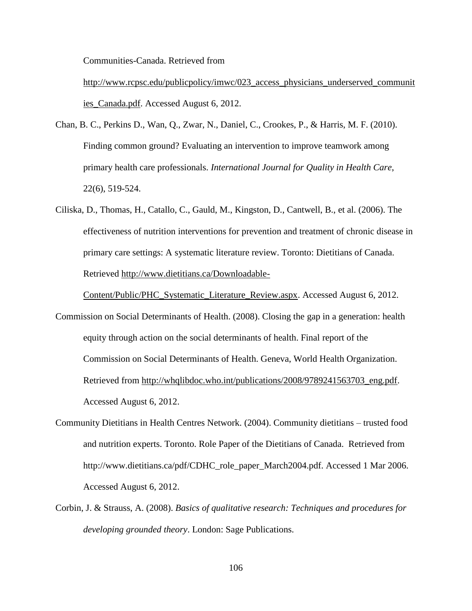Communities-Canada. Retrieved from

http://www.rcpsc.edu/publicpolicy/imwc/023 access physicians underserved communit [ies\\_Canada.pdf.](http://www.rcpsc.edu/publicpolicy/imwc/023_access_physicians_underserved_communities_Canada.pdf) Accessed August 6, 2012.

- Chan, B. C., Perkins D., Wan, Q., Zwar, N., Daniel, C., Crookes, P., & Harris, M. F. (2010). Finding common ground? Evaluating an intervention to improve teamwork among primary health care professionals. *International Journal for Quality in Health Care*, 22(6), 519-524.
- Ciliska, D., Thomas, H., Catallo, C., Gauld, M., Kingston, D., Cantwell, B., et al. (2006). The effectiveness of nutrition interventions for prevention and treatment of chronic disease in primary care settings: A systematic literature review. Toronto: Dietitians of Canada. Retrieved [http://www.dietitians.ca/Downloadable-](http://www.dietitians.ca/Downloadable-Content/Public/PHC_Systematic_Literature_Review.aspx)

[Content/Public/PHC\\_Systematic\\_Literature\\_Review.aspx.](http://www.dietitians.ca/Downloadable-Content/Public/PHC_Systematic_Literature_Review.aspx) Accessed August 6, 2012.

- Commission on Social Determinants of Health. (2008). Closing the gap in a generation: health equity through action on the social determinants of health. Final report of the Commission on Social Determinants of Health. Geneva, World Health Organization. Retrieved from [http://whqlibdoc.who.int/publications/2008/9789241563703\\_eng.pdf.](http://whqlibdoc.who.int/publications/2008/9789241563703_eng.pdf) Accessed August 6, 2012.
- Community Dietitians in Health Centres Network. (2004). Community dietitians trusted food and nutrition experts. Toronto. Role Paper of the Dietitians of Canada. Retrieved from http://www.dietitians.ca/pdf/CDHC\_role\_paper\_March2004.pdf. Accessed 1 Mar 2006. Accessed August 6, 2012.
- Corbin, J. & Strauss, A. (2008). *Basics of qualitative research: Techniques and procedures for developing grounded theory*. London: Sage Publications.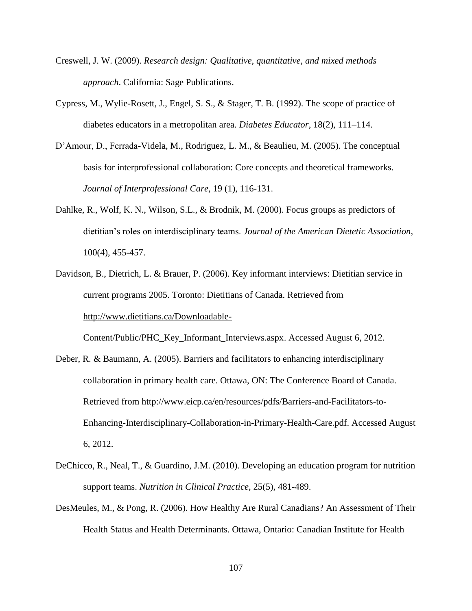- Creswell, J. W. (2009). *Research design: Qualitative, quantitative, and mixed methods approach*. California: Sage Publications.
- Cypress, M., Wylie-Rosett, J., Engel, S. S., & Stager, T. B. (1992). The scope of practice of diabetes educators in a metropolitan area. *Diabetes Educator*, 18(2), 111–114.
- D'Amour, D., Ferrada-Videla, M., Rodriguez, L. M., & Beaulieu, M. (2005). The conceptual basis for interprofessional collaboration: Core concepts and theoretical frameworks. *Journal of Interprofessional Care*, 19 (1), 116-131.
- Dahlke, R., Wolf, K. N., Wilson, S.L., & Brodnik, M. (2000). Focus groups as predictors of dietitian's roles on interdisciplinary teams. *Journal of the American Dietetic Association*, 100(4), 455-457.
- Davidson, B., Dietrich, L. & Brauer, P. (2006). Key informant interviews: Dietitian service in current programs 2005. Toronto: Dietitians of Canada. Retrieved from [http://www.dietitians.ca/Downloadable-](http://www.dietitians.ca/Downloadable-Content/Public/PHC_Key_Informant_Interviews.aspx)

[Content/Public/PHC\\_Key\\_Informant\\_Interviews.aspx.](http://www.dietitians.ca/Downloadable-Content/Public/PHC_Key_Informant_Interviews.aspx) Accessed August 6, 2012.

- Deber, R. & Baumann, A. (2005). Barriers and facilitators to enhancing interdisciplinary collaboration in primary health care. Ottawa, ON: The Conference Board of Canada. Retrieved from [http://www.eicp.ca/en/resources/pdfs/Barriers-and-Facilitators-to-](http://www.eicp.ca/en/resources/pdfs/Barriers-and-Facilitators-to-Enhancing-Interdisciplinary-Collaboration-in-Primary-Health-Care.pdf)[Enhancing-Interdisciplinary-Collaboration-in-Primary-Health-Care.pdf.](http://www.eicp.ca/en/resources/pdfs/Barriers-and-Facilitators-to-Enhancing-Interdisciplinary-Collaboration-in-Primary-Health-Care.pdf) Accessed August 6, 2012.
- DeChicco, R., Neal, T., & Guardino, J.M. (2010). Developing an education program for nutrition support teams. *Nutrition in Clinical Practice*, 25(5), 481-489.
- DesMeules, M., & Pong, R. (2006). How Healthy Are Rural Canadians? An Assessment of Their Health Status and Health Determinants. Ottawa, Ontario: Canadian Institute for Health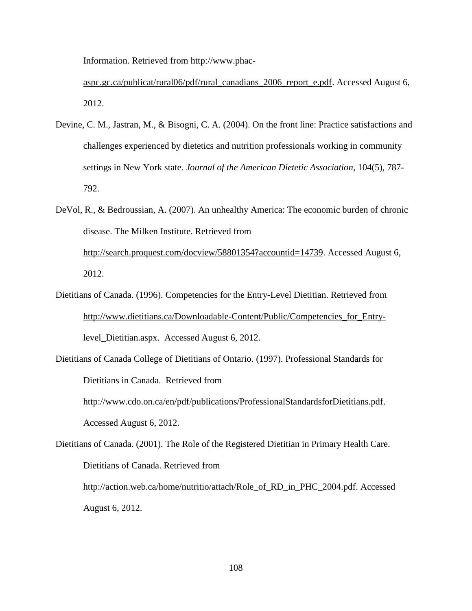Information. Retrieved from [http://www.phac-](http://www.phac-aspc.gc.ca/publicat/rural06/pdf/rural_canadians_2006_report_e.pdf)

[aspc.gc.ca/publicat/rural06/pdf/rural\\_canadians\\_2006\\_report\\_e.pdf.](http://www.phac-aspc.gc.ca/publicat/rural06/pdf/rural_canadians_2006_report_e.pdf) Accessed August 6, 2012.

- Devine, C. M., Jastran, M., & Bisogni, C. A. (2004). On the front line: Practice satisfactions and challenges experienced by dietetics and nutrition professionals working in community settings in New York state. *Journal of the American Dietetic Association*, 104(5), 787- 792.
- DeVol, R., & Bedroussian, A. (2007). An unhealthy America: The economic burden of chronic disease. The Milken Institute. Retrieved from [http://search.proquest.com/docview/58801354?accountid=14739.](http://search.proquest.com/docview/58801354?accountid=14739) Accessed August 6, 2012.
- Dietitians of Canada. (1996). Competencies for the Entry-Level Dietitian. Retrieved from [http://www.dietitians.ca/Downloadable-Content/Public/Competencies\\_for\\_Entry](http://www.dietitians.ca/Downloadable-Content/Public/Competencies_for_Entry-level_Dietitian.aspx)[level\\_Dietitian.aspx.](http://www.dietitians.ca/Downloadable-Content/Public/Competencies_for_Entry-level_Dietitian.aspx) Accessed August 6, 2012.
- Dietitians of Canada College of Dietitians of Ontario. (1997). Professional Standards for Dietitians in Canada. Retrieved from

[http://www.cdo.on.ca/en/pdf/publications/ProfessionalStandardsforDietitians.pdf.](http://www.cdo.on.ca/en/pdf/publications/ProfessionalStandardsforDietitians.pdf) Accessed August 6, 2012.

Dietitians of Canada. (2001). The Role of the Registered Dietitian in Primary Health Care. Dietitians of Canada. Retrieved from

[http://action.web.ca/home/nutritio/attach/Role\\_of\\_RD\\_in\\_PHC\\_2004.pdf.](http://action.web.ca/home/nutritio/attach/Role_of_RD_in_PHC_2004.pdf) Accessed August 6, 2012.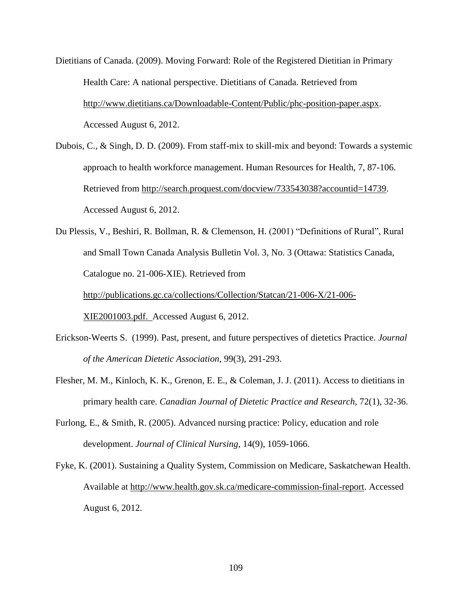- Dietitians of Canada. (2009). Moving Forward: Role of the Registered Dietitian in Primary Health Care: A national perspective. Dietitians of Canada. Retrieved from [http://www.dietitians.ca/Downloadable-Content/Public/phc-position-paper.aspx.](http://www.dietitians.ca/Downloadable-Content/Public/phc-position-paper.aspx) Accessed August 6, 2012.
- Dubois, C., & Singh, D. D. (2009). From staff-mix to skill-mix and beyond: Towards a systemic approach to health workforce management. Human Resources for Health, 7, 87-106. Retrieved from [http://search.proquest.com/docview/733543038?accountid=14739.](http://search.proquest.com/docview/733543038?accountid=14739) Accessed August 6, 2012.
- Du Plessis, V., Beshiri, R. Bollman, R. & Clemenson, H. (2001) "Definitions of Rural", Rural and Small Town Canada Analysis Bulletin Vol. 3, No. 3 (Ottawa: Statistics Canada, Catalogue no. 21-006-XIE). Retrieved from

[http://publications.gc.ca/collections/Collection/Statcan/21-006-X/21-006-](http://publications.gc.ca/collections/Collection/Statcan/21-006-X/21-006-XIE2001003.pdf)

[XIE2001003.pdf.](http://publications.gc.ca/collections/Collection/Statcan/21-006-X/21-006-XIE2001003.pdf) Accessed August 6, 2012.

- Erickson-Weerts S. (1999). Past, present, and future perspectives of dietetics Practice. *Journal of the American Dietetic Association*, 99(3), 291-293.
- Flesher, M. M., Kinloch, K. K., Grenon, E. E., & Coleman, J. J. (2011). Access to dietitians in primary health care. *Canadian Journal of Dietetic Practice and Research*, 72(1), 32-36.
- Furlong, E., & Smith, R. (2005). Advanced nursing practice: Policy, education and role development. *Journal of Clinical Nursing*, 14(9), 1059-1066.
- Fyke, K. (2001). Sustaining a Quality System, Commission on Medicare, Saskatchewan Health. Available at [http://www.health.gov.sk.ca/medicare-commission-final-report.](http://www.health.gov.sk.ca/medicare-commission-final-report) Accessed August 6, 2012.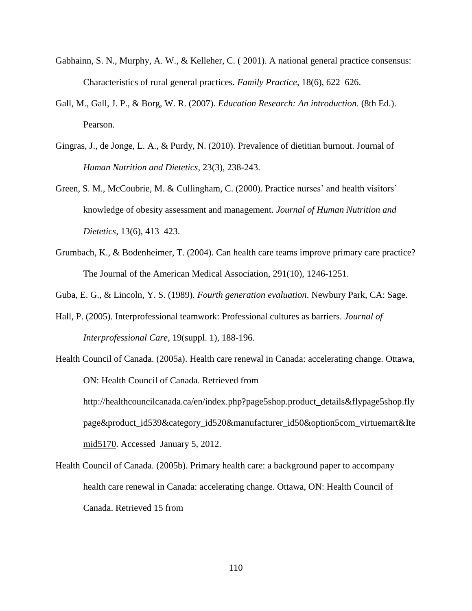- Gabhainn, S. N., Murphy, A. W., & Kelleher, C. ( 2001). A national general practice consensus: Characteristics of rural general practices. *Family Practice*, 18(6), 622–626.
- Gall, M., Gall, J. P., & Borg, W. R. (2007). *Education Research: An introduction*. (8th Ed.). Pearson.
- Gingras, J., de Jonge, L. A., & Purdy, N. (2010). Prevalence of dietitian burnout. Journal of *Human Nutrition and Dietetics*, 23(3), 238-243.
- Green, S. M., McCoubrie, M. & Cullingham, C. (2000). Practice nurses' and health visitors' knowledge of obesity assessment and management. *Journal of Human Nutrition and Dietetics*, 13(6), 413–423.
- Grumbach, K., & Bodenheimer, T. (2004). Can health care teams improve primary care practice? The Journal of the American Medical Association, 291(10), 1246-1251.
- Guba, E. G., & Lincoln, Y. S. (1989). *Fourth generation evaluation*. Newbury Park, CA: Sage.
- Hall, P. (2005). Interprofessional teamwork: Professional cultures as barriers. *Journal of Interprofessional Care*, 19(suppl. 1), 188-196.
- Health Council of Canada. (2005a). Health care renewal in Canada: accelerating change. Ottawa, ON: Health Council of Canada. Retrieved from [http://healthcouncilcanada.ca/en/index.php?page5shop.product\\_details&flypage5shop.fly](http://healthcouncilcanada.ca/en/index.php?page5shop.product_details&flypage5shop.flypage&product_id539&category_id520&manufacturer_id50&option5com_virtuemart&Itemid5170) [page&product\\_id539&category\\_id520&manufacturer\\_id50&option5com\\_virtuemart&Ite](http://healthcouncilcanada.ca/en/index.php?page5shop.product_details&flypage5shop.flypage&product_id539&category_id520&manufacturer_id50&option5com_virtuemart&Itemid5170) [mid5170.](http://healthcouncilcanada.ca/en/index.php?page5shop.product_details&flypage5shop.flypage&product_id539&category_id520&manufacturer_id50&option5com_virtuemart&Itemid5170) Accessed January 5, 2012.
- Health Council of Canada. (2005b). Primary health care: a background paper to accompany health care renewal in Canada: accelerating change. Ottawa, ON: Health Council of Canada. Retrieved 15 from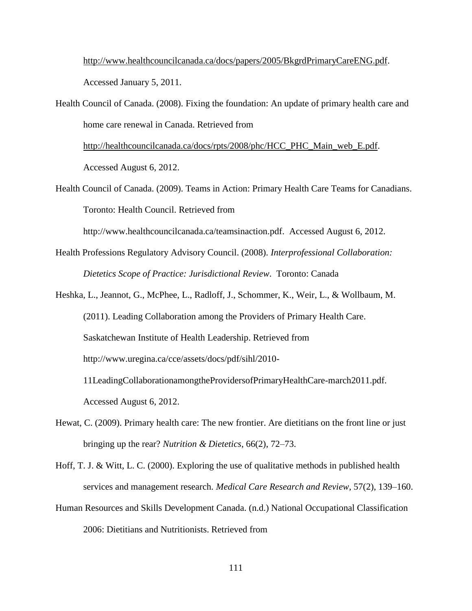[http://www.healthcouncilcanada.ca/docs/papers/2005/BkgrdPrimaryCareENG.pdf.](http://www.healthcouncilcanada.ca/docs/papers/2005/BkgrdPrimaryCareENG.pdf) Accessed January 5, 2011.

Health Council of Canada. (2008). Fixing the foundation: An update of primary health care and home care renewal in Canada. Retrieved from

[http://healthcouncilcanada.ca/docs/rpts/2008/phc/HCC\\_PHC\\_Main\\_web\\_E.pdf.](http://healthcouncilcanada.ca/docs/rpts/2008/phc/HCC_PHC_Main_web_E.pdf) Accessed August 6, 2012.

Health Council of Canada. (2009). Teams in Action: Primary Health Care Teams for Canadians. Toronto: Health Council. Retrieved from

http://www.healthcouncilcanada.ca/teamsinaction.pdf. Accessed August 6, 2012.

- Health Professions Regulatory Advisory Council. (2008). *Interprofessional Collaboration: Dietetics Scope of Practice: Jurisdictional Review*. Toronto: Canada
- Heshka, L., Jeannot, G., McPhee, L., Radloff, J., Schommer, K., Weir, L., & Wollbaum, M. (2011). Leading Collaboration among the Providers of Primary Health Care. Saskatchewan Institute of Health Leadership. Retrieved from http://www.uregina.ca/cce/assets/docs/pdf/sihl/2010- 11LeadingCollaborationamongtheProvidersofPrimaryHealthCare-march2011.pdf. Accessed August 6, 2012.
- Hewat, C. (2009). Primary health care: The new frontier. Are dietitians on the front line or just bringing up the rear? *Nutrition & Dietetics*, 66(2), 72–73.
- Hoff, T. J. & Witt, L. C. (2000). Exploring the use of qualitative methods in published health services and management research. *Medical Care Research and Review*, 57(2), 139–160.
- Human Resources and Skills Development Canada. (n.d.) National Occupational Classification 2006: Dietitians and Nutritionists. Retrieved from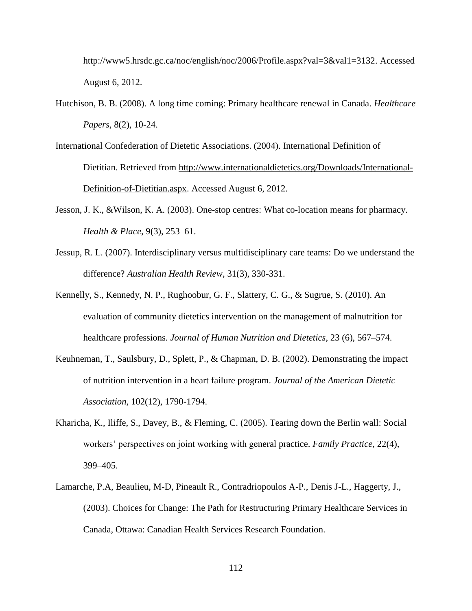http://www5.hrsdc.gc.ca/noc/english/noc/2006/Profile.aspx?val=3&val1=3132. Accessed August 6, 2012.

- Hutchison, B. B. (2008). A long time coming: Primary healthcare renewal in Canada. *Healthcare Papers*, 8(2), 10-24.
- International Confederation of Dietetic Associations. (2004). International Definition of Dietitian. Retrieved from [http://www.internationaldietetics.org/Downloads/International-](http://www.internationaldietetics.org/Downloads/International-Definition-of-Dietitian.aspx)[Definition-of-Dietitian.aspx.](http://www.internationaldietetics.org/Downloads/International-Definition-of-Dietitian.aspx) Accessed August 6, 2012.
- Jesson, J. K., &Wilson, K. A. (2003). One-stop centres: What co-location means for pharmacy. *Health & Place*, 9(3), 253–61.
- Jessup, R. L. (2007). Interdisciplinary versus multidisciplinary care teams: Do we understand the difference? *Australian Health Review*, 31(3), 330-331.
- Kennelly, S., Kennedy, N. P., Rughoobur, G. F., Slattery, C. G., & Sugrue, S. (2010). An evaluation of community dietetics intervention on the management of malnutrition for healthcare professions. *Journal of Human Nutrition and Dietetics*, 23 (6), 567–574.
- Keuhneman, T., Saulsbury, D., Splett, P., & Chapman, D. B. (2002). Demonstrating the impact of nutrition intervention in a heart failure program. *Journal of the American Dietetic Association*, 102(12), 1790-1794.
- Kharicha, K., Iliffe, S., Davey, B., & Fleming, C. (2005). Tearing down the Berlin wall: Social workers' perspectives on joint working with general practice. *Family Practice*, 22(4), 399–405.
- Lamarche, P.A, Beaulieu, M-D, Pineault R., Contradriopoulos A-P., Denis J-L., Haggerty, J., (2003). Choices for Change: The Path for Restructuring Primary Healthcare Services in Canada, Ottawa: Canadian Health Services Research Foundation.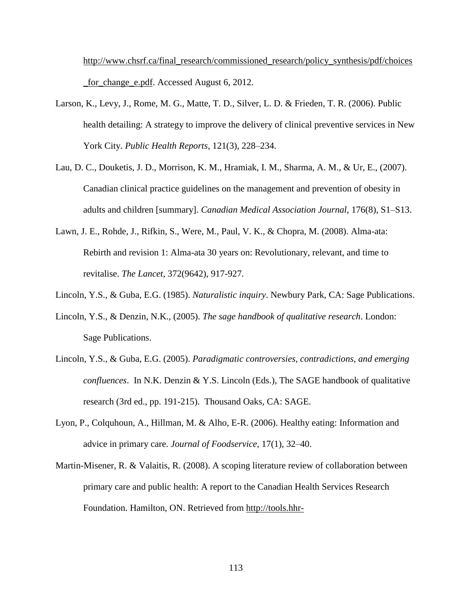[http://www.chsrf.ca/final\\_research/commissioned\\_research/policy\\_synthesis/pdf/choices](http://www.chsrf.ca/final_research/commissioned_research/policy_synthesis/pdf/choices_for_change_e.pdf) [\\_for\\_change\\_e.pdf.](http://www.chsrf.ca/final_research/commissioned_research/policy_synthesis/pdf/choices_for_change_e.pdf) Accessed August 6, 2012.

- Larson, K., Levy, J., Rome, M. G., Matte, T. D., Silver, L. D. & Frieden, T. R. (2006). Public health detailing: A strategy to improve the delivery of clinical preventive services in New York City. *Public Health Reports*, 121(3), 228–234.
- Lau, D. C., Douketis, J. D., Morrison, K. M., Hramiak, I. M., Sharma, A. M., & Ur, E., (2007). Canadian clinical practice guidelines on the management and prevention of obesity in adults and children [summary]. *Canadian Medical Association Journal*, 176(8), S1–S13.
- Lawn, J. E., Rohde, J., Rifkin, S., Were, M., Paul, V. K., & Chopra, M. (2008). Alma-ata: Rebirth and revision 1: Alma-ata 30 years on: Revolutionary, relevant, and time to revitalise. *The Lancet*, 372(9642), 917-927.
- Lincoln, Y.S., & Guba, E.G. (1985). *Naturalistic inquiry*. Newbury Park, CA: Sage Publications.
- Lincoln, Y.S., & Denzin, N.K., (2005). *The sage handbook of qualitative research*. London: Sage Publications.
- Lincoln, Y.S., & Guba, E.G. (2005). *Paradigmatic controversies, contradictions, and emerging confluences*. In N.K. Denzin & Y.S. Lincoln (Eds.), The SAGE handbook of qualitative research (3rd ed., pp. 191-215). Thousand Oaks, CA: SAGE.
- Lyon, P., Colquhoun, A., Hillman, M. & Alho, E-R. (2006). Healthy eating: Information and advice in primary care. *Journal of Foodservice*, 17(1), 32–40.
- Martin-Misener, R. & Valaitis, R. (2008). A scoping literature review of collaboration between primary care and public health: A report to the Canadian Health Services Research Foundation. Hamilton, ON. Retrieved from [http://tools.hhr-](http://tools.hhr-rhs.ca/index.php?option=com_mtree&task=att_download&link_id=4514&cf_id=68)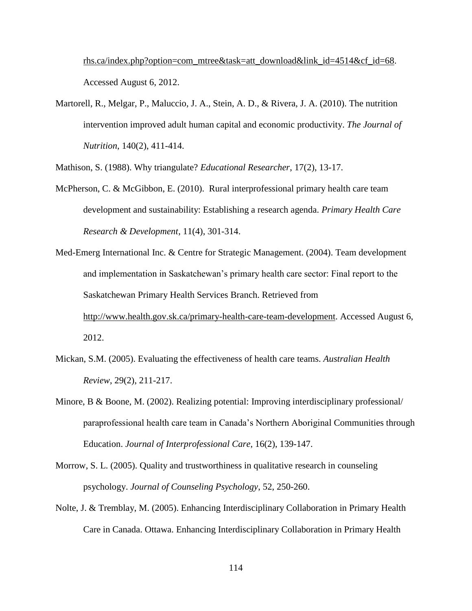[rhs.ca/index.php?option=com\\_mtree&task=att\\_download&link\\_id=4514&cf\\_id=68.](http://tools.hhr-rhs.ca/index.php?option=com_mtree&task=att_download&link_id=4514&cf_id=68) Accessed August 6, 2012.

Martorell, R., Melgar, P., Maluccio, J. A., Stein, A. D., & Rivera, J. A. (2010). The nutrition intervention improved adult human capital and economic productivity. *The Journal of Nutrition*, 140(2), 411-414.

Mathison, S. (1988). Why triangulate? *Educational Researcher*, 17(2), 13-17.

- McPherson, C. & McGibbon, E. (2010). Rural interprofessional primary health care team development and sustainability: Establishing a research agenda. *Primary Health Care Research & Development*, 11(4), 301-314.
- Med-Emerg International Inc. & Centre for Strategic Management. (2004). Team development and implementation in Saskatchewan's primary health care sector: Final report to the Saskatchewan Primary Health Services Branch. Retrieved from [http://www.health.gov.sk.ca/primary-health-care-team-development.](http://www.health.gov.sk.ca/primary-health-care-team-development) Accessed August 6, 2012.
- Mickan, S.M. (2005). Evaluating the effectiveness of health care teams. *Australian Health Review*, 29(2), 211-217.
- Minore, B & Boone, M. (2002). Realizing potential: Improving interdisciplinary professional/ paraprofessional health care team in Canada's Northern Aboriginal Communities through Education. *Journal of Interprofessional Care*, 16(2), 139-147.
- Morrow, S. L. (2005). Quality and trustworthiness in qualitative research in counseling psychology. *Journal of Counseling Psychology*, 52, 250-260.
- Nolte, J. & Tremblay, M. (2005). Enhancing Interdisciplinary Collaboration in Primary Health Care in Canada. Ottawa. Enhancing Interdisciplinary Collaboration in Primary Health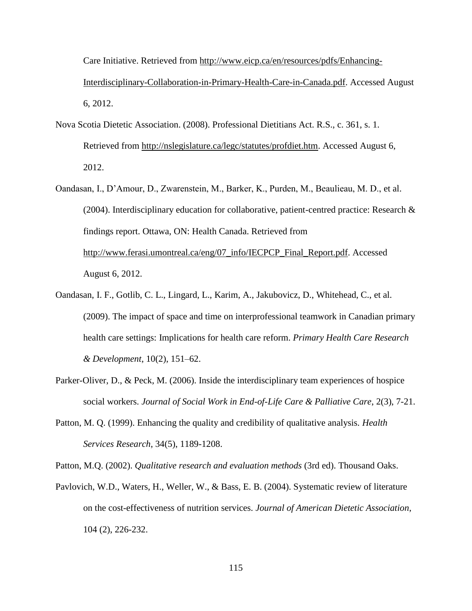Care Initiative. Retrieved from [http://www.eicp.ca/en/resources/pdfs/Enhancing-](http://www.eicp.ca/en/resources/pdfs/Enhancing-Interdisciplinary-Collaboration-in-Primary-Health-Care-in-Canada.pdf)

[Interdisciplinary-Collaboration-in-Primary-Health-Care-in-Canada.pdf.](http://www.eicp.ca/en/resources/pdfs/Enhancing-Interdisciplinary-Collaboration-in-Primary-Health-Care-in-Canada.pdf) Accessed August 6, 2012.

- Nova Scotia Dietetic Association. (2008). Professional Dietitians Act. R.S., c. 361, s. 1. Retrieved from [http://nslegislature.ca/legc/statutes/profdiet.htm.](http://nslegislature.ca/legc/statutes/profdiet.htm) Accessed August 6, 2012.
- Oandasan, I., D'Amour, D., Zwarenstein, M., Barker, K., Purden, M., Beaulieau, M. D., et al. (2004). Interdisciplinary education for collaborative, patient-centred practice: Research & findings report. Ottawa, ON: Health Canada. Retrieved from [http://www.ferasi.umontreal.ca/eng/07\\_info/IECPCP\\_Final\\_Report.pdf.](http://www.ferasi.umontreal.ca/eng/07_info/IECPCP_Final_Report.pdf) Accessed August 6, 2012.
- Oandasan, I. F., Gotlib, C. L., Lingard, L., Karim, A., Jakubovicz, D., Whitehead, C., et al. (2009). The impact of space and time on interprofessional teamwork in Canadian primary health care settings: Implications for health care reform. *Primary Health Care Research & Development*, 10(2), 151–62.
- Parker-Oliver, D., & Peck, M. (2006). Inside the interdisciplinary team experiences of hospice social workers. *Journal of Social Work in End-of-Life Care & Palliative Care*, 2(3), 7-21.
- Patton, M. Q. (1999). Enhancing the quality and credibility of qualitative analysis*. Health Services Research*, 34(5), 1189-1208.

Patton, M.Q. (2002). *Qualitative research and evaluation methods* (3rd ed). Thousand Oaks.

Pavlovich, W.D., Waters, H., Weller, W., & Bass, E. B. (2004). Systematic review of literature on the cost-effectiveness of nutrition services. *Journal of American Dietetic Association*, 104 (2), 226-232.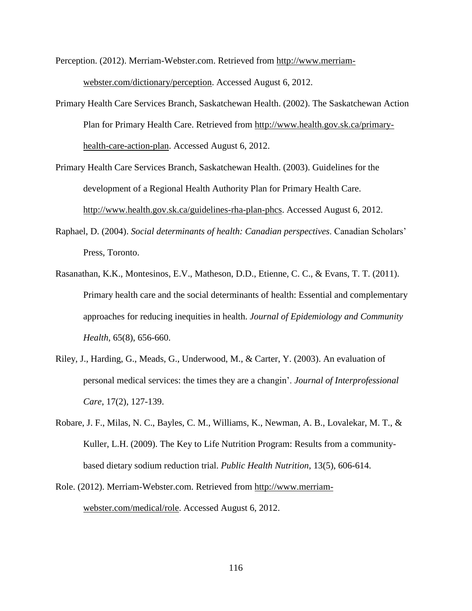Perception. (2012). Merriam-Webster.com. Retrieved from [http://www.merriam](http://www.merriam-webster.com/dictionary/perception)[webster.com/dictionary/perception.](http://www.merriam-webster.com/dictionary/perception) Accessed August 6, 2012.

Primary Health Care Services Branch, Saskatchewan Health. (2002). The Saskatchewan Action Plan for Primary Health Care. Retrieved from [http://www.health.gov.sk.ca/primary](http://www.health.gov.sk.ca/primary-health-care-action-plan)[health-care-action-plan.](http://www.health.gov.sk.ca/primary-health-care-action-plan) Accessed August 6, 2012.

Primary Health Care Services Branch, Saskatchewan Health. (2003). Guidelines for the development of a Regional Health Authority Plan for Primary Health Care. [http://www.health.gov.sk.ca/guidelines-rha-plan-phcs.](http://www.health.gov.sk.ca/guidelines-rha-plan-phcs) Accessed August 6, 2012.

- Raphael, D. (2004). *Social determinants of health: Canadian perspectives*. Canadian Scholars' Press, Toronto.
- Rasanathan, K.K., Montesinos, E.V., Matheson, D.D., Etienne, C. C., & Evans, T. T. (2011). Primary health care and the social determinants of health: Essential and complementary approaches for reducing inequities in health. *Journal of Epidemiology and Community Health*, 65(8), 656-660.
- Riley, J., Harding, G., Meads, G., Underwood, M., & Carter, Y. (2003). An evaluation of personal medical services: the times they are a changin'. *Journal of Interprofessional Care*, 17(2), 127-139.
- Robare, J. F., Milas, N. C., Bayles, C. M., Williams, K., Newman, A. B., Lovalekar, M. T., & Kuller, L.H. (2009). The Key to Life Nutrition Program: Results from a communitybased dietary sodium reduction trial. *Public Health Nutrition*, 13(5), 606-614.
- Role. (2012). Merriam-Webster.com. Retrieved from [http://www.merriam](http://www.merriam-webster.com/medical/role)[webster.com/medical/role.](http://www.merriam-webster.com/medical/role) Accessed August 6, 2012.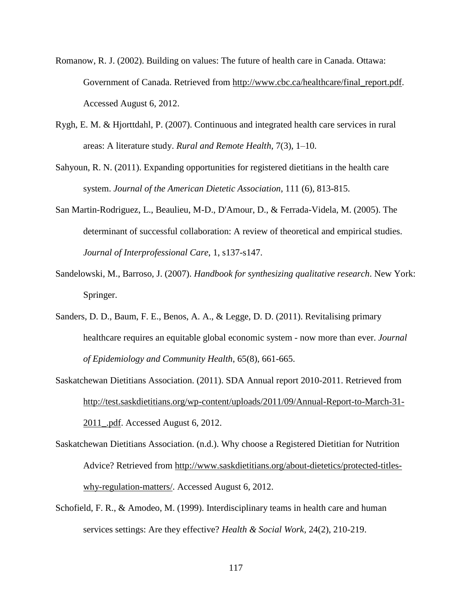- Romanow, R. J. (2002). Building on values: The future of health care in Canada. Ottawa: Government of Canada. Retrieved from [http://www.cbc.ca/healthcare/final\\_report.pdf.](http://www.cbc.ca/healthcare/final_report.pdf) Accessed August 6, 2012.
- Rygh, E. M. & Hjorttdahl, P. (2007). Continuous and integrated health care services in rural areas: A literature study. *Rural and Remote Health*, 7(3), 1–10.
- Sahyoun, R. N. (2011). Expanding opportunities for registered dietitians in the health care system. *Journal of the American Dietetic Association*, 111 (6), 813-815.
- San Martin-Rodriguez, L., Beaulieu, M-D., D'Amour, D., & Ferrada-Videla, M. (2005). The determinant of successful collaboration: A review of theoretical and empirical studies. *Journal of Interprofessional Care*, 1, s137-s147.
- Sandelowski, M., Barroso, J. (2007). *Handbook for synthesizing qualitative research*. New York: Springer.
- Sanders, D. D., Baum, F. E., Benos, A. A., & Legge, D. D. (2011). Revitalising primary healthcare requires an equitable global economic system - now more than ever. *Journal of Epidemiology and Community Health*, 65(8), 661-665.
- Saskatchewan Dietitians Association. (2011). SDA Annual report 2010-2011. Retrieved from [http://test.saskdietitians.org/wp-content/uploads/2011/09/Annual-Report-to-March-31-](http://test.saskdietitians.org/wp-content/uploads/2011/09/Annual-Report-to-March-31-2011_.pdf) [2011\\_.pdf.](http://test.saskdietitians.org/wp-content/uploads/2011/09/Annual-Report-to-March-31-2011_.pdf) Accessed August 6, 2012.
- Saskatchewan Dietitians Association. (n.d.). Why choose a Registered Dietitian for Nutrition Advice? Retrieved from [http://www.saskdietitians.org/about-dietetics/protected-titles](http://www.saskdietitians.org/about-dietetics/protected-titles-why-regulation-matters/)[why-regulation-matters/.](http://www.saskdietitians.org/about-dietetics/protected-titles-why-regulation-matters/) Accessed August 6, 2012.
- Schofield, F. R., & Amodeo, M. (1999). Interdisciplinary teams in health care and human services settings: Are they effective? *Health & Social Work*, 24(2), 210-219.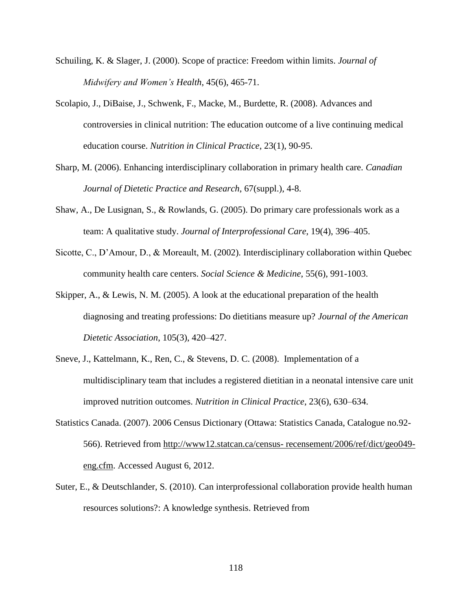- Schuiling, K. & Slager, J. (2000). Scope of practice: Freedom within limits. *Journal of Midwifery and Women's Health*, 45(6), 465-71.
- Scolapio, J., DiBaise, J., Schwenk, F., Macke, M., Burdette, R. (2008). Advances and controversies in clinical nutrition: The education outcome of a live continuing medical education course. *Nutrition in Clinical Practice*, 23(1), 90-95.
- Sharp, M. (2006). Enhancing interdisciplinary collaboration in primary health care. *Canadian Journal of Dietetic Practice and Research*, 67(suppl.), 4-8.
- Shaw, A., De Lusignan, S., & Rowlands, G. (2005). Do primary care professionals work as a team: A qualitative study. *Journal of Interprofessional Care*, 19(4), 396–405.
- Sicotte, C., D'Amour, D., & Moreault, M. (2002). Interdisciplinary collaboration within Quebec community health care centers. *Social Science & Medicine*, 55(6), 991-1003.
- Skipper, A., & Lewis, N. M. (2005). A look at the educational preparation of the health diagnosing and treating professions: Do dietitians measure up? *Journal of the American Dietetic Association*, 105(3), 420–427.
- Sneve, J., Kattelmann, K., Ren, C., & Stevens, D. C. (2008). Implementation of a multidisciplinary team that includes a registered dietitian in a neonatal intensive care unit improved nutrition outcomes. *Nutrition in Clinical Practice*, 23(6), 630–634.
- Statistics Canada. (2007). 2006 Census Dictionary (Ottawa: Statistics Canada, Catalogue no.92- 566). Retrieved from http://www12.statcan.ca/census- [recensement/2006/ref/dict/geo049](http://www12.statcan.ca/census-%20recensement/2006/ref/dict/geo049-eng.cfm) [eng.cfm.](http://www12.statcan.ca/census-%20recensement/2006/ref/dict/geo049-eng.cfm) Accessed August 6, 2012.
- Suter, E., & Deutschlander, S. (2010). Can interprofessional collaboration provide health human resources solutions?: A knowledge synthesis. Retrieved from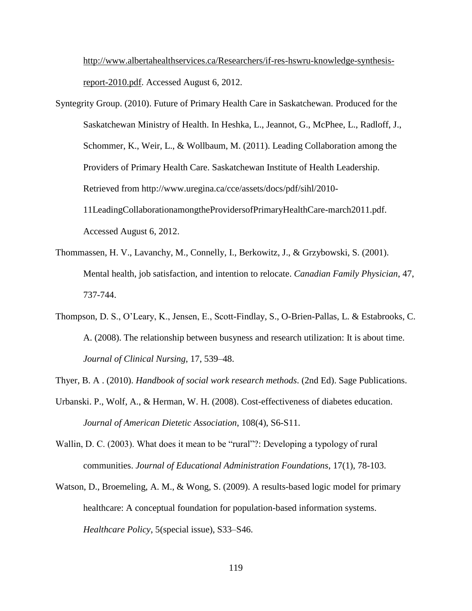[http://www.albertahealthservices.ca/Researchers/if-res-hswru-knowledge-synthesis](http://www.albertahealthservices.ca/Researchers/if-res-hswru-knowledge-synthesis-report-2010.pdf)[report-2010.pdf.](http://www.albertahealthservices.ca/Researchers/if-res-hswru-knowledge-synthesis-report-2010.pdf) Accessed August 6, 2012.

- Syntegrity Group. (2010). Future of Primary Health Care in Saskatchewan. Produced for the Saskatchewan Ministry of Health. In Heshka, L., Jeannot, G., McPhee, L., Radloff, J., Schommer, K., Weir, L., & Wollbaum, M. (2011). Leading Collaboration among the Providers of Primary Health Care. Saskatchewan Institute of Health Leadership. Retrieved from http://www.uregina.ca/cce/assets/docs/pdf/sihl/2010- 11LeadingCollaborationamongtheProvidersofPrimaryHealthCare-march2011.pdf. Accessed August 6, 2012.
- Thommassen, H. V., Lavanchy, M., Connelly, I., Berkowitz, J., & Grzybowski, S. (2001). Mental health, job satisfaction, and intention to relocate. *Canadian Family Physician*, 47, 737-744.
- Thompson, D. S., O'Leary, K., Jensen, E., Scott-Findlay, S., O-Brien-Pallas, L. & Estabrooks, C. A. (2008). The relationship between busyness and research utilization: It is about time. *Journal of Clinical Nursing*, 17, 539–48.
- Thyer, B. A . (2010). *Handbook of social work research methods*. (2nd Ed). Sage Publications.
- Urbanski. P., Wolf, A., & Herman, W. H. (2008). Cost-effectiveness of diabetes education. *Journal of American Dietetic Association*, 108(4), S6-S11.
- Wallin, D. C. (2003). What does it mean to be "rural"?: Developing a typology of rural communities. *Journal of Educational Administration Foundations*, 17(1), 78-103.
- Watson, D., Broemeling, A. M., & Wong, S. (2009). A results-based logic model for primary healthcare: A conceptual foundation for population-based information systems. *Healthcare Policy*, 5(special issue), S33–S46.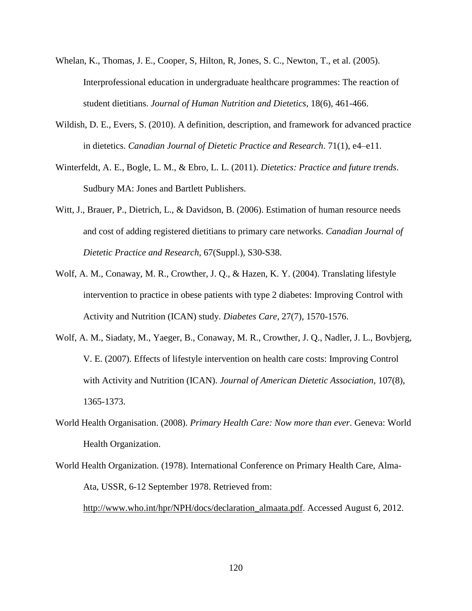- Whelan, K., Thomas, J. E., Cooper, S, Hilton, R, Jones, S. C., Newton, T., et al. (2005). Interprofessional education in undergraduate healthcare programmes: The reaction of student dietitians. *Journal of Human Nutrition and Dietetics*, 18(6), 461-466.
- Wildish, D. E., Evers, S. (2010). A definition, description, and framework for advanced practice in dietetics. *Canadian Journal of Dietetic Practice and Research*. 71(1), e4–e11.
- Winterfeldt, A. E., Bogle, L. M., & Ebro, L. L. (2011). *Dietetics: Practice and future trends*. Sudbury MA: Jones and Bartlett Publishers.
- Witt, J., Brauer, P., Dietrich, L., & Davidson, B. (2006). Estimation of human resource needs and cost of adding registered dietitians to primary care networks. *Canadian Journal of Dietetic Practice and Research*, 67(Suppl.), S30-S38.
- Wolf, A. M., Conaway, M. R., Crowther, J. Q., & Hazen, K. Y. (2004). Translating lifestyle intervention to practice in obese patients with type 2 diabetes: Improving Control with Activity and Nutrition (ICAN) study. *Diabetes Care*, 27(7), 1570-1576.
- Wolf, A. M., Siadaty, M., Yaeger, B., Conaway, M. R., Crowther, J. Q., Nadler, J. L., Bovbjerg, V. E. (2007). Effects of lifestyle intervention on health care costs: Improving Control with Activity and Nutrition (ICAN). *Journal of American Dietetic Association*, 107(8), 1365-1373.
- World Health Organisation. (2008). *Primary Health Care: Now more than ever*. Geneva: World Health Organization.
- World Health Organization. (1978). International Conference on Primary Health Care, Alma-Ata, USSR, 6-12 September 1978. Retrieved from: [http://www.who.int/hpr/NPH/docs/declaration\\_almaata.pdf.](http://www.who.int/hpr/NPH/docs/declaration_almaata.pdf) Accessed August 6, 2012.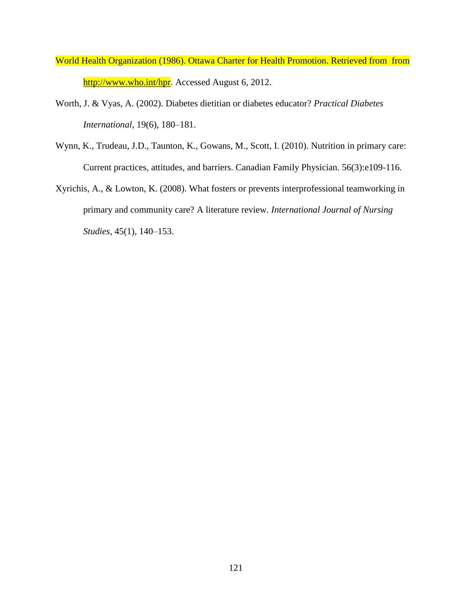- World Health Organization (1986). Ottawa Charter for Health Promotion. Retrieved from from [http://www.who.int/hpr.](http://www.who.int/hpr) Accessed August 6, 2012.
- Worth, J. & Vyas, A. (2002). Diabetes dietitian or diabetes educator? *Practical Diabetes International*, 19(6), 180–181.
- Wynn, K., Trudeau, J.D., Taunton, K., Gowans, M., Scott, I. (2010). Nutrition in primary care: Current practices, attitudes, and barriers. Canadian Family Physician. 56(3):e109-116.
- Xyrichis, A., & Lowton, K. (2008). What fosters or prevents interprofessional teamworking in primary and community care? A literature review. *International Journal of Nursing Studies*, 45(1), 140–153.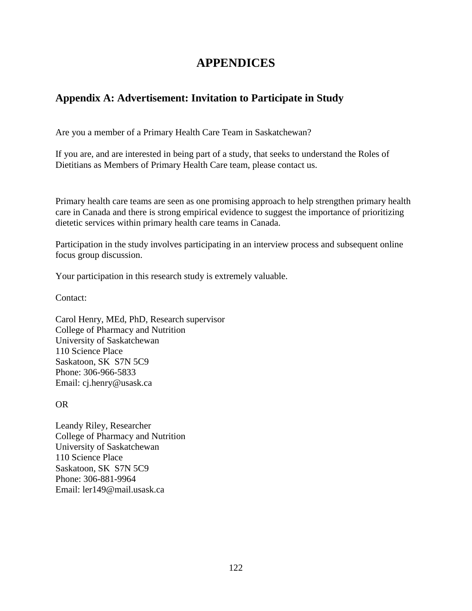# **APPENDICES**

# **Appendix A: Advertisement: Invitation to Participate in Study**

Are you a member of a Primary Health Care Team in Saskatchewan?

If you are, and are interested in being part of a study, that seeks to understand the Roles of Dietitians as Members of Primary Health Care team, please contact us.

Primary health care teams are seen as one promising approach to help strengthen primary health care in Canada and there is strong empirical evidence to suggest the importance of prioritizing dietetic services within primary health care teams in Canada.

Participation in the study involves participating in an interview process and subsequent online focus group discussion.

Your participation in this research study is extremely valuable.

Contact:

Carol Henry, MEd, PhD, Research supervisor College of Pharmacy and Nutrition University of Saskatchewan 110 Science Place Saskatoon, SK S7N 5C9 Phone: 306-966-5833 Email: cj.henry@usask.ca

### OR

Leandy Riley, Researcher College of Pharmacy and Nutrition University of Saskatchewan 110 Science Place Saskatoon, SK S7N 5C9 Phone: 306-881-9964 Email: ler149@mail.usask.ca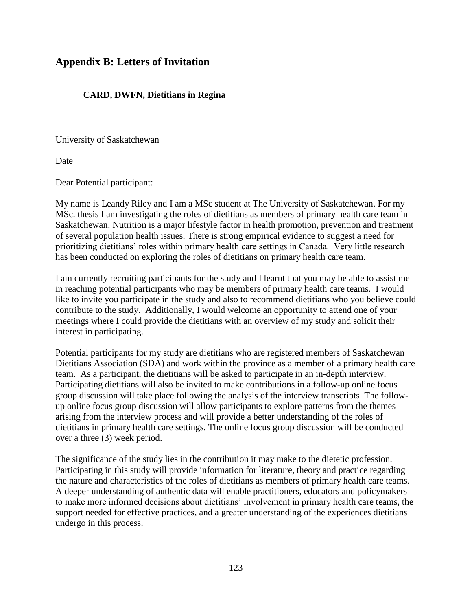### **Appendix B: Letters of Invitation**

### **CARD, DWFN, Dietitians in Regina**

University of Saskatchewan

Date

Dear Potential participant:

My name is Leandy Riley and I am a MSc student at The University of Saskatchewan. For my MSc. thesis I am investigating the roles of dietitians as members of primary health care team in Saskatchewan. Nutrition is a major lifestyle factor in health promotion, prevention and treatment of several population health issues. There is strong empirical evidence to suggest a need for prioritizing dietitians' roles within primary health care settings in Canada. Very little research has been conducted on exploring the roles of dietitians on primary health care team.

I am currently recruiting participants for the study and I learnt that you may be able to assist me in reaching potential participants who may be members of primary health care teams. I would like to invite you participate in the study and also to recommend dietitians who you believe could contribute to the study. Additionally, I would welcome an opportunity to attend one of your meetings where I could provide the dietitians with an overview of my study and solicit their interest in participating.

Potential participants for my study are dietitians who are registered members of Saskatchewan Dietitians Association (SDA) and work within the province as a member of a primary health care team. As a participant, the dietitians will be asked to participate in an in-depth interview. Participating dietitians will also be invited to make contributions in a follow-up online focus group discussion will take place following the analysis of the interview transcripts. The followup online focus group discussion will allow participants to explore patterns from the themes arising from the interview process and will provide a better understanding of the roles of dietitians in primary health care settings. The online focus group discussion will be conducted over a three (3) week period.

The significance of the study lies in the contribution it may make to the dietetic profession. Participating in this study will provide information for literature, theory and practice regarding the nature and characteristics of the roles of dietitians as members of primary health care teams. A deeper understanding of authentic data will enable practitioners, educators and policymakers to make more informed decisions about dietitians' involvement in primary health care teams, the support needed for effective practices, and a greater understanding of the experiences dietitians undergo in this process.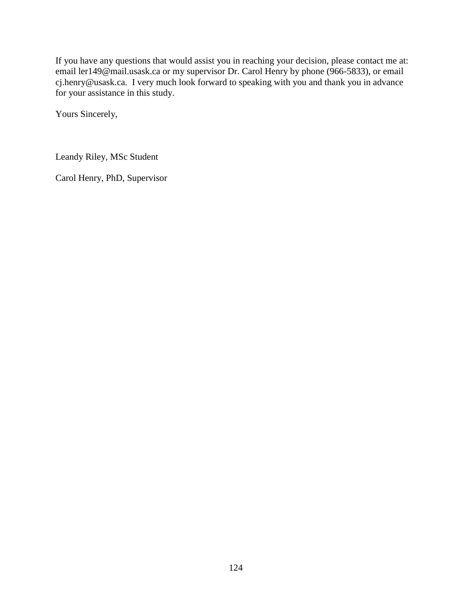If you have any questions that would assist you in reaching your decision, please contact me at: email ler149@mail.usask.ca or my supervisor Dr. Carol Henry by phone (966-5833), or email cj.henry@usask.ca. I very much look forward to speaking with you and thank you in advance for your assistance in this study.

Yours Sincerely,

Leandy Riley, MSc Student

Carol Henry, PhD, Supervisor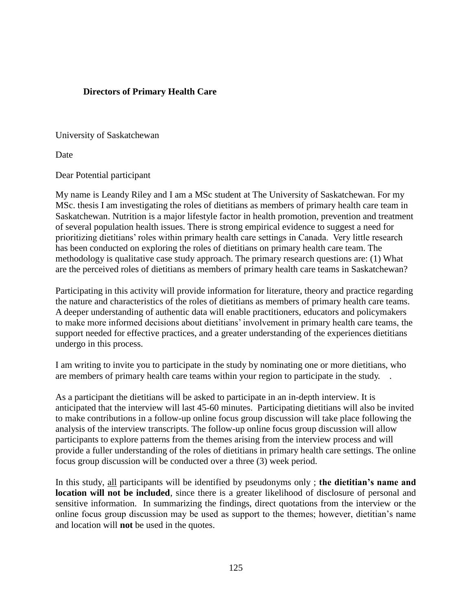### **Directors of Primary Health Care**

University of Saskatchewan

Date

Dear Potential participant

My name is Leandy Riley and I am a MSc student at The University of Saskatchewan. For my MSc. thesis I am investigating the roles of dietitians as members of primary health care team in Saskatchewan. Nutrition is a major lifestyle factor in health promotion, prevention and treatment of several population health issues. There is strong empirical evidence to suggest a need for prioritizing dietitians' roles within primary health care settings in Canada. Very little research has been conducted on exploring the roles of dietitians on primary health care team. The methodology is qualitative case study approach. The primary research questions are: (1) What are the perceived roles of dietitians as members of primary health care teams in Saskatchewan?

Participating in this activity will provide information for literature, theory and practice regarding the nature and characteristics of the roles of dietitians as members of primary health care teams. A deeper understanding of authentic data will enable practitioners, educators and policymakers to make more informed decisions about dietitians' involvement in primary health care teams, the support needed for effective practices, and a greater understanding of the experiences dietitians undergo in this process.

I am writing to invite you to participate in the study by nominating one or more dietitians, who are members of primary health care teams within your region to participate in the study. .

As a participant the dietitians will be asked to participate in an in-depth interview. It is anticipated that the interview will last 45-60 minutes. Participating dietitians will also be invited to make contributions in a follow-up online focus group discussion will take place following the analysis of the interview transcripts. The follow-up online focus group discussion will allow participants to explore patterns from the themes arising from the interview process and will provide a fuller understanding of the roles of dietitians in primary health care settings. The online focus group discussion will be conducted over a three (3) week period.

In this study, all participants will be identified by pseudonyms only ; **the dietitian's name and location will not be included**, since there is a greater likelihood of disclosure of personal and sensitive information. In summarizing the findings, direct quotations from the interview or the online focus group discussion may be used as support to the themes; however, dietitian's name and location will **not** be used in the quotes.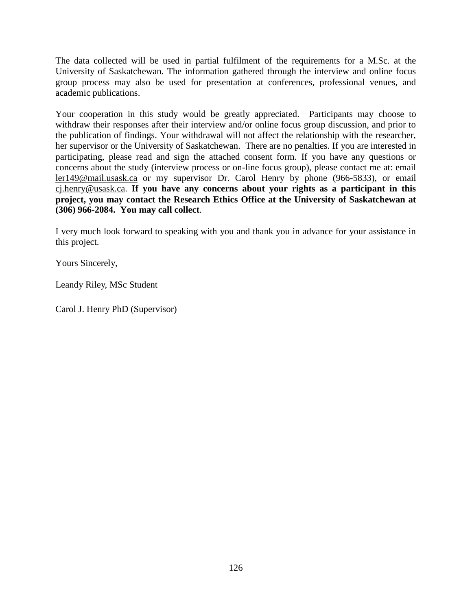The data collected will be used in partial fulfilment of the requirements for a M.Sc. at the University of Saskatchewan. The information gathered through the interview and online focus group process may also be used for presentation at conferences, professional venues, and academic publications.

Your cooperation in this study would be greatly appreciated. Participants may choose to withdraw their responses after their interview and/or online focus group discussion, and prior to the publication of findings. Your withdrawal will not affect the relationship with the researcher, her supervisor or the University of Saskatchewan. There are no penalties. If you are interested in participating, please read and sign the attached consent form. If you have any questions or concerns about the study (interview process or on-line focus group), please contact me at: email [ler149@mail.usask.ca](mailto:ler149@mail.usask.ca) or my supervisor Dr. Carol Henry by phone (966-5833), or email [cj.henry@usask.ca.](mailto:cj.henry@usask.ca) **If you have any concerns about your rights as a participant in this project, you may contact the Research Ethics Office at the University of Saskatchewan at (306) 966-2084. You may call collect**.

I very much look forward to speaking with you and thank you in advance for your assistance in this project.

Yours Sincerely,

Leandy Riley, MSc Student

Carol J. Henry PhD (Supervisor)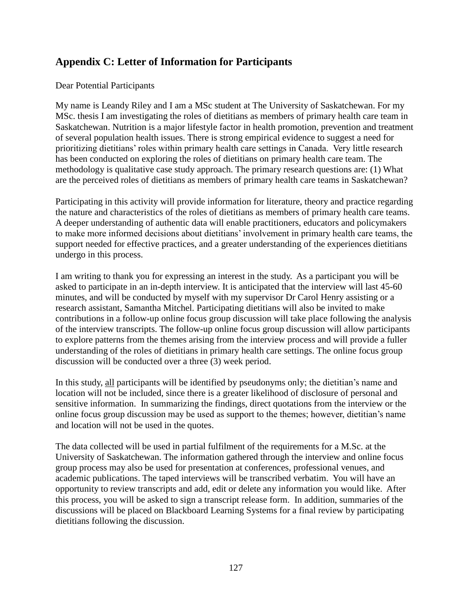## **Appendix C: Letter of Information for Participants**

### Dear Potential Participants

My name is Leandy Riley and I am a MSc student at The University of Saskatchewan. For my MSc. thesis I am investigating the roles of dietitians as members of primary health care team in Saskatchewan. Nutrition is a major lifestyle factor in health promotion, prevention and treatment of several population health issues. There is strong empirical evidence to suggest a need for prioritizing dietitians' roles within primary health care settings in Canada. Very little research has been conducted on exploring the roles of dietitians on primary health care team. The methodology is qualitative case study approach. The primary research questions are: (1) What are the perceived roles of dietitians as members of primary health care teams in Saskatchewan?

Participating in this activity will provide information for literature, theory and practice regarding the nature and characteristics of the roles of dietitians as members of primary health care teams. A deeper understanding of authentic data will enable practitioners, educators and policymakers to make more informed decisions about dietitians' involvement in primary health care teams, the support needed for effective practices, and a greater understanding of the experiences dietitians undergo in this process.

I am writing to thank you for expressing an interest in the study. As a participant you will be asked to participate in an in-depth interview. It is anticipated that the interview will last 45-60 minutes, and will be conducted by myself with my supervisor Dr Carol Henry assisting or a research assistant, Samantha Mitchel. Participating dietitians will also be invited to make contributions in a follow-up online focus group discussion will take place following the analysis of the interview transcripts. The follow-up online focus group discussion will allow participants to explore patterns from the themes arising from the interview process and will provide a fuller understanding of the roles of dietitians in primary health care settings. The online focus group discussion will be conducted over a three (3) week period.

In this study, all participants will be identified by pseudonyms only; the dietitian's name and location will not be included, since there is a greater likelihood of disclosure of personal and sensitive information. In summarizing the findings, direct quotations from the interview or the online focus group discussion may be used as support to the themes; however, dietitian's name and location will not be used in the quotes.

The data collected will be used in partial fulfilment of the requirements for a M.Sc. at the University of Saskatchewan. The information gathered through the interview and online focus group process may also be used for presentation at conferences, professional venues, and academic publications. The taped interviews will be transcribed verbatim. You will have an opportunity to review transcripts and add, edit or delete any information you would like. After this process, you will be asked to sign a transcript release form. In addition, summaries of the discussions will be placed on Blackboard Learning Systems for a final review by participating dietitians following the discussion.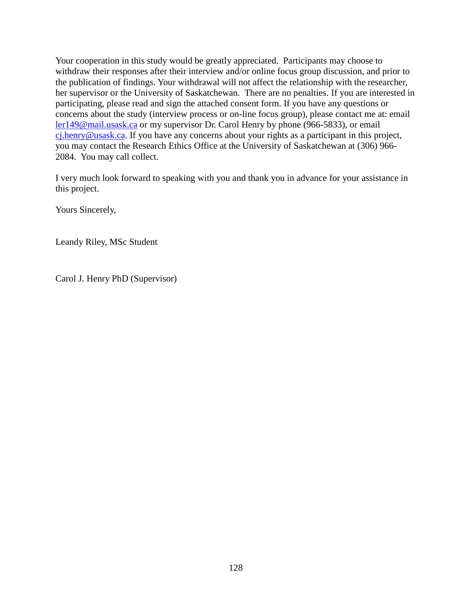Your cooperation in this study would be greatly appreciated. Participants may choose to withdraw their responses after their interview and/or online focus group discussion, and prior to the publication of findings. Your withdrawal will not affect the relationship with the researcher, her supervisor or the University of Saskatchewan. There are no penalties. If you are interested in participating, please read and sign the attached consent form. If you have any questions or concerns about the study (interview process or on-line focus group), please contact me at: email [ler149@mail.usask.ca](mailto:ler149@mail.usask.ca) or my supervisor Dr. Carol Henry by phone (966-5833), or email [cj.henry@usask.ca.](mailto:cj.henry@usask.ca) If you have any concerns about your rights as a participant in this project, you may contact the Research Ethics Office at the University of Saskatchewan at (306) 966- 2084. You may call collect.

I very much look forward to speaking with you and thank you in advance for your assistance in this project.

Yours Sincerely,

Leandy Riley, MSc Student

Carol J. Henry PhD (Supervisor)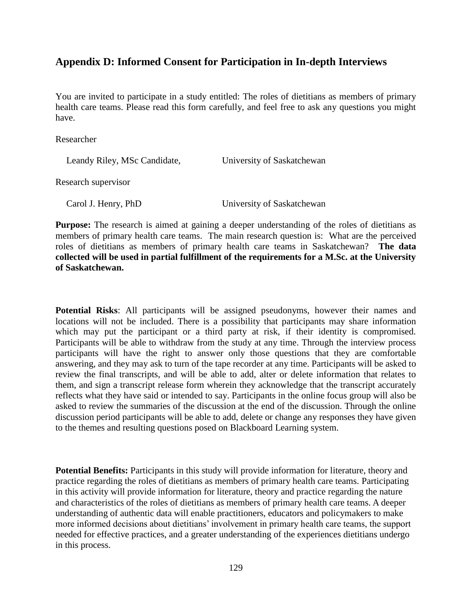### **Appendix D: Informed Consent for Participation in In-depth Interviews**

You are invited to participate in a study entitled: The roles of dietitians as members of primary health care teams. Please read this form carefully, and feel free to ask any questions you might have.

#### Researcher

Leandy Riley, MSc Candidate, University of Saskatchewan

Research supervisor

Carol J. Henry, PhD University of Saskatchewan

**Purpose:** The research is aimed at gaining a deeper understanding of the roles of dietitians as members of primary health care teams. The main research question is: What are the perceived roles of dietitians as members of primary health care teams in Saskatchewan? **The data collected will be used in partial fulfillment of the requirements for a M.Sc. at the University of Saskatchewan.**

**Potential Risks**: All participants will be assigned pseudonyms, however their names and locations will not be included. There is a possibility that participants may share information which may put the participant or a third party at risk, if their identity is compromised. Participants will be able to withdraw from the study at any time. Through the interview process participants will have the right to answer only those questions that they are comfortable answering, and they may ask to turn of the tape recorder at any time. Participants will be asked to review the final transcripts, and will be able to add, alter or delete information that relates to them, and sign a transcript release form wherein they acknowledge that the transcript accurately reflects what they have said or intended to say. Participants in the online focus group will also be asked to review the summaries of the discussion at the end of the discussion. Through the online discussion period participants will be able to add, delete or change any responses they have given to the themes and resulting questions posed on Blackboard Learning system.

**Potential Benefits:** Participants in this study will provide information for literature, theory and practice regarding the roles of dietitians as members of primary health care teams. Participating in this activity will provide information for literature, theory and practice regarding the nature and characteristics of the roles of dietitians as members of primary health care teams. A deeper understanding of authentic data will enable practitioners, educators and policymakers to make more informed decisions about dietitians' involvement in primary health care teams, the support needed for effective practices, and a greater understanding of the experiences dietitians undergo in this process.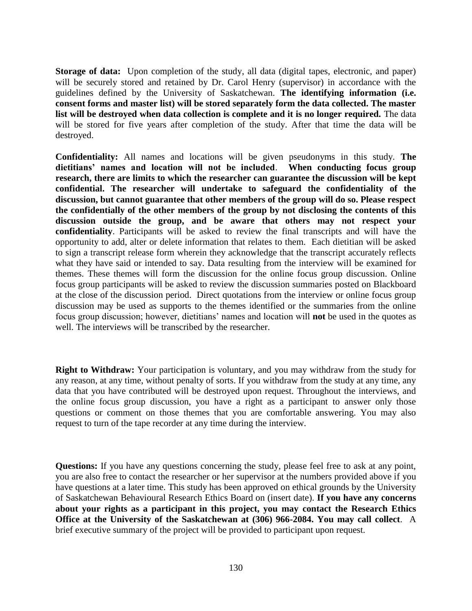**Storage of data:** Upon completion of the study, all data (digital tapes, electronic, and paper) will be securely stored and retained by Dr. Carol Henry (supervisor) in accordance with the guidelines defined by the University of Saskatchewan. **The identifying information (i.e. consent forms and master list) will be stored separately form the data collected. The master list will be destroyed when data collection is complete and it is no longer required.** The data will be stored for five years after completion of the study. After that time the data will be destroyed.

**Confidentiality:** All names and locations will be given pseudonyms in this study. **The dietitians' names and location will not be included**. **When conducting focus group research, there are limits to which the researcher can guarantee the discussion will be kept confidential. The researcher will undertake to safeguard the confidentiality of the discussion, but cannot guarantee that other members of the group will do so. Please respect the confidentially of the other members of the group by not disclosing the contents of this discussion outside the group, and be aware that others may not respect your confidentiality**. Participants will be asked to review the final transcripts and will have the opportunity to add, alter or delete information that relates to them. Each dietitian will be asked to sign a transcript release form wherein they acknowledge that the transcript accurately reflects what they have said or intended to say. Data resulting from the interview will be examined for themes. These themes will form the discussion for the online focus group discussion. Online focus group participants will be asked to review the discussion summaries posted on Blackboard at the close of the discussion period. Direct quotations from the interview or online focus group discussion may be used as supports to the themes identified or the summaries from the online focus group discussion; however, dietitians' names and location will **not** be used in the quotes as well. The interviews will be transcribed by the researcher.

**Right to Withdraw:** Your participation is voluntary, and you may withdraw from the study for any reason, at any time, without penalty of sorts. If you withdraw from the study at any time, any data that you have contributed will be destroyed upon request. Throughout the interviews, and the online focus group discussion, you have a right as a participant to answer only those questions or comment on those themes that you are comfortable answering. You may also request to turn of the tape recorder at any time during the interview.

**Questions:** If you have any questions concerning the study, please feel free to ask at any point, you are also free to contact the researcher or her supervisor at the numbers provided above if you have questions at a later time. This study has been approved on ethical grounds by the University of Saskatchewan Behavioural Research Ethics Board on (insert date). **If you have any concerns about your rights as a participant in this project, you may contact the Research Ethics Office at the University of the Saskatchewan at (306) 966-2084. You may call collect**. A brief executive summary of the project will be provided to participant upon request.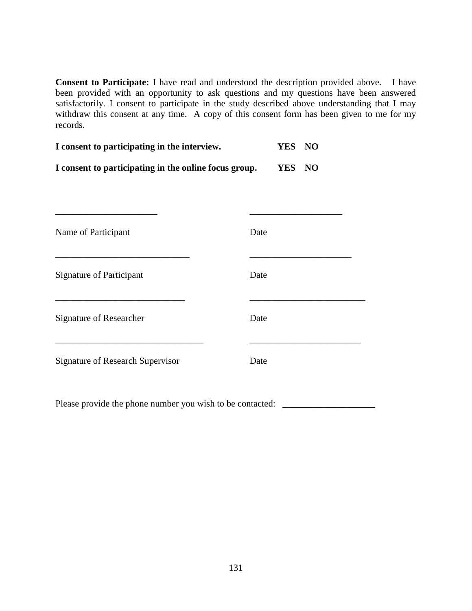**Consent to Participate:** I have read and understood the description provided above. I have been provided with an opportunity to ask questions and my questions have been answered satisfactorily. I consent to participate in the study described above understanding that I may withdraw this consent at any time. A copy of this consent form has been given to me for my records.

| YES NO |  |
|--------|--|
| YES NO |  |
|        |  |
|        |  |
|        |  |
|        |  |
|        |  |

Please provide the phone number you wish to be contacted: \_\_\_\_\_\_\_\_\_\_\_\_\_\_\_\_\_\_\_\_\_\_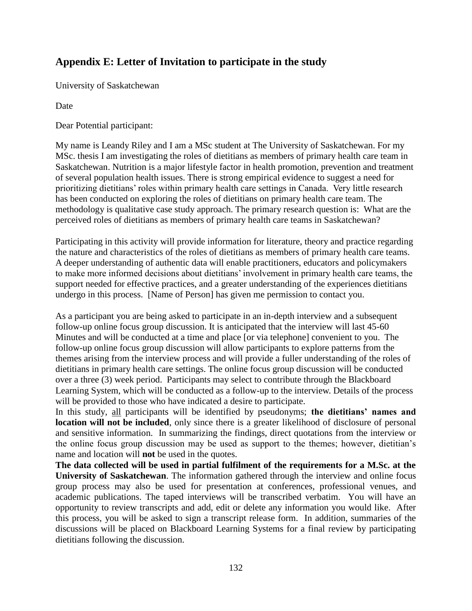# **Appendix E: Letter of Invitation to participate in the study**

University of Saskatchewan

Date

Dear Potential participant:

My name is Leandy Riley and I am a MSc student at The University of Saskatchewan. For my MSc. thesis I am investigating the roles of dietitians as members of primary health care team in Saskatchewan. Nutrition is a major lifestyle factor in health promotion, prevention and treatment of several population health issues. There is strong empirical evidence to suggest a need for prioritizing dietitians' roles within primary health care settings in Canada. Very little research has been conducted on exploring the roles of dietitians on primary health care team. The methodology is qualitative case study approach. The primary research question is: What are the perceived roles of dietitians as members of primary health care teams in Saskatchewan?

Participating in this activity will provide information for literature, theory and practice regarding the nature and characteristics of the roles of dietitians as members of primary health care teams. A deeper understanding of authentic data will enable practitioners, educators and policymakers to make more informed decisions about dietitians' involvement in primary health care teams, the support needed for effective practices, and a greater understanding of the experiences dietitians undergo in this process. [Name of Person] has given me permission to contact you.

As a participant you are being asked to participate in an in-depth interview and a subsequent follow-up online focus group discussion. It is anticipated that the interview will last 45-60 Minutes and will be conducted at a time and place [or via telephone] convenient to you. The follow-up online focus group discussion will allow participants to explore patterns from the themes arising from the interview process and will provide a fuller understanding of the roles of dietitians in primary health care settings. The online focus group discussion will be conducted over a three (3) week period. Participants may select to contribute through the Blackboard Learning System, which will be conducted as a follow-up to the interview. Details of the process will be provided to those who have indicated a desire to participate.

In this study, all participants will be identified by pseudonyms; **the dietitians' names and location will not be included**, only since there is a greater likelihood of disclosure of personal and sensitive information. In summarizing the findings, direct quotations from the interview or the online focus group discussion may be used as support to the themes; however, dietitian's name and location will **not** be used in the quotes.

**The data collected will be used in partial fulfilment of the requirements for a M.Sc. at the University of Saskatchewan**. The information gathered through the interview and online focus group process may also be used for presentation at conferences, professional venues, and academic publications. The taped interviews will be transcribed verbatim. You will have an opportunity to review transcripts and add, edit or delete any information you would like. After this process, you will be asked to sign a transcript release form. In addition, summaries of the discussions will be placed on Blackboard Learning Systems for a final review by participating dietitians following the discussion.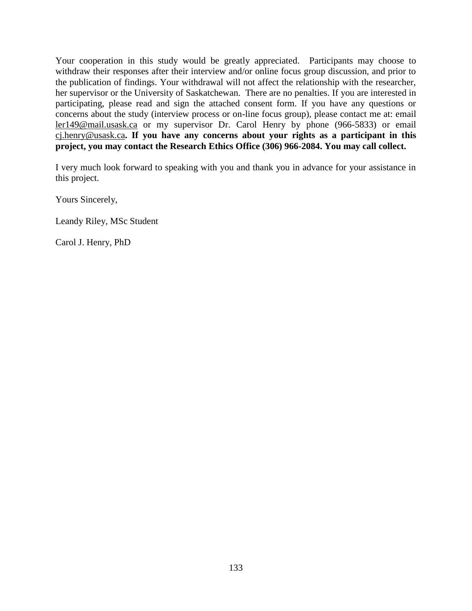Your cooperation in this study would be greatly appreciated. Participants may choose to withdraw their responses after their interview and/or online focus group discussion, and prior to the publication of findings. Your withdrawal will not affect the relationship with the researcher, her supervisor or the University of Saskatchewan. There are no penalties. If you are interested in participating, please read and sign the attached consent form. If you have any questions or concerns about the study (interview process or on-line focus group), please contact me at: email [ler149@mail.usask.ca](mailto:ler149@mail.usask.ca) or my supervisor Dr. Carol Henry by phone (966-5833) or email [cj.henry@usask.ca](mailto:cj.henry@usask.ca)**. If you have any concerns about your rights as a participant in this project, you may contact the Research Ethics Office (306) 966-2084. You may call collect.**

I very much look forward to speaking with you and thank you in advance for your assistance in this project.

Yours Sincerely,

Leandy Riley, MSc Student

Carol J. Henry, PhD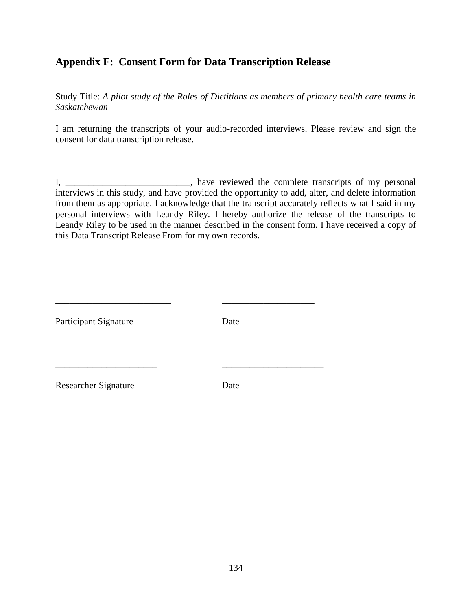## **Appendix F: Consent Form for Data Transcription Release**

Study Title: *A pilot study of the Roles of Dietitians as members of primary health care teams in Saskatchewan*

I am returning the transcripts of your audio-recorded interviews. Please review and sign the consent for data transcription release.

I, \_\_\_\_\_\_\_\_\_\_\_\_\_\_\_\_\_\_\_\_\_\_\_\_\_\_\_, have reviewed the complete transcripts of my personal interviews in this study, and have provided the opportunity to add, alter, and delete information from them as appropriate. I acknowledge that the transcript accurately reflects what I said in my personal interviews with Leandy Riley. I hereby authorize the release of the transcripts to Leandy Riley to be used in the manner described in the consent form. I have received a copy of this Data Transcript Release From for my own records.

| <b>Participant Signature</b> | Date |
|------------------------------|------|
|                              |      |
| <b>Researcher Signature</b>  | Date |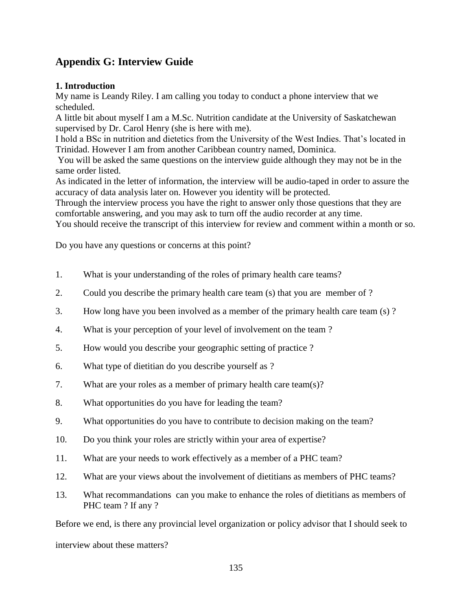## **Appendix G: Interview Guide**

## **1. Introduction**

My name is Leandy Riley. I am calling you today to conduct a phone interview that we scheduled.

A little bit about myself I am a M.Sc. Nutrition candidate at the University of Saskatchewan supervised by Dr. Carol Henry (she is here with me).

I hold a BSc in nutrition and dietetics from the University of the West Indies. That's located in Trinidad. However I am from another Caribbean country named, Dominica.

You will be asked the same questions on the interview guide although they may not be in the same order listed.

As indicated in the letter of information, the interview will be audio-taped in order to assure the accuracy of data analysis later on. However you identity will be protected.

Through the interview process you have the right to answer only those questions that they are comfortable answering, and you may ask to turn off the audio recorder at any time.

You should receive the transcript of this interview for review and comment within a month or so.

Do you have any questions or concerns at this point?

- 1. What is your understanding of the roles of primary health care teams?
- 2. Could you describe the primary health care team (s) that you are member of ?
- 3. How long have you been involved as a member of the primary health care team (s) ?
- 4. What is your perception of your level of involvement on the team ?
- 5. How would you describe your geographic setting of practice ?
- 6. What type of dietitian do you describe yourself as ?
- 7. What are your roles as a member of primary health care team(s)?
- 8. What opportunities do you have for leading the team?
- 9. What opportunities do you have to contribute to decision making on the team?
- 10. Do you think your roles are strictly within your area of expertise?
- 11. What are your needs to work effectively as a member of a PHC team?
- 12. What are your views about the involvement of dietitians as members of PHC teams?
- 13. What recommandations can you make to enhance the roles of dietitians as members of PHC team ? If any ?

Before we end, is there any provincial level organization or policy advisor that I should seek to interview about these matters?